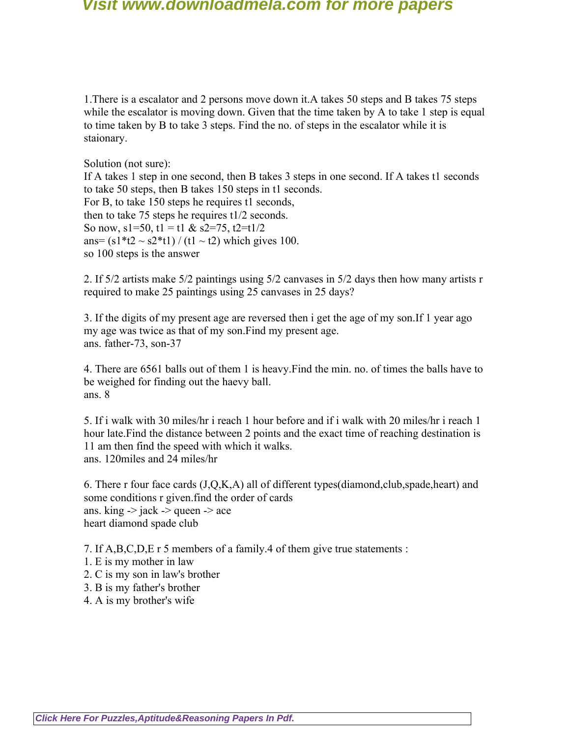1.There is a escalator and 2 persons move down it.A takes 50 steps and B takes 75 steps while the escalator is moving down. Given that the time taken by A to take 1 step is equal to time taken by B to take 3 steps. Find the no. of steps in the escalator while it is staionary.

Solution (not sure):

If A takes 1 step in one second, then B takes 3 steps in one second. If A takes t1 seconds to take 50 steps, then B takes 150 steps in t1 seconds. For B, to take 150 steps he requires t1 seconds, then to take 75 steps he requires t1/2 seconds. So now,  $s1=50$ ,  $t1 = t1$  &  $s2=75$ ,  $t2=t1/2$ ans=  $(s1*t2 \sim s2*t1) / (t1 \sim t2)$  which gives 100. so 100 steps is the answer

2. If 5/2 artists make 5/2 paintings using 5/2 canvases in 5/2 days then how many artists r required to make 25 paintings using 25 canvases in 25 days?

3. If the digits of my present age are reversed then i get the age of my son.If 1 year ago my age was twice as that of my son.Find my present age. ans. father-73, son-37

4. There are 6561 balls out of them 1 is heavy.Find the min. no. of times the balls have to be weighed for finding out the haevy ball. ans. 8

5. If i walk with 30 miles/hr i reach 1 hour before and if i walk with 20 miles/hr i reach 1 hour late.Find the distance between 2 points and the exact time of reaching destination is 11 am then find the speed with which it walks. ans. 120miles and 24 miles/hr

6. There r four face cards  $(J,Q,K,A)$  all of different types(diamond,club,spade,heart) and some conditions r given.find the order of cards ans. king  $\rightarrow$  jack  $\rightarrow$  queen  $\rightarrow$  ace heart diamond spade club

7. If A,B,C,D,E r 5 members of a family.4 of them give true statements :

- 1. E is my mother in law
- 2. C is my son in law's brother
- 3. B is my father's brother
- 4. A is my brother's wife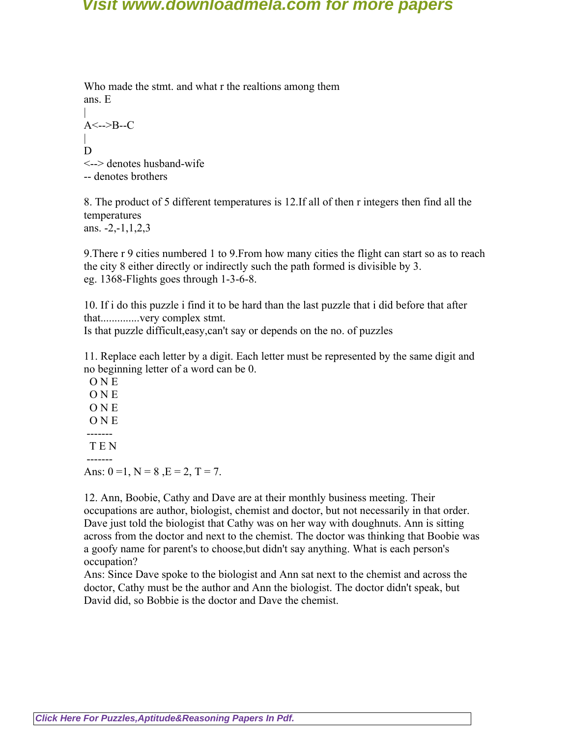Who made the stmt. and what r the realtions among them ans. E |  $A \le -\ge B-C$ | D <--> denotes husband-wife -- denotes brothers

8. The product of 5 different temperatures is 12.If all of then r integers then find all the temperatures ans.  $-2, -1, 1, 2, 3$ 

9.There r 9 cities numbered 1 to 9.From how many cities the flight can start so as to reach the city 8 either directly or indirectly such the path formed is divisible by 3. eg. 1368-Flights goes through 1-3-6-8.

10. If i do this puzzle i find it to be hard than the last puzzle that i did before that after that..............very complex stmt.

Is that puzzle difficult,easy,can't say or depends on the no. of puzzles

11. Replace each letter by a digit. Each letter must be represented by the same digit and no beginning letter of a word can be 0.

 O N E O N E O N E O N E ------- T E N -------

Ans:  $0 = 1$ ,  $N = 8$ ,  $E = 2$ ,  $T = 7$ .

12. Ann, Boobie, Cathy and Dave are at their monthly business meeting. Their occupations are author, biologist, chemist and doctor, but not necessarily in that order. Dave just told the biologist that Cathy was on her way with doughnuts. Ann is sitting across from the doctor and next to the chemist. The doctor was thinking that Boobie was a goofy name for parent's to choose,but didn't say anything. What is each person's occupation?

Ans: Since Dave spoke to the biologist and Ann sat next to the chemist and across the doctor, Cathy must be the author and Ann the biologist. The doctor didn't speak, but David did, so Bobbie is the doctor and Dave the chemist.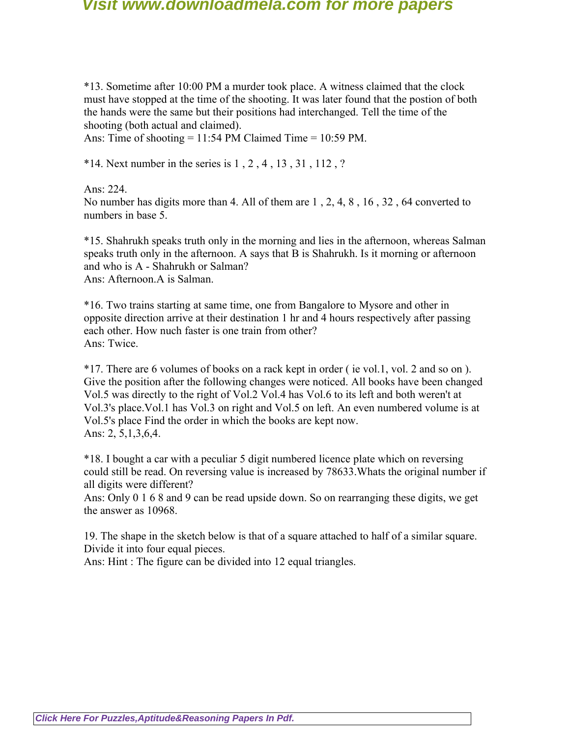\*13. Sometime after 10:00 PM a murder took place. A witness claimed that the clock must have stopped at the time of the shooting. It was later found that the postion of both the hands were the same but their positions had interchanged. Tell the time of the shooting (both actual and claimed).

Ans: Time of shooting = 11:54 PM Claimed Time = 10:59 PM.

 $*14.$  Next number in the series is 1, 2, 4, 13, 31, 112, ?

Ans: 224.

No number has digits more than 4. All of them are 1 , 2, 4, 8 , 16 , 32 , 64 converted to numbers in base 5.

\*15. Shahrukh speaks truth only in the morning and lies in the afternoon, whereas Salman speaks truth only in the afternoon. A says that B is Shahrukh. Is it morning or afternoon and who is A - Shahrukh or Salman? Ans: Afternoon.A is Salman.

\*16. Two trains starting at same time, one from Bangalore to Mysore and other in opposite direction arrive at their destination 1 hr and 4 hours respectively after passing each other. How nuch faster is one train from other? Ans: Twice.

\*17. There are 6 volumes of books on a rack kept in order ( ie vol.1, vol. 2 and so on ). Give the position after the following changes were noticed. All books have been changed Vol.5 was directly to the right of Vol.2 Vol.4 has Vol.6 to its left and both weren't at Vol.3's place.Vol.1 has Vol.3 on right and Vol.5 on left. An even numbered volume is at Vol.5's place Find the order in which the books are kept now. Ans: 2, 5,1,3,6,4.

\*18. I bought a car with a peculiar 5 digit numbered licence plate which on reversing could still be read. On reversing value is increased by 78633.Whats the original number if all digits were different?

Ans: Only 0 1 6 8 and 9 can be read upside down. So on rearranging these digits, we get the answer as 10968.

19. The shape in the sketch below is that of a square attached to half of a similar square. Divide it into four equal pieces.

Ans: Hint : The figure can be divided into 12 equal triangles.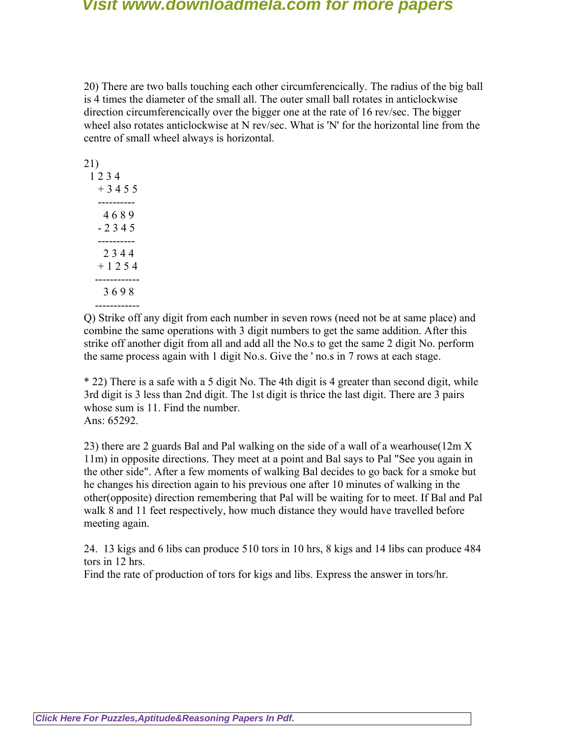20) There are two balls touching each other circumferencically. The radius of the big ball is 4 times the diameter of the small all. The outer small ball rotates in anticlockwise direction circumferencically over the bigger one at the rate of 16 rev/sec. The bigger wheel also rotates anticlockwise at N rev/sec. What is 'N' for the horizontal line from the centre of small wheel always is horizontal.

| 21)     |
|---------|
| 1234    |
| +3455   |
|         |
| 4689    |
| $-2345$ |
|         |
| 2344    |
| +1254   |
|         |
| 3698    |
|         |

Q) Strike off any digit from each number in seven rows (need not be at same place) and combine the same operations with 3 digit numbers to get the same addition. After this strike off another digit from all and add all the No.s to get the same 2 digit No. perform the same process again with 1 digit No.s. Give the ' no.s in 7 rows at each stage.

\* 22) There is a safe with a 5 digit No. The 4th digit is 4 greater than second digit, while 3rd digit is 3 less than 2nd digit. The 1st digit is thrice the last digit. There are 3 pairs whose sum is 11. Find the number. Ans: 65292.

23) there are 2 guards Bal and Pal walking on the side of a wall of a wearhouse(12m X 11m) in opposite directions. They meet at a point and Bal says to Pal "See you again in the other side". After a few moments of walking Bal decides to go back for a smoke but he changes his direction again to his previous one after 10 minutes of walking in the other(opposite) direction remembering that Pal will be waiting for to meet. If Bal and Pal walk 8 and 11 feet respectively, how much distance they would have travelled before meeting again.

24. 13 kigs and 6 libs can produce 510 tors in 10 hrs, 8 kigs and 14 libs can produce 484 tors in 12 hrs.

Find the rate of production of tors for kigs and libs. Express the answer in tors/hr.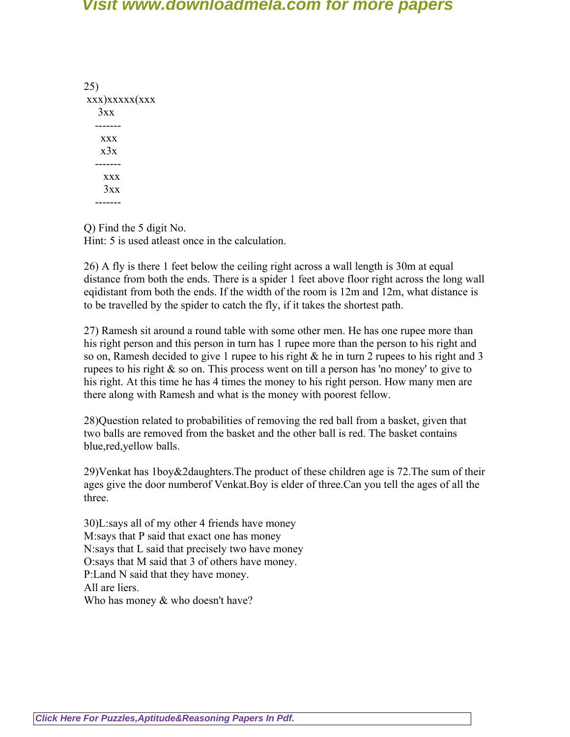25) xxx)xxxxx(xxx  $3xx$  ------ xxx  $x<sup>3</sup>x$  ------ xxx  $3xx$ -------

Q) Find the 5 digit No. Hint: 5 is used atleast once in the calculation.

26) A fly is there 1 feet below the ceiling right across a wall length is 30m at equal distance from both the ends. There is a spider 1 feet above floor right across the long wall eqidistant from both the ends. If the width of the room is 12m and 12m, what distance is to be travelled by the spider to catch the fly, if it takes the shortest path.

27) Ramesh sit around a round table with some other men. He has one rupee more than his right person and this person in turn has 1 rupee more than the person to his right and so on, Ramesh decided to give 1 rupee to his right & he in turn 2 rupees to his right and 3 rupees to his right & so on. This process went on till a person has 'no money' to give to his right. At this time he has 4 times the money to his right person. How many men are there along with Ramesh and what is the money with poorest fellow.

28)Question related to probabilities of removing the red ball from a basket, given that two balls are removed from the basket and the other ball is red. The basket contains blue,red,yellow balls.

29)Venkat has 1boy&2daughters.The product of these children age is 72.The sum of their ages give the door numberof Venkat.Boy is elder of three.Can you tell the ages of all the three.

30)L:says all of my other 4 friends have money M:says that P said that exact one has money N:says that L said that precisely two have money O:says that M said that 3 of others have money. P:Land N said that they have money. All are liers. Who has money  $&$  who doesn't have?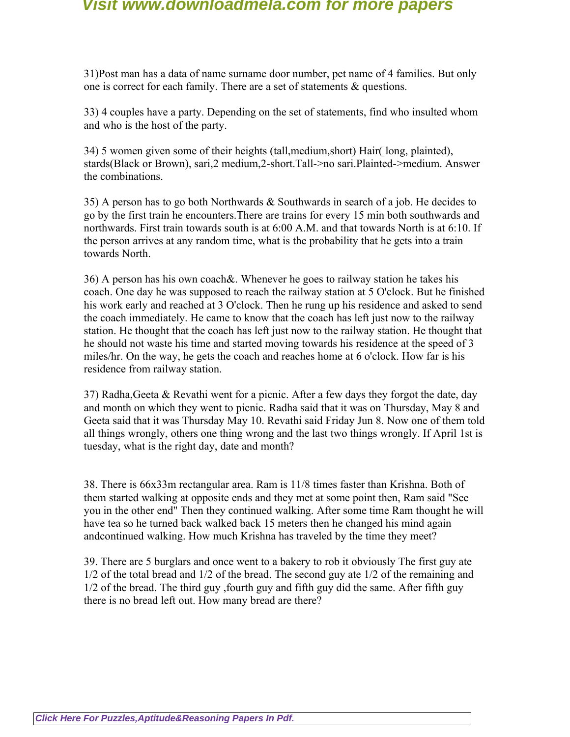31)Post man has a data of name surname door number, pet name of 4 families. But only one is correct for each family. There are a set of statements & questions.

33) 4 couples have a party. Depending on the set of statements, find who insulted whom and who is the host of the party.

34) 5 women given some of their heights (tall,medium,short) Hair( long, plainted), stards(Black or Brown), sari,2 medium,2-short.Tall->no sari.Plainted->medium. Answer the combinations.

35) A person has to go both Northwards & Southwards in search of a job. He decides to go by the first train he encounters.There are trains for every 15 min both southwards and northwards. First train towards south is at 6:00 A.M. and that towards North is at 6:10. If the person arrives at any random time, what is the probability that he gets into a train towards North.

36) A person has his own coach&. Whenever he goes to railway station he takes his coach. One day he was supposed to reach the railway station at 5 O'clock. But he finished his work early and reached at 3 O'clock. Then he rung up his residence and asked to send the coach immediately. He came to know that the coach has left just now to the railway station. He thought that the coach has left just now to the railway station. He thought that he should not waste his time and started moving towards his residence at the speed of 3 miles/hr. On the way, he gets the coach and reaches home at 6 o'clock. How far is his residence from railway station.

37) Radha,Geeta & Revathi went for a picnic. After a few days they forgot the date, day and month on which they went to picnic. Radha said that it was on Thursday, May 8 and Geeta said that it was Thursday May 10. Revathi said Friday Jun 8. Now one of them told all things wrongly, others one thing wrong and the last two things wrongly. If April 1st is tuesday, what is the right day, date and month?

38. There is 66x33m rectangular area. Ram is 11/8 times faster than Krishna. Both of them started walking at opposite ends and they met at some point then, Ram said "See you in the other end" Then they continued walking. After some time Ram thought he will have tea so he turned back walked back 15 meters then he changed his mind again andcontinued walking. How much Krishna has traveled by the time they meet?

39. There are 5 burglars and once went to a bakery to rob it obviously The first guy ate 1/2 of the total bread and 1/2 of the bread. The second guy ate 1/2 of the remaining and 1/2 of the bread. The third guy ,fourth guy and fifth guy did the same. After fifth guy there is no bread left out. How many bread are there?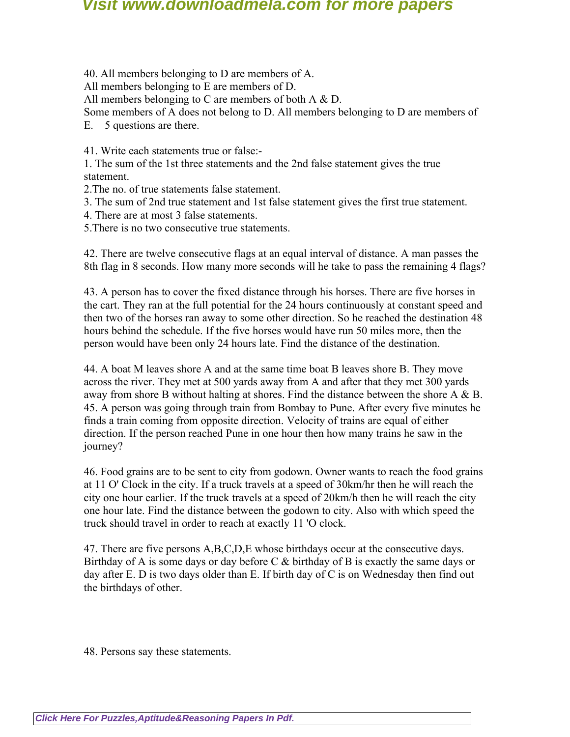40. All members belonging to D are members of A. All members belonging to E are members of D. All members belonging to C are members of both A  $\&$  D. Some members of A does not belong to D. All members belonging to D are members of E. 5 questions are there.

41. Write each statements true or false:-

1. The sum of the 1st three statements and the 2nd false statement gives the true statement.

2.The no. of true statements false statement.

3. The sum of 2nd true statement and 1st false statement gives the first true statement.

4. There are at most 3 false statements.

5.There is no two consecutive true statements.

42. There are twelve consecutive flags at an equal interval of distance. A man passes the 8th flag in 8 seconds. How many more seconds will he take to pass the remaining 4 flags?

43. A person has to cover the fixed distance through his horses. There are five horses in the cart. They ran at the full potential for the 24 hours continuously at constant speed and then two of the horses ran away to some other direction. So he reached the destination 48 hours behind the schedule. If the five horses would have run 50 miles more, then the person would have been only 24 hours late. Find the distance of the destination.

44. A boat M leaves shore A and at the same time boat B leaves shore B. They move across the river. They met at 500 yards away from A and after that they met 300 yards away from shore B without halting at shores. Find the distance between the shore A & B. 45. A person was going through train from Bombay to Pune. After every five minutes he finds a train coming from opposite direction. Velocity of trains are equal of either direction. If the person reached Pune in one hour then how many trains he saw in the journey?

46. Food grains are to be sent to city from godown. Owner wants to reach the food grains at 11 O' Clock in the city. If a truck travels at a speed of 30km/hr then he will reach the city one hour earlier. If the truck travels at a speed of 20km/h then he will reach the city one hour late. Find the distance between the godown to city. Also with which speed the truck should travel in order to reach at exactly 11 'O clock.

47. There are five persons A,B,C,D,E whose birthdays occur at the consecutive days. Birthday of A is some days or day before  $C \& b$  inthday of B is exactly the same days or day after E. D is two days older than E. If birth day of C is on Wednesday then find out the birthdays of other.

48. Persons say these statements.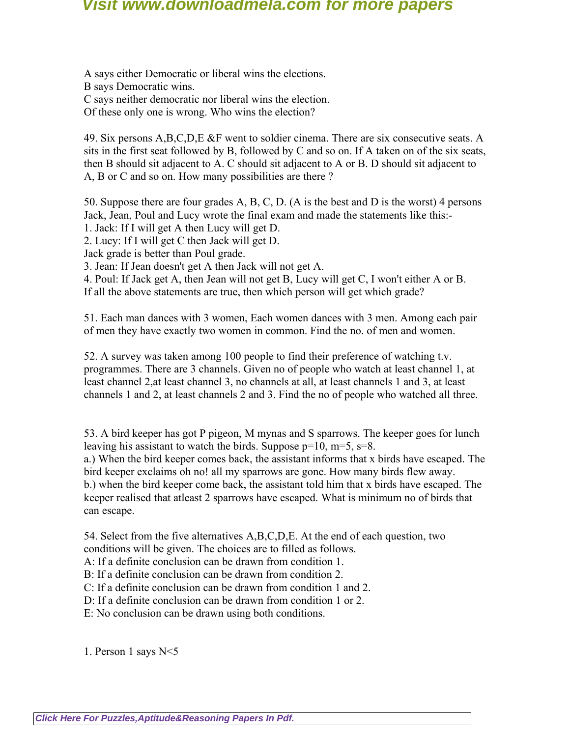A says either Democratic or liberal wins the elections. B says Democratic wins. C says neither democratic nor liberal wins the election. Of these only one is wrong. Who wins the election?

49. Six persons A,B,C,D,E &F went to soldier cinema. There are six consecutive seats. A sits in the first seat followed by B, followed by C and so on. If A taken on of the six seats, then B should sit adjacent to A. C should sit adjacent to A or B. D should sit adjacent to A, B or C and so on. How many possibilities are there ?

50. Suppose there are four grades A, B, C, D. (A is the best and D is the worst) 4 persons Jack, Jean, Poul and Lucy wrote the final exam and made the statements like this:-

1. Jack: If I will get A then Lucy will get D.

2. Lucy: If I will get C then Jack will get D.

Jack grade is better than Poul grade.

3. Jean: If Jean doesn't get A then Jack will not get A.

4. Poul: If Jack get A, then Jean will not get B, Lucy will get C, I won't either A or B. If all the above statements are true, then which person will get which grade?

51. Each man dances with 3 women, Each women dances with 3 men. Among each pair of men they have exactly two women in common. Find the no. of men and women.

52. A survey was taken among 100 people to find their preference of watching t.v. programmes. There are 3 channels. Given no of people who watch at least channel 1, at least channel 2,at least channel 3, no channels at all, at least channels 1 and 3, at least channels 1 and 2, at least channels 2 and 3. Find the no of people who watched all three.

53. A bird keeper has got P pigeon, M mynas and S sparrows. The keeper goes for lunch leaving his assistant to watch the birds. Suppose  $p=10$ ,  $m=5$ ,  $s=8$ .

a.) When the bird keeper comes back, the assistant informs that x birds have escaped. The bird keeper exclaims oh no! all my sparrows are gone. How many birds flew away. b.) when the bird keeper come back, the assistant told him that x birds have escaped. The keeper realised that atleast 2 sparrows have escaped. What is minimum no of birds that can escape.

54. Select from the five alternatives A,B,C,D,E. At the end of each question, two conditions will be given. The choices are to filled as follows.

A: If a definite conclusion can be drawn from condition 1.

B: If a definite conclusion can be drawn from condition 2.

C: If a definite conclusion can be drawn from condition 1 and 2.

D: If a definite conclusion can be drawn from condition 1 or 2.

E: No conclusion can be drawn using both conditions.

1. Person 1 says N<5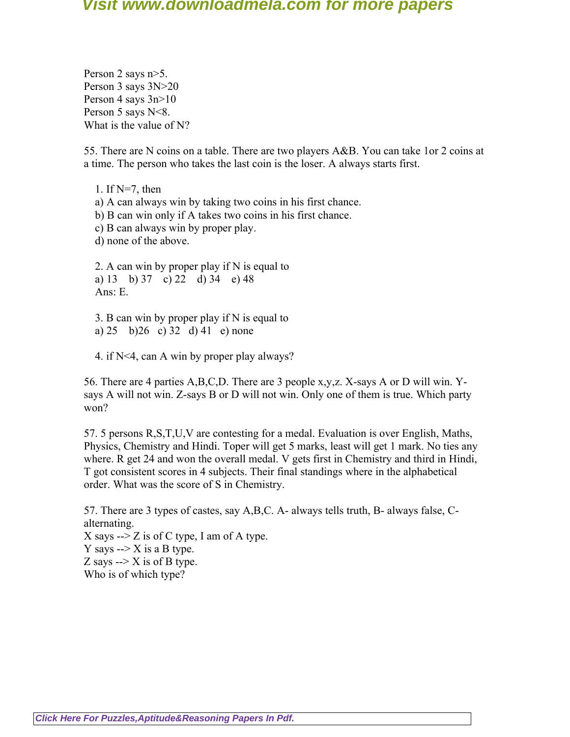Person 2 says n>5. Person 3 says 3N>20 Person 4 says 3n>10 Person 5 says  $N < 8$ . What is the value of N?

55. There are N coins on a table. There are two players A&B. You can take 1or 2 coins at a time. The person who takes the last coin is the loser. A always starts first.

 1. If N=7, then a) A can always win by taking two coins in his first chance. b) B can win only if A takes two coins in his first chance. c) B can always win by proper play. d) none of the above.

 2. A can win by proper play if N is equal to a) 13 b) 37 c) 22 d) 34 e) 48 Ans: E.

 3. B can win by proper play if N is equal to a) 25 b)26 c) 32 d) 41 e) none

4. if N<4, can A win by proper play always?

56. There are 4 parties A,B,C,D. There are 3 people x,y,z. X-says A or D will win. Ysays A will not win. Z-says B or D will not win. Only one of them is true. Which party won?

57. 5 persons R,S,T,U,V are contesting for a medal. Evaluation is over English, Maths, Physics, Chemistry and Hindi. Toper will get 5 marks, least will get 1 mark. No ties any where. R get 24 and won the overall medal. V gets first in Chemistry and third in Hindi, T got consistent scores in 4 subjects. Their final standings where in the alphabetical order. What was the score of S in Chemistry.

57. There are 3 types of castes, say A,B,C. A- always tells truth, B- always false, Calternating. X says  $\rightarrow$  Z is of C type, I am of A type. Y says  $\rightarrow$  X is a B type. Z says  $\rightarrow$  X is of B type. Who is of which type?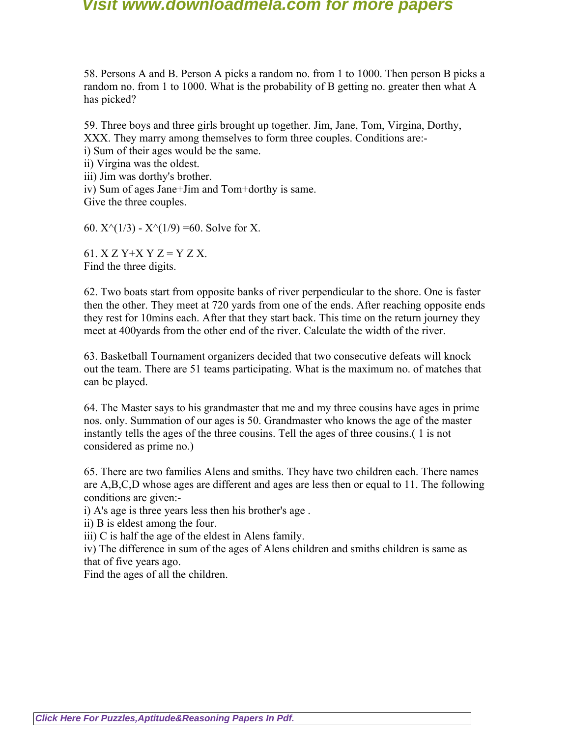58. Persons A and B. Person A picks a random no. from 1 to 1000. Then person B picks a random no. from 1 to 1000. What is the probability of B getting no. greater then what A has picked?

59. Three boys and three girls brought up together. Jim, Jane, Tom, Virgina, Dorthy, XXX. They marry among themselves to form three couples. Conditions are: i) Sum of their ages would be the same.

ii) Virgina was the oldest.

iii) Jim was dorthy's brother.

iv) Sum of ages Jane+Jim and Tom+dorthy is same.

Give the three couples.

60.  $X^{\wedge}(1/3)$  -  $X^{\wedge}(1/9)$  =60. Solve for X.

61.  $X Z Y+ X Y Z = Y Z X$ . Find the three digits.

62. Two boats start from opposite banks of river perpendicular to the shore. One is faster then the other. They meet at 720 yards from one of the ends. After reaching opposite ends they rest for 10mins each. After that they start back. This time on the return journey they meet at 400yards from the other end of the river. Calculate the width of the river.

63. Basketball Tournament organizers decided that two consecutive defeats will knock out the team. There are 51 teams participating. What is the maximum no. of matches that can be played.

64. The Master says to his grandmaster that me and my three cousins have ages in prime nos. only. Summation of our ages is 50. Grandmaster who knows the age of the master instantly tells the ages of the three cousins. Tell the ages of three cousins.( 1 is not considered as prime no.)

65. There are two families Alens and smiths. They have two children each. There names are A,B,C,D whose ages are different and ages are less then or equal to 11. The following conditions are given:-

i) A's age is three years less then his brother's age .

ii) B is eldest among the four.

iii) C is half the age of the eldest in Alens family.

iv) The difference in sum of the ages of Alens children and smiths children is same as that of five years ago.

Find the ages of all the children.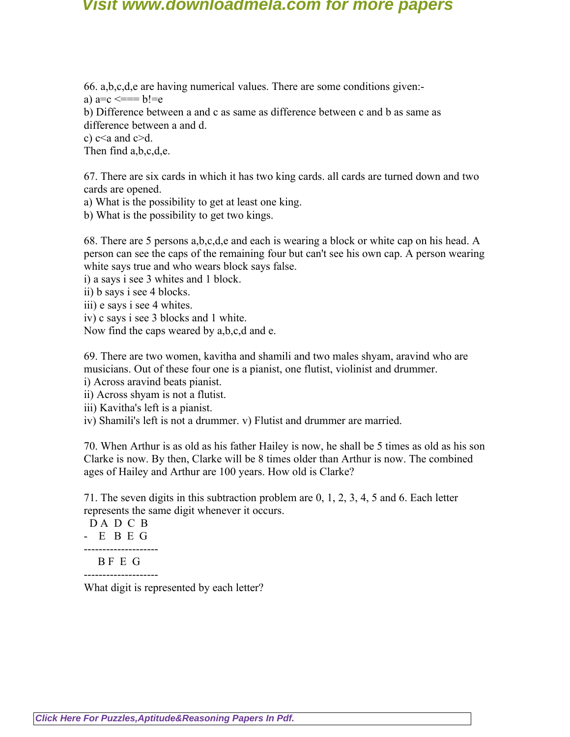66. a,b,c,d,e are having numerical values. There are some conditions given:-

a)  $a=c \leq b!=e$ 

b) Difference between a and c as same as difference between c and b as same as difference between a and d.

c)  $c \le a$  and  $c \ge d$ .

Then find a,b,c,d,e.

67. There are six cards in which it has two king cards. all cards are turned down and two cards are opened.

a) What is the possibility to get at least one king.

b) What is the possibility to get two kings.

68. There are 5 persons a,b,c,d,e and each is wearing a block or white cap on his head. A person can see the caps of the remaining four but can't see his own cap. A person wearing white says true and who wears block says false.

i) a says i see 3 whites and 1 block.

ii) b says i see 4 blocks.

iii) e says i see 4 whites.

iv) c says i see 3 blocks and 1 white.

Now find the caps weared by a,b,c,d and e.

69. There are two women, kavitha and shamili and two males shyam, aravind who are musicians. Out of these four one is a pianist, one flutist, violinist and drummer.

i) Across aravind beats pianist.

ii) Across shyam is not a flutist.

iii) Kavitha's left is a pianist.

iv) Shamili's left is not a drummer. v) Flutist and drummer are married.

70. When Arthur is as old as his father Hailey is now, he shall be 5 times as old as his son Clarke is now. By then, Clarke will be 8 times older than Arthur is now. The combined ages of Hailey and Arthur are 100 years. How old is Clarke?

71. The seven digits in this subtraction problem are 0, 1, 2, 3, 4, 5 and 6. Each letter represents the same digit whenever it occurs.

 D A D C B - E B E G -------------------- B F E G --------------------

What digit is represented by each letter?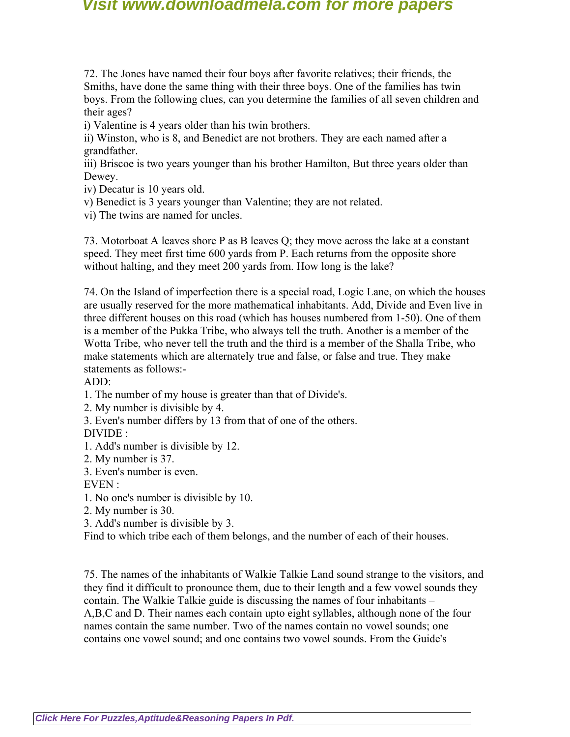72. The Jones have named their four boys after favorite relatives; their friends, the Smiths, have done the same thing with their three boys. One of the families has twin boys. From the following clues, can you determine the families of all seven children and their ages?

i) Valentine is 4 years older than his twin brothers.

ii) Winston, who is 8, and Benedict are not brothers. They are each named after a grandfather.

iii) Briscoe is two years younger than his brother Hamilton, But three years older than Dewey.

iv) Decatur is 10 years old.

v) Benedict is 3 years younger than Valentine; they are not related.

vi) The twins are named for uncles.

73. Motorboat A leaves shore P as B leaves Q; they move across the lake at a constant speed. They meet first time 600 yards from P. Each returns from the opposite shore without halting, and they meet 200 yards from. How long is the lake?

74. On the Island of imperfection there is a special road, Logic Lane, on which the houses are usually reserved for the more mathematical inhabitants. Add, Divide and Even live in three different houses on this road (which has houses numbered from 1-50). One of them is a member of the Pukka Tribe, who always tell the truth. Another is a member of the Wotta Tribe, who never tell the truth and the third is a member of the Shalla Tribe, who make statements which are alternately true and false, or false and true. They make statements as follows:-

#### ADD:

1. The number of my house is greater than that of Divide's.

2. My number is divisible by 4.

3. Even's number differs by 13 from that of one of the others.

#### DIVIDE :

1. Add's number is divisible by 12.

2. My number is 37.

3. Even's number is even.

EVEN :

1. No one's number is divisible by 10.

- 2. My number is 30.
- 3. Add's number is divisible by 3.

Find to which tribe each of them belongs, and the number of each of their houses.

75. The names of the inhabitants of Walkie Talkie Land sound strange to the visitors, and they find it difficult to pronounce them, due to their length and a few vowel sounds they contain. The Walkie Talkie guide is discussing the names of four inhabitants – A,B,C and D. Their names each contain upto eight syllables, although none of the four names contain the same number. Two of the names contain no vowel sounds; one contains one vowel sound; and one contains two vowel sounds. From the Guide's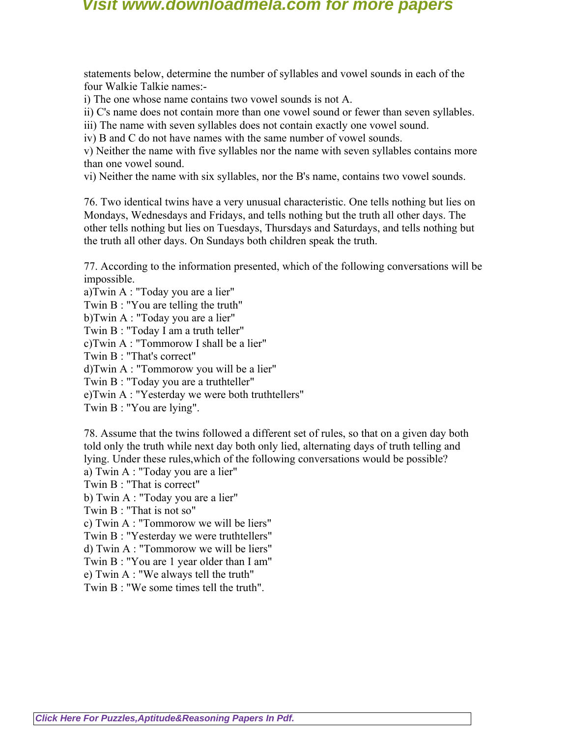statements below, determine the number of syllables and vowel sounds in each of the four Walkie Talkie names:-

i) The one whose name contains two vowel sounds is not A.

ii) C's name does not contain more than one vowel sound or fewer than seven syllables.

iii) The name with seven syllables does not contain exactly one vowel sound.

iv) B and C do not have names with the same number of vowel sounds.

v) Neither the name with five syllables nor the name with seven syllables contains more than one vowel sound.

vi) Neither the name with six syllables, nor the B's name, contains two vowel sounds.

76. Two identical twins have a very unusual characteristic. One tells nothing but lies on Mondays, Wednesdays and Fridays, and tells nothing but the truth all other days. The other tells nothing but lies on Tuesdays, Thursdays and Saturdays, and tells nothing but the truth all other days. On Sundays both children speak the truth.

77. According to the information presented, which of the following conversations will be impossible.

a)Twin A : "Today you are a lier" Twin B : "You are telling the truth" b)Twin A : "Today you are a lier" Twin B : "Today I am a truth teller" c)Twin A : "Tommorow I shall be a lier" Twin B : "That's correct" d)Twin A : "Tommorow you will be a lier" Twin B : "Today you are a truthteller" e)Twin A : "Yesterday we were both truthtellers" Twin B : "You are lying".

78. Assume that the twins followed a different set of rules, so that on a given day both told only the truth while next day both only lied, alternating days of truth telling and lying. Under these rules,which of the following conversations would be possible?

a) Twin A : "Today you are a lier"

Twin B : "That is correct"

b) Twin A : "Today you are a lier"

Twin B : "That is not so"

c) Twin A : "Tommorow we will be liers"

Twin B : "Yesterday we were truthtellers"

d) Twin A : "Tommorow we will be liers"

Twin B : "You are 1 year older than I am"

e) Twin A : "We always tell the truth"

Twin  $B$   $\cdot$  "We some times tell the truth"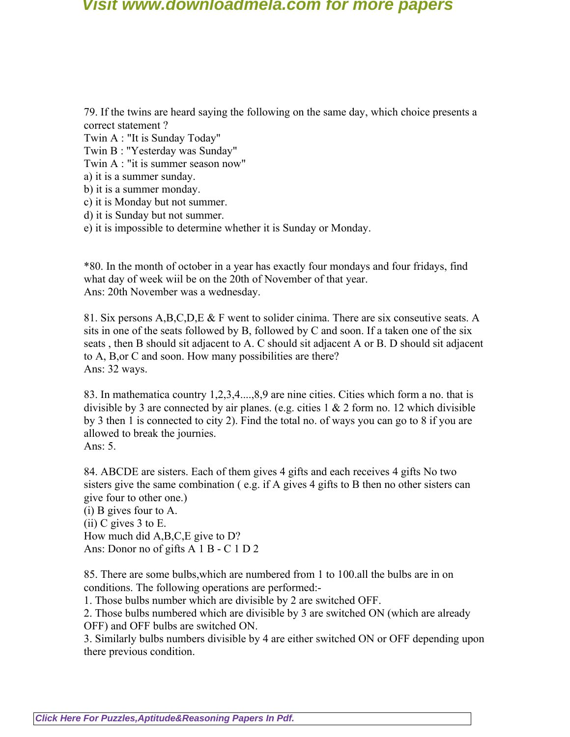79. If the twins are heard saying the following on the same day, which choice presents a correct statement ?

Twin A : "It is Sunday Today"

Twin B : "Yesterday was Sunday"

Twin A : "it is summer season now"

a) it is a summer sunday.

b) it is a summer monday.

c) it is Monday but not summer.

d) it is Sunday but not summer.

e) it is impossible to determine whether it is Sunday or Monday.

\*80. In the month of october in a year has exactly four mondays and four fridays, find what day of week wiil be on the 20th of November of that year. Ans: 20th November was a wednesday.

81. Six persons A,B,C,D,E & F went to solider cinima. There are six conseutive seats. A sits in one of the seats followed by B, followed by C and soon. If a taken one of the six seats , then B should sit adjacent to A. C should sit adjacent A or B. D should sit adjacent to A, B,or C and soon. How many possibilities are there? Ans: 32 ways.

83. In mathematica country 1,2,3,4....,8,9 are nine cities. Cities which form a no. that is divisible by 3 are connected by air planes. (e.g. cities  $1 \& 2$  form no. 12 which divisible by 3 then 1 is connected to city 2). Find the total no. of ways you can go to 8 if you are allowed to break the journies. Ans: 5.

84. ABCDE are sisters. Each of them gives 4 gifts and each receives 4 gifts No two sisters give the same combination ( e.g. if A gives 4 gifts to B then no other sisters can give four to other one.)

(i) B gives four to A. (ii) C gives 3 to E. How much did A,B,C,E give to D? Ans: Donor no of gifts A 1 B - C 1 D 2

85. There are some bulbs,which are numbered from 1 to 100.all the bulbs are in on conditions. The following operations are performed:-

1. Those bulbs number which are divisible by 2 are switched OFF.

2. Those bulbs numbered which are divisible by 3 are switched ON (which are already OFF) and OFF bulbs are switched ON.

3. Similarly bulbs numbers divisible by 4 are either switched ON or OFF depending upon there previous condition.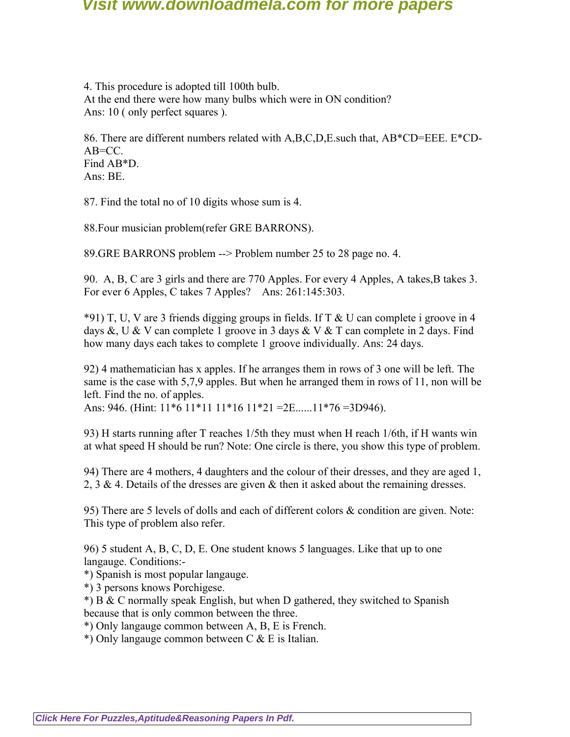4. This procedure is adopted till 100th bulb. At the end there were how many bulbs which were in ON condition? Ans: 10 ( only perfect squares ).

86. There are different numbers related with A,B,C,D,E.such that, AB\*CD=EEE. E\*CD-AB=CC. Find AB\*D. Ans: BE.

87. Find the total no of 10 digits whose sum is 4.

88.Four musician problem(refer GRE BARRONS).

89.GRE BARRONS problem --> Problem number 25 to 28 page no. 4.

90. A, B, C are 3 girls and there are 770 Apples. For every 4 Apples, A takes,B takes 3. For ever 6 Apples, C takes 7 Apples? Ans: 261:145:303.

\*91) T, U, V are 3 friends digging groups in fields. If T & U can complete i groove in 4 days &, U & V can complete 1 groove in 3 days & V & T can complete in 2 days. Find how many days each takes to complete 1 groove individually. Ans: 24 days.

92) 4 mathematician has x apples. If he arranges them in rows of 3 one will be left. The same is the case with 5,7,9 apples. But when he arranged them in rows of 11, non will be left. Find the no. of apples.

Ans: 946. (Hint: 11\*6 11\*11 11\*16 11\*21 =2E......11\*76 =3D946).

93) H starts running after T reaches 1/5th they must when H reach 1/6th, if H wants win at what speed H should be run? Note: One circle is there, you show this type of problem.

94) There are 4 mothers, 4 daughters and the colour of their dresses, and they are aged 1, 2, 3 & 4. Details of the dresses are given  $\&$  then it asked about the remaining dresses.

95) There are 5 levels of dolls and each of different colors & condition are given. Note: This type of problem also refer.

96) 5 student A, B, C, D, E. One student knows 5 languages. Like that up to one langauge. Conditions:-

\*) Spanish is most popular langauge.

\*) 3 persons knows Porchigese.

\*) B & C normally speak English, but when D gathered, they switched to Spanish because that is only common between the three.

\*) Only langauge common between A, B, E is French.

\*) Only langauge common between C & E is Italian.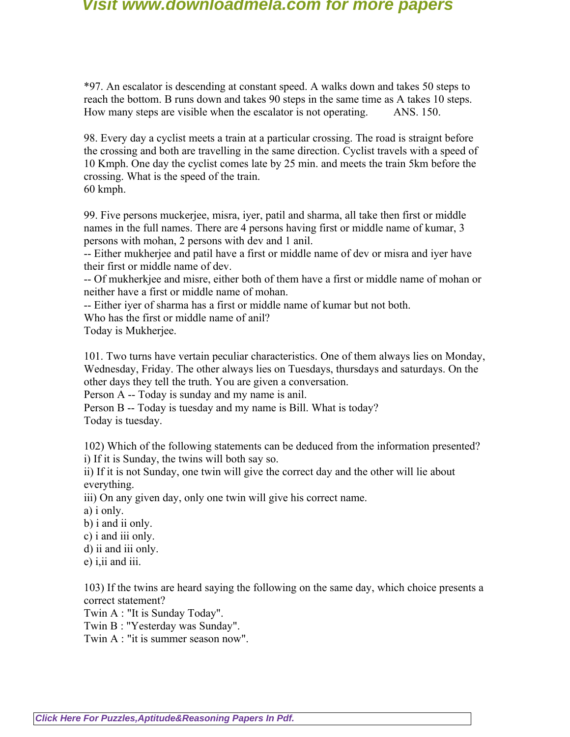\*97. An escalator is descending at constant speed. A walks down and takes 50 steps to reach the bottom. B runs down and takes 90 steps in the same time as A takes 10 steps. How many steps are visible when the escalator is not operating. ANS. 150.

98. Every day a cyclist meets a train at a particular crossing. The road is straignt before the crossing and both are travelling in the same direction. Cyclist travels with a speed of 10 Kmph. One day the cyclist comes late by 25 min. and meets the train 5km before the crossing. What is the speed of the train.

60 kmph.

99. Five persons muckerjee, misra, iyer, patil and sharma, all take then first or middle names in the full names. There are 4 persons having first or middle name of kumar, 3 persons with mohan, 2 persons with dev and 1 anil.

-- Either mukherjee and patil have a first or middle name of dev or misra and iyer have their first or middle name of dev.

-- Of mukherkjee and misre, either both of them have a first or middle name of mohan or neither have a first or middle name of mohan.

-- Either iyer of sharma has a first or middle name of kumar but not both.

Who has the first or middle name of anil?

Today is Mukherjee.

101. Two turns have vertain peculiar characteristics. One of them always lies on Monday, Wednesday, Friday. The other always lies on Tuesdays, thursdays and saturdays. On the other days they tell the truth. You are given a conversation.

Person A -- Today is sunday and my name is anil.

Person B -- Today is tuesday and my name is Bill. What is today? Today is tuesday.

102) Which of the following statements can be deduced from the information presented? i) If it is Sunday, the twins will both say so.

ii) If it is not Sunday, one twin will give the correct day and the other will lie about everything.

iii) On any given day, only one twin will give his correct name.

a) i only.

b) i and ii only.

c) i and iii only.

d) ii and iii only.

e) i,ii and iii.

103) If the twins are heard saying the following on the same day, which choice presents a correct statement?

Twin A : "It is Sunday Today".

Twin B : "Yesterday was Sunday".

Twin A : "it is summer season now".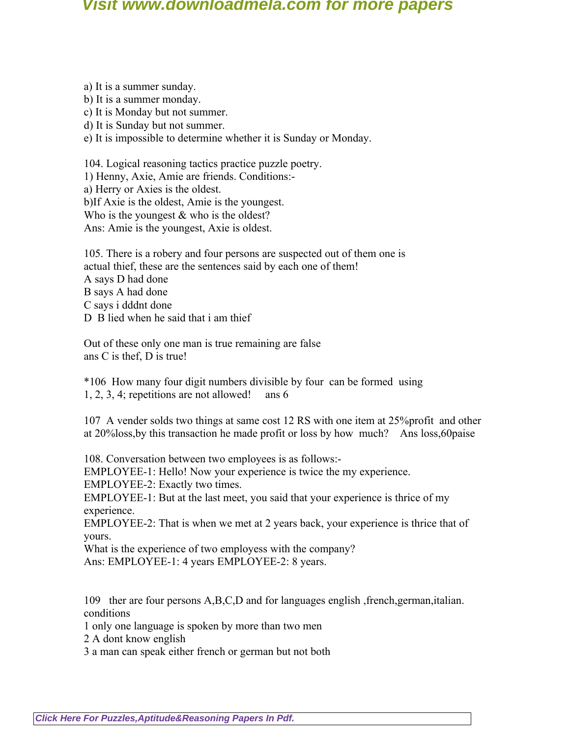a) It is a summer sunday.

b) It is a summer monday.

c) It is Monday but not summer.

d) It is Sunday but not summer.

e) It is impossible to determine whether it is Sunday or Monday.

104. Logical reasoning tactics practice puzzle poetry.

1) Henny, Axie, Amie are friends. Conditions:-

a) Herry or Axies is the oldest.

b)If Axie is the oldest, Amie is the youngest.

Who is the youngest  $&$  who is the oldest?

Ans: Amie is the youngest, Axie is oldest.

105. There is a robery and four persons are suspected out of them one is actual thief, these are the sentences said by each one of them! A says D had done B says A had done C says i dddnt done D B lied when he said that i am thief

Out of these only one man is true remaining are false ans C is thef, D is true!

\*106 How many four digit numbers divisible by four can be formed using 1, 2, 3, 4; repetitions are not allowed! ans 6

107 A vender solds two things at same cost 12 RS with one item at 25%profit and other at 20%loss,by this transaction he made profit or loss by how much? Ans loss,60paise

108. Conversation between two employees is as follows:-

EMPLOYEE-1: Hello! Now your experience is twice the my experience.

EMPLOYEE-2: Exactly two times.

EMPLOYEE-1: But at the last meet, you said that your experience is thrice of my experience.

EMPLOYEE-2: That is when we met at 2 years back, your experience is thrice that of yours.

What is the experience of two employess with the company? Ans: EMPLOYEE-1: 4 years EMPLOYEE-2: 8 years.

109 ther are four persons A,B,C,D and for languages english ,french,german,italian. conditions

1 only one language is spoken by more than two men

2 A dont know english

3 a man can speak either french or german but not both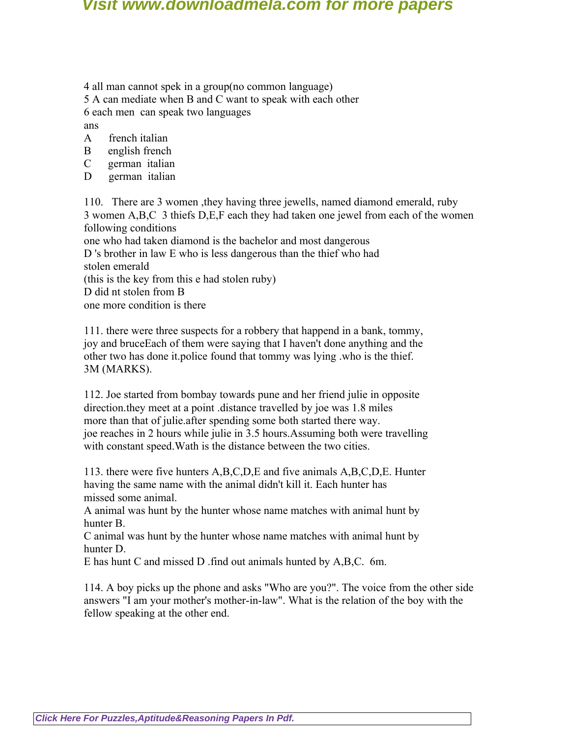4 all man cannot spek in a group(no common language)

5 A can mediate when B and C want to speak with each other

6 each men can speak two languages

ans

- A french italian
- B english french
- C german italian
- D german italian

110. There are 3 women ,they having three jewells, named diamond emerald, ruby 3 women A,B,C 3 thiefs D,E,F each they had taken one jewel from each of the women following conditions

one who had taken diamond is the bachelor and most dangerous D 's brother in law E who is less dangerous than the thief who had stolen emerald (this is the key from this e had stolen ruby)

D did nt stolen from B

one more condition is there

111. there were three suspects for a robbery that happend in a bank, tommy, joy and bruceEach of them were saying that I haven't done anything and the other two has done it.police found that tommy was lying .who is the thief. 3M (MARKS).

112. Joe started from bombay towards pune and her friend julie in opposite direction.they meet at a point .distance travelled by joe was 1.8 miles more than that of julie.after spending some both started there way. joe reaches in 2 hours while julie in 3.5 hours.Assuming both were travelling with constant speed.Wath is the distance between the two cities.

113. there were five hunters A,B,C,D,E and five animals A,B,C,D,E. Hunter having the same name with the animal didn't kill it. Each hunter has missed some animal.

A animal was hunt by the hunter whose name matches with animal hunt by hunter B.

C animal was hunt by the hunter whose name matches with animal hunt by hunter D.

E has hunt C and missed D .find out animals hunted by A,B,C. 6m.

114. A boy picks up the phone and asks "Who are you?". The voice from the other side answers "I am your mother's mother-in-law". What is the relation of the boy with the fellow speaking at the other end.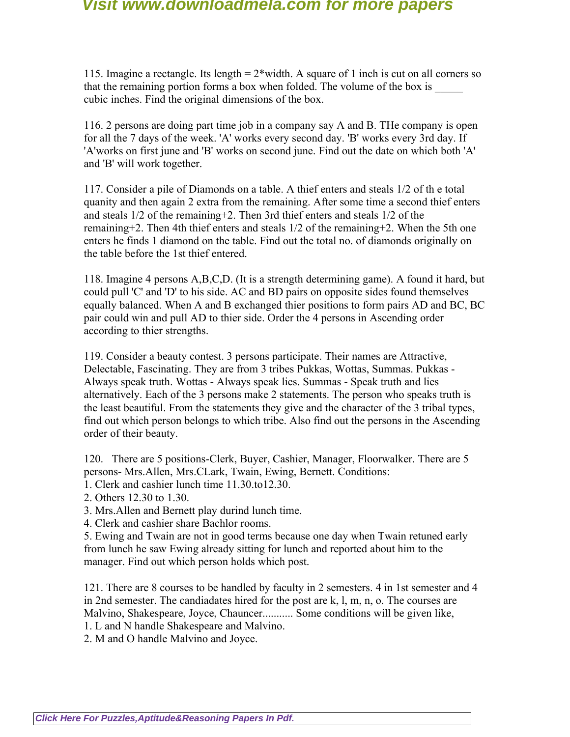115. Imagine a rectangle. Its length = 2\*width. A square of 1 inch is cut on all corners so that the remaining portion forms a box when folded. The volume of the box is cubic inches. Find the original dimensions of the box.

116. 2 persons are doing part time job in a company say A and B. THe company is open for all the 7 days of the week. 'A' works every second day. 'B' works every 3rd day. If 'A'works on first june and 'B' works on second june. Find out the date on which both 'A' and 'B' will work together.

117. Consider a pile of Diamonds on a table. A thief enters and steals 1/2 of th e total quanity and then again 2 extra from the remaining. After some time a second thief enters and steals 1/2 of the remaining+2. Then 3rd thief enters and steals 1/2 of the remaining+2. Then 4th thief enters and steals 1/2 of the remaining+2. When the 5th one enters he finds 1 diamond on the table. Find out the total no. of diamonds originally on the table before the 1st thief entered.

118. Imagine 4 persons A,B,C,D. (It is a strength determining game). A found it hard, but could pull 'C' and 'D' to his side. AC and BD pairs on opposite sides found themselves equally balanced. When A and B exchanged thier positions to form pairs AD and BC, BC pair could win and pull AD to thier side. Order the 4 persons in Ascending order according to thier strengths.

119. Consider a beauty contest. 3 persons participate. Their names are Attractive, Delectable, Fascinating. They are from 3 tribes Pukkas, Wottas, Summas. Pukkas - Always speak truth. Wottas - Always speak lies. Summas - Speak truth and lies alternatively. Each of the 3 persons make 2 statements. The person who speaks truth is the least beautiful. From the statements they give and the character of the 3 tribal types, find out which person belongs to which tribe. Also find out the persons in the Ascending order of their beauty.

120. There are 5 positions-Clerk, Buyer, Cashier, Manager, Floorwalker. There are 5 persons- Mrs.Allen, Mrs.CLark, Twain, Ewing, Bernett. Conditions:

- 1. Clerk and cashier lunch time 11.30.to12.30.
- 2. Others 12.30 to 1.30.

3. Mrs.Allen and Bernett play durind lunch time.

4. Clerk and cashier share Bachlor rooms.

5. Ewing and Twain are not in good terms because one day when Twain retuned early from lunch he saw Ewing already sitting for lunch and reported about him to the manager. Find out which person holds which post.

121. There are 8 courses to be handled by faculty in 2 semesters. 4 in 1st semester and 4 in 2nd semester. The candiadates hired for the post are k, l, m, n, o. The courses are Malvino, Shakespeare, Joyce, Chauncer........... Some conditions will be given like, 1. L and N handle Shakespeare and Malvino.

2. M and O handle Malvino and Joyce.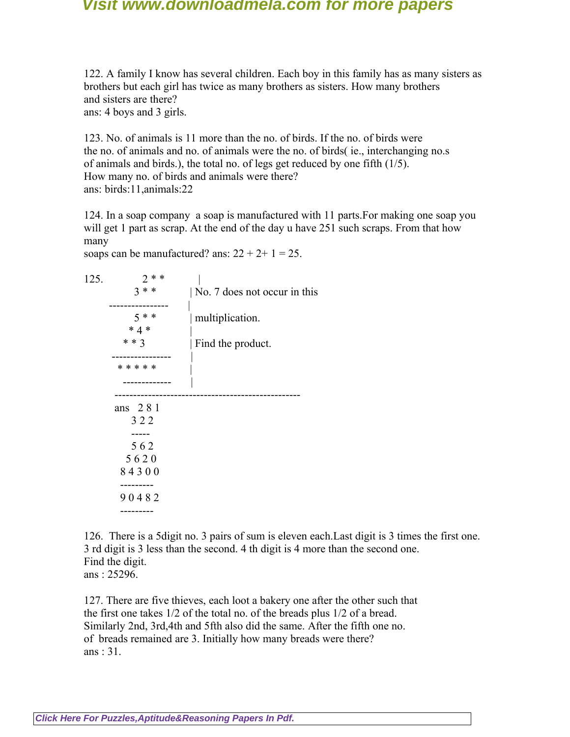122. A family I know has several children. Each boy in this family has as many sisters as brothers but each girl has twice as many brothers as sisters. How many brothers and sisters are there? ans: 4 boys and 3 girls.

123. No. of animals is 11 more than the no. of birds. If the no. of birds were the no. of animals and no. of animals were the no. of birds( ie., interchanging no.s of animals and birds.), the total no. of legs get reduced by one fifth (1/5). How many no. of birds and animals were there? ans: birds:11,animals:22

124. In a soap company a soap is manufactured with 11 parts.For making one soap you will get 1 part as scrap. At the end of the day u have 251 such scraps. From that how many

soaps can be manufactured? ans:  $22 + 2 + 1 = 25$ .

 $125. 2$  \* \* |  $3$  \* \* | No. 7 does not occur in this ---------------- | 5 \* \* | multiplication.  $* 4 *$ \* \* 3 | Find the product. ------------------ |<br>|<br>| \* \* \* \* \* | ------------- | ------------------------------------------------- ans 2 8 1 3 2 2 ----- 5 6 2 5 6 2 0 8 4 3 0 0 --------- 9 0 4 8 2 ---------

126. There is a 5digit no. 3 pairs of sum is eleven each.Last digit is 3 times the first one. 3 rd digit is 3 less than the second. 4 th digit is 4 more than the second one. Find the digit. ans : 25296.

127. There are five thieves, each loot a bakery one after the other such that the first one takes 1/2 of the total no. of the breads plus 1/2 of a bread. Similarly 2nd, 3rd,4th and 5fth also did the same. After the fifth one no. of breads remained are 3. Initially how many breads were there? ans : 31.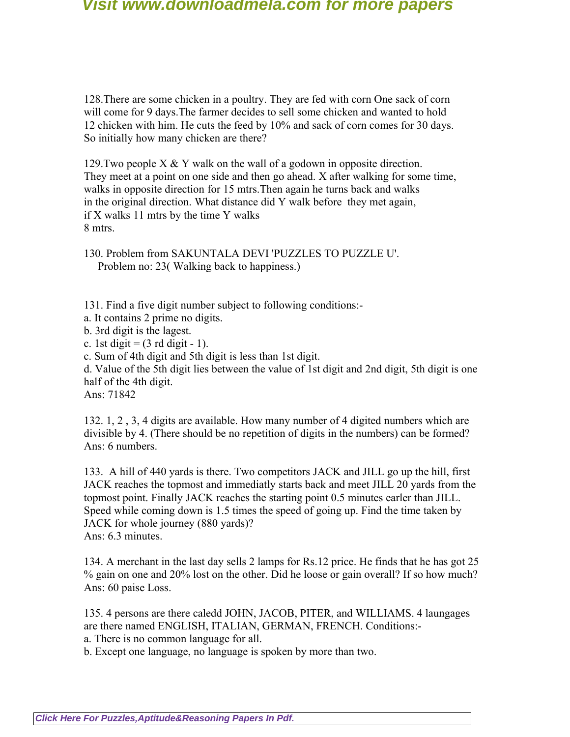128.There are some chicken in a poultry. They are fed with corn One sack of corn will come for 9 days.The farmer decides to sell some chicken and wanted to hold 12 chicken with him. He cuts the feed by 10% and sack of corn comes for 30 days. So initially how many chicken are there?

129.Two people X & Y walk on the wall of a godown in opposite direction. They meet at a point on one side and then go ahead. X after walking for some time, walks in opposite direction for 15 mtrs. Then again he turns back and walks in the original direction. What distance did Y walk before they met again, if X walks 11 mtrs by the time Y walks 8 mtrs.

130. Problem from SAKUNTALA DEVI 'PUZZLES TO PUZZLE U'. Problem no: 23( Walking back to happiness.)

131. Find a five digit number subject to following conditions:-

a. It contains 2 prime no digits.

b. 3rd digit is the lagest.

c. 1st digit  $= (3 \text{ rd digit} - 1)$ .

c. Sum of 4th digit and 5th digit is less than 1st digit.

d. Value of the 5th digit lies between the value of 1st digit and 2nd digit, 5th digit is one half of the 4th digit.

Ans: 71842

132. 1, 2 , 3, 4 digits are available. How many number of 4 digited numbers which are divisible by 4. (There should be no repetition of digits in the numbers) can be formed? Ans: 6 numbers.

133. A hill of 440 yards is there. Two competitors JACK and JILL go up the hill, first JACK reaches the topmost and immediatly starts back and meet JILL 20 yards from the topmost point. Finally JACK reaches the starting point 0.5 minutes earler than JILL. Speed while coming down is 1.5 times the speed of going up. Find the time taken by JACK for whole journey (880 yards)? Ans: 6.3 minutes.

134. A merchant in the last day sells 2 lamps for Rs.12 price. He finds that he has got 25 % gain on one and 20% lost on the other. Did he loose or gain overall? If so how much? Ans: 60 paise Loss.

135. 4 persons are there caledd JOHN, JACOB, PITER, and WILLIAMS. 4 laungages are there named ENGLISH, ITALIAN, GERMAN, FRENCH. Conditions: a. There is no common language for all.

b. Except one language, no language is spoken by more than two.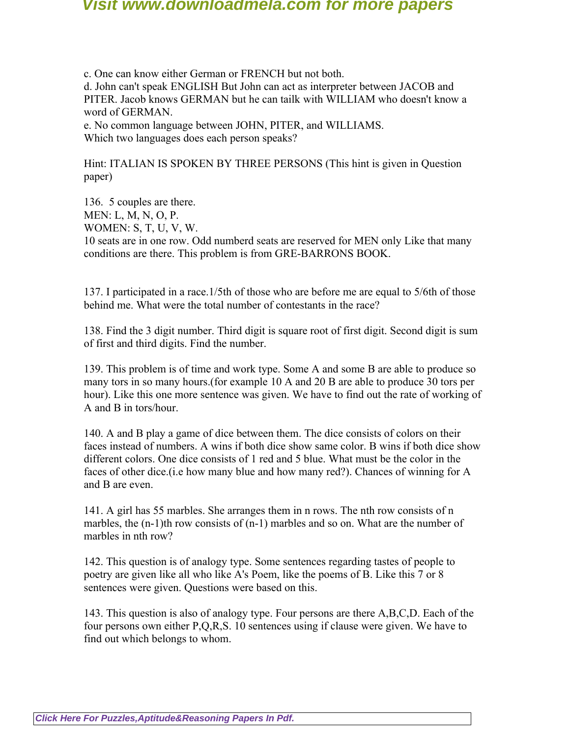c. One can know either German or FRENCH but not both. d. John can't speak ENGLISH But John can act as interpreter between JACOB and PITER. Jacob knows GERMAN but he can tailk with WILLIAM who doesn't know a word of GERMAN.

e. No common language between JOHN, PITER, and WILLIAMS. Which two languages does each person speaks?

Hint: ITALIAN IS SPOKEN BY THREE PERSONS (This hint is given in Question paper)

136. 5 couples are there. MEN: L, M, N, O, P. WOMEN: S, T, U, V, W. 10 seats are in one row. Odd numberd seats are reserved for MEN only Like that many conditions are there. This problem is from GRE-BARRONS BOOK.

137. I participated in a race.1/5th of those who are before me are equal to 5/6th of those behind me. What were the total number of contestants in the race?

138. Find the 3 digit number. Third digit is square root of first digit. Second digit is sum of first and third digits. Find the number.

139. This problem is of time and work type. Some A and some B are able to produce so many tors in so many hours.(for example 10 A and 20 B are able to produce 30 tors per hour). Like this one more sentence was given. We have to find out the rate of working of A and B in tors/hour.

140. A and B play a game of dice between them. The dice consists of colors on their faces instead of numbers. A wins if both dice show same color. B wins if both dice show different colors. One dice consists of 1 red and 5 blue. What must be the color in the faces of other dice.(i.e how many blue and how many red?). Chances of winning for A and B are even.

141. A girl has 55 marbles. She arranges them in n rows. The nth row consists of n marbles, the  $(n-1)$ th row consists of  $(n-1)$  marbles and so on. What are the number of marbles in nth row?

142. This question is of analogy type. Some sentences regarding tastes of people to poetry are given like all who like A's Poem, like the poems of B. Like this 7 or 8 sentences were given. Questions were based on this.

143. This question is also of analogy type. Four persons are there A,B,C,D. Each of the four persons own either P,Q,R,S. 10 sentences using if clause were given. We have to find out which belongs to whom.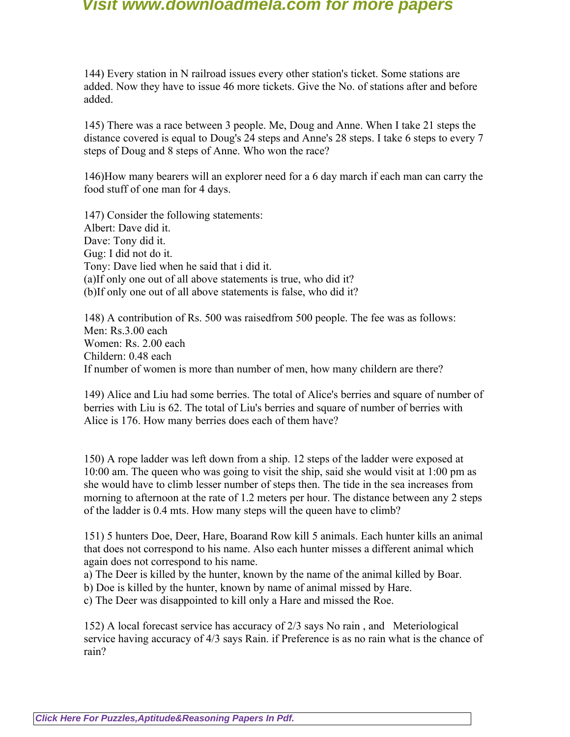144) Every station in N railroad issues every other station's ticket. Some stations are added. Now they have to issue 46 more tickets. Give the No. of stations after and before added.

145) There was a race between 3 people. Me, Doug and Anne. When I take 21 steps the distance covered is equal to Doug's 24 steps and Anne's 28 steps. I take 6 steps to every 7 steps of Doug and 8 steps of Anne. Who won the race?

146)How many bearers will an explorer need for a 6 day march if each man can carry the food stuff of one man for 4 days.

147) Consider the following statements: Albert: Dave did it. Dave: Tony did it. Gug: I did not do it. Tony: Dave lied when he said that i did it. (a)If only one out of all above statements is true, who did it? (b)If only one out of all above statements is false, who did it?

148) A contribution of Rs. 500 was raisedfrom 500 people. The fee was as follows: Men: Rs.3.00 each Women: Rs. 2.00 each Childern: 0.48 each If number of women is more than number of men, how many childern are there?

149) Alice and Liu had some berries. The total of Alice's berries and square of number of berries with Liu is 62. The total of Liu's berries and square of number of berries with Alice is 176. How many berries does each of them have?

150) A rope ladder was left down from a ship. 12 steps of the ladder were exposed at 10:00 am. The queen who was going to visit the ship, said she would visit at 1:00 pm as she would have to climb lesser number of steps then. The tide in the sea increases from morning to afternoon at the rate of 1.2 meters per hour. The distance between any 2 steps of the ladder is 0.4 mts. How many steps will the queen have to climb?

151) 5 hunters Doe, Deer, Hare, Boarand Row kill 5 animals. Each hunter kills an animal that does not correspond to his name. Also each hunter misses a different animal which again does not correspond to his name.

a) The Deer is killed by the hunter, known by the name of the animal killed by Boar.

b) Doe is killed by the hunter, known by name of animal missed by Hare.

c) The Deer was disappointed to kill only a Hare and missed the Roe.

152) A local forecast service has accuracy of 2/3 says No rain , and Meteriological service having accuracy of 4/3 says Rain. if Preference is as no rain what is the chance of rain?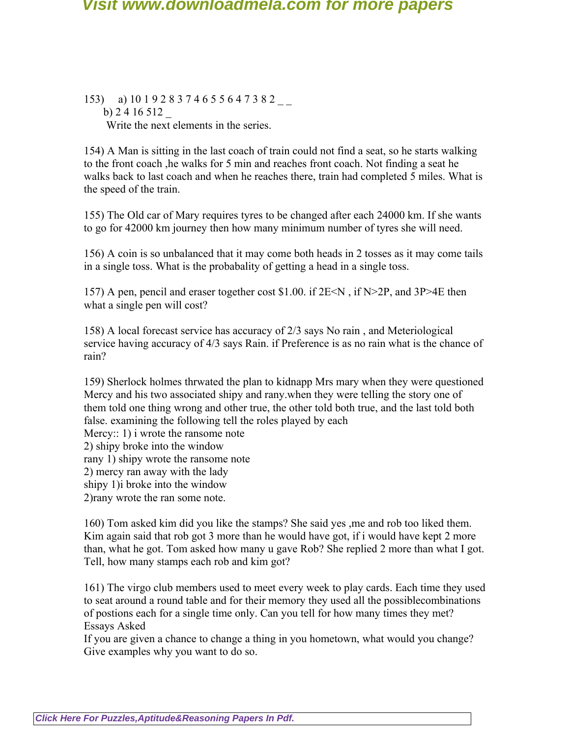153) a) 10 1 9 2 8 3 7 4 6 5 5 6 4 7 3 8 2 b) 2 4 16 512 \_ Write the next elements in the series.

154) A Man is sitting in the last coach of train could not find a seat, so he starts walking to the front coach ,he walks for 5 min and reaches front coach. Not finding a seat he walks back to last coach and when he reaches there, train had completed 5 miles. What is the speed of the train.

155) The Old car of Mary requires tyres to be changed after each 24000 km. If she wants to go for 42000 km journey then how many minimum number of tyres she will need.

156) A coin is so unbalanced that it may come both heads in 2 tosses as it may come tails in a single toss. What is the probabality of getting a head in a single toss.

157) A pen, pencil and eraser together cost \$1.00. if  $2E \le N$ , if  $N>2P$ , and  $3P>4E$  then what a single pen will cost?

158) A local forecast service has accuracy of 2/3 says No rain , and Meteriological service having accuracy of 4/3 says Rain. if Preference is as no rain what is the chance of rain?

159) Sherlock holmes thrwated the plan to kidnapp Mrs mary when they were questioned Mercy and his two associated shipy and rany.when they were telling the story one of them told one thing wrong and other true, the other told both true, and the last told both false. examining the following tell the roles played by each Mercy: 1) i wrote the ransome note 2) shipy broke into the window rany 1) shipy wrote the ransome note 2) mercy ran away with the lady shipy 1)i broke into the window 2)rany wrote the ran some note.

160) Tom asked kim did you like the stamps? She said yes ,me and rob too liked them. Kim again said that rob got 3 more than he would have got, if i would have kept 2 more than, what he got. Tom asked how many u gave Rob? She replied 2 more than what I got. Tell, how many stamps each rob and kim got?

161) The virgo club members used to meet every week to play cards. Each time they used to seat around a round table and for their memory they used all the possiblecombinations of postions each for a single time only. Can you tell for how many times they met? Essays Asked

If you are given a chance to change a thing in you hometown, what would you change? Give examples why you want to do so.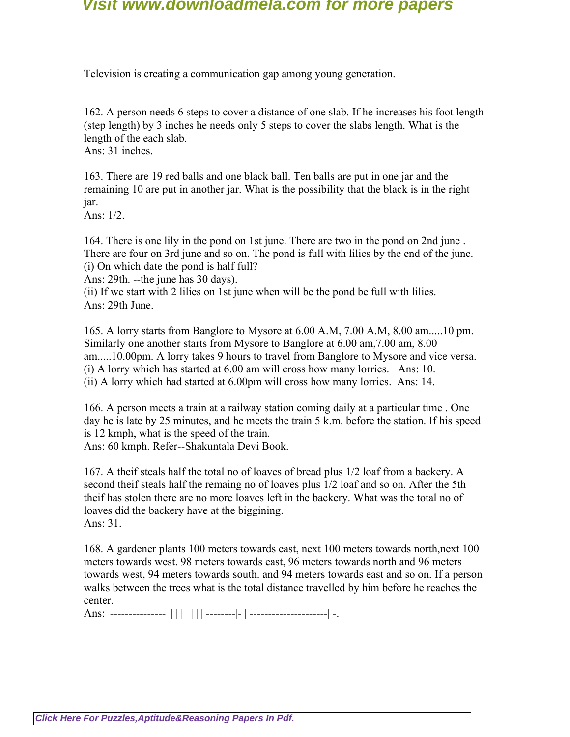Television is creating a communication gap among young generation.

162. A person needs 6 steps to cover a distance of one slab. If he increases his foot length (step length) by 3 inches he needs only 5 steps to cover the slabs length. What is the length of the each slab. Ans: 31 inches.

163. There are 19 red balls and one black ball. Ten balls are put in one jar and the remaining 10 are put in another jar. What is the possibility that the black is in the right jar.

Ans: 1/2.

164. There is one lily in the pond on 1st june. There are two in the pond on 2nd june . There are four on 3rd june and so on. The pond is full with lilies by the end of the june. (i) On which date the pond is half full?

Ans: 29th. --the june has 30 days).

(ii) If we start with 2 lilies on 1st june when will be the pond be full with lilies. Ans: 29th June.

165. A lorry starts from Banglore to Mysore at 6.00 A.M, 7.00 A.M, 8.00 am.....10 pm. Similarly one another starts from Mysore to Banglore at 6.00 am,7.00 am, 8.00 am.....10.00pm. A lorry takes 9 hours to travel from Banglore to Mysore and vice versa. (i) A lorry which has started at 6.00 am will cross how many lorries. Ans: 10. (ii) A lorry which had started at 6.00pm will cross how many lorries. Ans: 14.

166. A person meets a train at a railway station coming daily at a particular time . One day he is late by 25 minutes, and he meets the train 5 k.m. before the station. If his speed is 12 kmph, what is the speed of the train.

Ans: 60 kmph. Refer--Shakuntala Devi Book.

167. A theif steals half the total no of loaves of bread plus 1/2 loaf from a backery. A second theif steals half the remaing no of loaves plus 1/2 loaf and so on. After the 5th theif has stolen there are no more loaves left in the backery. What was the total no of loaves did the backery have at the biggining. Ans: 31.

168. A gardener plants 100 meters towards east, next 100 meters towards north,next 100 meters towards west. 98 meters towards east, 96 meters towards north and 96 meters towards west, 94 meters towards south. and 94 meters towards east and so on. If a person walks between the trees what is the total distance travelled by him before he reaches the center.

Ans: |---------------| | | | | | | | --------|- | ---------------------| -.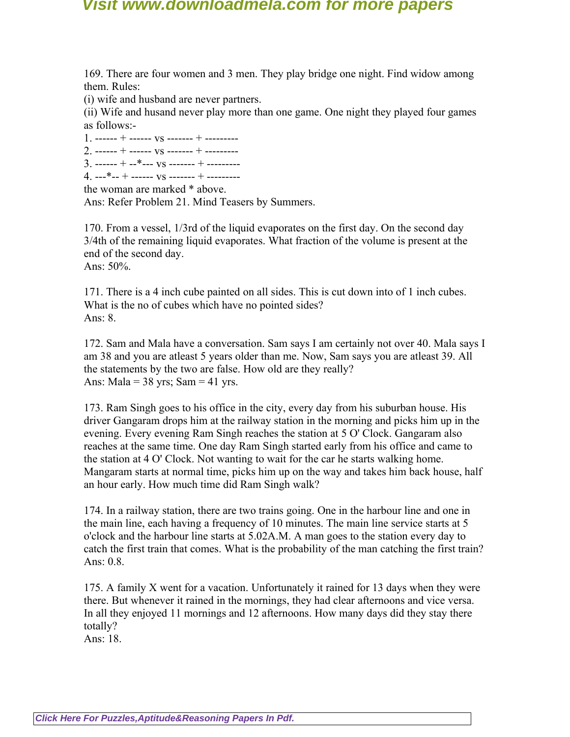169. There are four women and 3 men. They play bridge one night. Find widow among them. Rules:

(i) wife and husband are never partners.

(ii) Wife and husand never play more than one game. One night they played four games as follows:-

 $1.$  ------ + ------  $\text{vs}$  ------- + --------- $2$  ------ + ------  $\text{vs}$  ------- + ---------

 $3.$  ------ + --\*---  $\text{vs}$  ------- + ---------

 $4. --$ \*-- + ------  $VS$  ------- + ---------

the woman are marked \* above.

Ans: Refer Problem 21. Mind Teasers by Summers.

170. From a vessel, 1/3rd of the liquid evaporates on the first day. On the second day 3/4th of the remaining liquid evaporates. What fraction of the volume is present at the end of the second day.

Ans: 50%.

171. There is a 4 inch cube painted on all sides. This is cut down into of 1 inch cubes. What is the no of cubes which have no pointed sides? Ans: 8.

172. Sam and Mala have a conversation. Sam says I am certainly not over 40. Mala says I am 38 and you are atleast 5 years older than me. Now, Sam says you are atleast 39. All the statements by the two are false. How old are they really? Ans: Mala =  $38 \text{ yrs}$ ; Sam =  $41 \text{ yrs}$ .

173. Ram Singh goes to his office in the city, every day from his suburban house. His driver Gangaram drops him at the railway station in the morning and picks him up in the evening. Every evening Ram Singh reaches the station at 5 O' Clock. Gangaram also reaches at the same time. One day Ram Singh started early from his office and came to the station at 4 O' Clock. Not wanting to wait for the car he starts walking home. Mangaram starts at normal time, picks him up on the way and takes him back house, half an hour early. How much time did Ram Singh walk?

174. In a railway station, there are two trains going. One in the harbour line and one in the main line, each having a frequency of 10 minutes. The main line service starts at 5 o'clock and the harbour line starts at 5.02A.M. A man goes to the station every day to catch the first train that comes. What is the probability of the man catching the first train? Ans: 0.8.

175. A family X went for a vacation. Unfortunately it rained for 13 days when they were there. But whenever it rained in the mornings, they had clear afternoons and vice versa. In all they enjoyed 11 mornings and 12 afternoons. How many days did they stay there totally?

Ans: 18.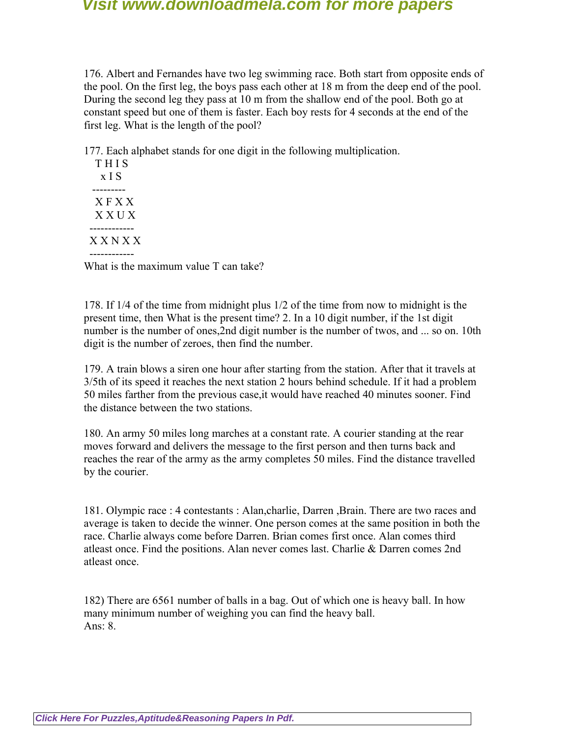176. Albert and Fernandes have two leg swimming race. Both start from opposite ends of the pool. On the first leg, the boys pass each other at 18 m from the deep end of the pool. During the second leg they pass at 10 m from the shallow end of the pool. Both go at constant speed but one of them is faster. Each boy rests for 4 seconds at the end of the first leg. What is the length of the pool?

177. Each alphabet stands for one digit in the following multiplication.

| THIS<br>x I S          |
|------------------------|
| <b>XFXX</b><br>X X U X |
| XXNXX                  |

What is the maximum value T can take?

178. If 1/4 of the time from midnight plus 1/2 of the time from now to midnight is the present time, then What is the present time? 2. In a 10 digit number, if the 1st digit number is the number of ones, 2nd digit number is the number of twos, and ... so on. 10th digit is the number of zeroes, then find the number.

179. A train blows a siren one hour after starting from the station. After that it travels at 3/5th of its speed it reaches the next station 2 hours behind schedule. If it had a problem 50 miles farther from the previous case,it would have reached 40 minutes sooner. Find the distance between the two stations.

180. An army 50 miles long marches at a constant rate. A courier standing at the rear moves forward and delivers the message to the first person and then turns back and reaches the rear of the army as the army completes 50 miles. Find the distance travelled by the courier.

181. Olympic race : 4 contestants : Alan,charlie, Darren ,Brain. There are two races and average is taken to decide the winner. One person comes at the same position in both the race. Charlie always come before Darren. Brian comes first once. Alan comes third atleast once. Find the positions. Alan never comes last. Charlie & Darren comes 2nd atleast once.

182) There are 6561 number of balls in a bag. Out of which one is heavy ball. In how many minimum number of weighing you can find the heavy ball. Ans: 8.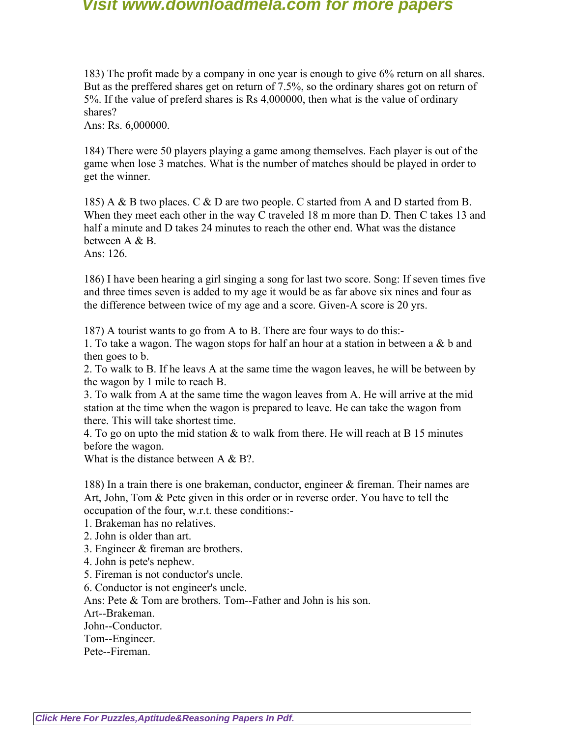183) The profit made by a company in one year is enough to give 6% return on all shares. But as the preffered shares get on return of 7.5%, so the ordinary shares got on return of 5%. If the value of preferd shares is Rs 4,000000, then what is the value of ordinary shares?

Ans: Rs. 6,000000.

184) There were 50 players playing a game among themselves. Each player is out of the game when lose 3 matches. What is the number of matches should be played in order to get the winner.

185) A & B two places. C & D are two people. C started from A and D started from B. When they meet each other in the way C traveled 18 m more than D. Then C takes 13 and half a minute and D takes 24 minutes to reach the other end. What was the distance between A & B.

Ans: 126.

186) I have been hearing a girl singing a song for last two score. Song: If seven times five and three times seven is added to my age it would be as far above six nines and four as the difference between twice of my age and a score. Given-A score is 20 yrs.

187) A tourist wants to go from A to B. There are four ways to do this:-

1. To take a wagon. The wagon stops for half an hour at a station in between a & b and then goes to b.

2. To walk to B. If he leavs A at the same time the wagon leaves, he will be between by the wagon by 1 mile to reach B.

3. To walk from A at the same time the wagon leaves from A. He will arrive at the mid station at the time when the wagon is prepared to leave. He can take the wagon from there. This will take shortest time.

4. To go on upto the mid station  $\&$  to walk from there. He will reach at B 15 minutes before the wagon.

What is the distance between  $A \& B?$ .

188) In a train there is one brakeman, conductor, engineer & fireman. Their names are Art, John, Tom & Pete given in this order or in reverse order. You have to tell the occupation of the four, w.r.t. these conditions:-

1. Brakeman has no relatives.

2. John is older than art.

3. Engineer & fireman are brothers.

4. John is pete's nephew.

5. Fireman is not conductor's uncle.

6. Conductor is not engineer's uncle.

Ans: Pete & Tom are brothers. Tom--Father and John is his son.

Art--Brakeman.

John--Conductor.

Tom--Engineer.

Pete--Fireman.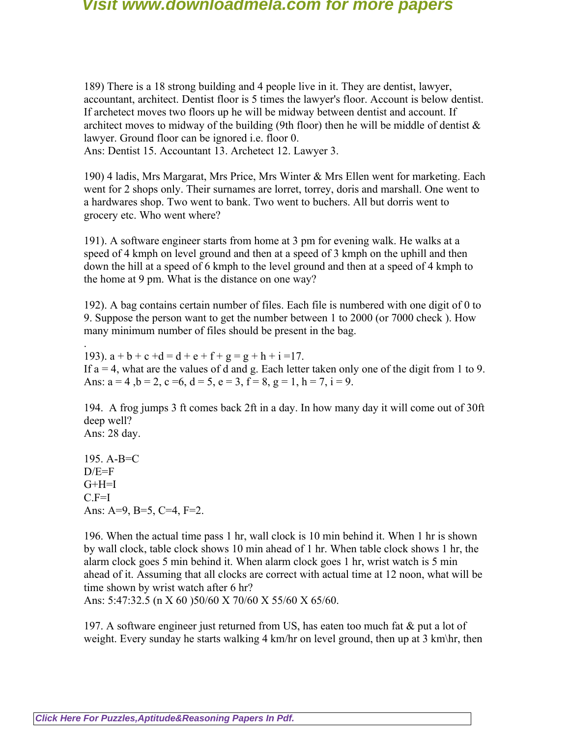189) There is a 18 strong building and 4 people live in it. They are dentist, lawyer, accountant, architect. Dentist floor is 5 times the lawyer's floor. Account is below dentist. If archetect moves two floors up he will be midway between dentist and account. If architect moves to midway of the building (9th floor) then he will be middle of dentist  $\&$ lawyer. Ground floor can be ignored i.e. floor 0.

Ans: Dentist 15. Accountant 13. Archetect 12. Lawyer 3.

190) 4 ladis, Mrs Margarat, Mrs Price, Mrs Winter & Mrs Ellen went for marketing. Each went for 2 shops only. Their surnames are lorret, torrey, doris and marshall. One went to a hardwares shop. Two went to bank. Two went to buchers. All but dorris went to grocery etc. Who went where?

191). A software engineer starts from home at 3 pm for evening walk. He walks at a speed of 4 kmph on level ground and then at a speed of 3 kmph on the uphill and then down the hill at a speed of 6 kmph to the level ground and then at a speed of 4 kmph to the home at 9 pm. What is the distance on one way?

192). A bag contains certain number of files. Each file is numbered with one digit of 0 to 9. Suppose the person want to get the number between 1 to 2000 (or 7000 check ). How many minimum number of files should be present in the bag.

. 193).  $a + b + c + d = d + e + f + g = g + h + i = 17$ . If  $a = 4$ , what are the values of d and g. Each letter taken only one of the digit from 1 to 9. Ans:  $a = 4$ ,  $b = 2$ ,  $c = 6$ ,  $d = 5$ ,  $e = 3$ ,  $f = 8$ ,  $g = 1$ ,  $h = 7$ ,  $i = 9$ .

194. A frog jumps 3 ft comes back 2ft in a day. In how many day it will come out of 30ft deep well? Ans: 28 day.

195. A-B=C  $D/E=F$  $G+H=I$  $C.F=I$ Ans: A=9, B=5, C=4, F=2.

196. When the actual time pass 1 hr, wall clock is 10 min behind it. When 1 hr is shown by wall clock, table clock shows 10 min ahead of 1 hr. When table clock shows 1 hr, the alarm clock goes 5 min behind it. When alarm clock goes 1 hr, wrist watch is 5 min ahead of it. Assuming that all clocks are correct with actual time at 12 noon, what will be time shown by wrist watch after 6 hr?

Ans: 5:47:32.5 (n X 60 )50/60 X 70/60 X 55/60 X 65/60.

197. A software engineer just returned from US, has eaten too much fat & put a lot of weight. Every sunday he starts walking 4 km/hr on level ground, then up at 3 km\hr, then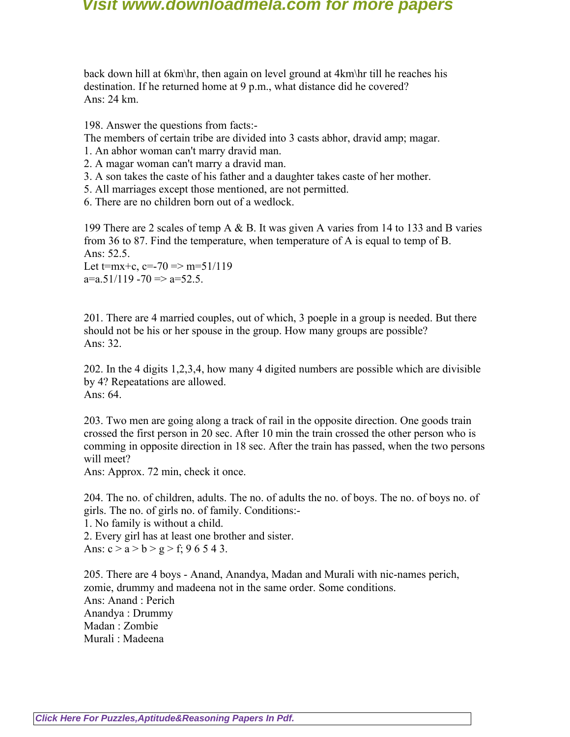back down hill at 6km\hr, then again on level ground at 4km\hr till he reaches his destination. If he returned home at 9 p.m., what distance did he covered? Ans: 24 km.

198. Answer the questions from facts:-

The members of certain tribe are divided into 3 casts abhor, dravid amp; magar.

- 1. An abhor woman can't marry dravid man.
- 2. A magar woman can't marry a dravid man.
- 3. A son takes the caste of his father and a daughter takes caste of her mother.
- 5. All marriages except those mentioned, are not permitted.
- 6. There are no children born out of a wedlock.

199 There are 2 scales of temp A & B. It was given A varies from 14 to 133 and B varies from 36 to 87. Find the temperature, when temperature of A is equal to temp of B. Ans: 52.5.

Let  $t=mx+c$ ,  $c=-70 \Rightarrow m=51/119$  $a=a.51/119 - 70 \implies a=52.5$ .

201. There are 4 married couples, out of which, 3 poeple in a group is needed. But there should not be his or her spouse in the group. How many groups are possible? Ans: 32.

202. In the 4 digits 1,2,3,4, how many 4 digited numbers are possible which are divisible by 4? Repeatations are allowed. Ans: 64.

203. Two men are going along a track of rail in the opposite direction. One goods train crossed the first person in 20 sec. After 10 min the train crossed the other person who is comming in opposite direction in 18 sec. After the train has passed, when the two persons will meet?

Ans: Approx. 72 min, check it once.

204. The no. of children, adults. The no. of adults the no. of boys. The no. of boys no. of girls. The no. of girls no. of family. Conditions:-

1. No family is without a child.

2. Every girl has at least one brother and sister.

Ans:  $c > a > b > g > f$ ; 9 6 5 4 3.

205. There are 4 boys - Anand, Anandya, Madan and Murali with nic-names perich, zomie, drummy and madeena not in the same order. Some conditions. Ans: Anand : Perich Anandya : Drummy Madan : Zombie Murali : Madeena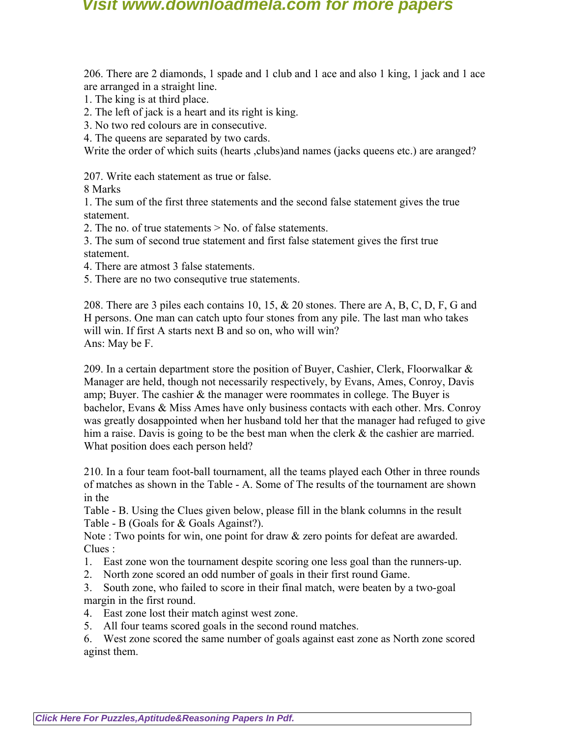206. There are 2 diamonds, 1 spade and 1 club and 1 ace and also 1 king, 1 jack and 1 ace are arranged in a straight line.

- 1. The king is at third place.
- 2. The left of jack is a heart and its right is king.
- 3. No two red colours are in consecutive.
- 4. The queens are separated by two cards.

Write the order of which suits (hearts , clubs) and names (jacks queens etc.) are aranged?

207. Write each statement as true or false.

8 Marks

1. The sum of the first three statements and the second false statement gives the true statement.

2. The no. of true statements > No. of false statements.

3. The sum of second true statement and first false statement gives the first true statement.

- 4. There are atmost 3 false statements.
- 5. There are no two consequtive true statements.

208. There are 3 piles each contains 10, 15, & 20 stones. There are A, B, C, D, F, G and H persons. One man can catch upto four stones from any pile. The last man who takes will win. If first A starts next B and so on, who will win? Ans: May be F.

209. In a certain department store the position of Buyer, Cashier, Clerk, Floorwalkar  $\&$ Manager are held, though not necessarily respectively, by Evans, Ames, Conroy, Davis amp; Buyer. The cashier & the manager were roommates in college. The Buyer is bachelor, Evans & Miss Ames have only business contacts with each other. Mrs. Conroy was greatly dosappointed when her husband told her that the manager had refuged to give him a raise. Davis is going to be the best man when the clerk  $\&$  the cashier are married. What position does each person held?

210. In a four team foot-ball tournament, all the teams played each Other in three rounds of matches as shown in the Table - A. Some of The results of the tournament are shown in the

Table - B. Using the Clues given below, please fill in the blank columns in the result Table - B (Goals for & Goals Against?).

Note : Two points for win, one point for draw & zero points for defeat are awarded. Clues :

- 1. East zone won the tournament despite scoring one less goal than the runners-up.
- 2. North zone scored an odd number of goals in their first round Game.

3. South zone, who failed to score in their final match, were beaten by a two-goal margin in the first round.

- 4. East zone lost their match aginst west zone.
- 5. All four teams scored goals in the second round matches.

6. West zone scored the same number of goals against east zone as North zone scored aginst them.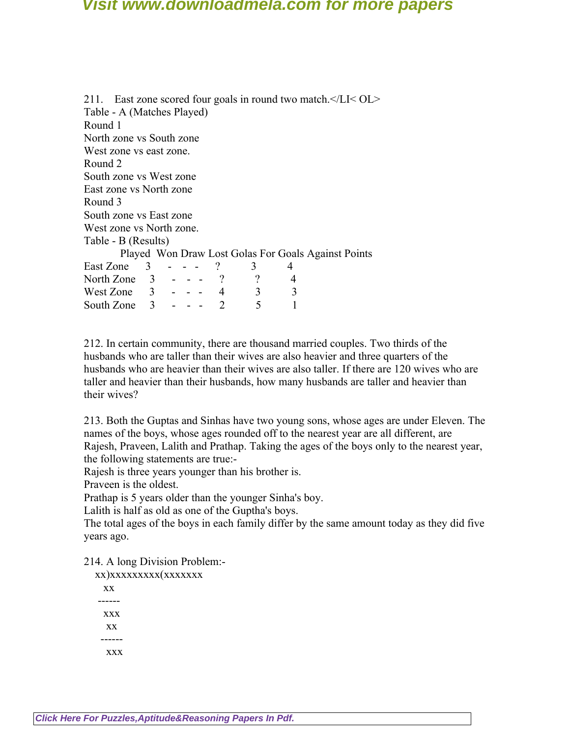211. East zone scored four goals in round two match.</LI< OL> Table - A (Matches Played) Round 1 North zone vs South zone West zone vs east zone. Round 2 South zone vs West zone East zone vs North zone Round 3 South zone vs East zone West zone vs North zone. Table - B (Results) Played Won Draw Lost Golas For Goals Against Points East Zone  $3 - - -$  ?  $3 \t 4$ North Zone 3 - - - ? ? 4 West Zone  $3 - - - 4$   $3$   $3$ South Zone  $3 - - - 2 = 5$  1

212. In certain community, there are thousand married couples. Two thirds of the husbands who are taller than their wives are also heavier and three quarters of the husbands who are heavier than their wives are also taller. If there are 120 wives who are taller and heavier than their husbands, how many husbands are taller and heavier than their wives?

213. Both the Guptas and Sinhas have two young sons, whose ages are under Eleven. The names of the boys, whose ages rounded off to the nearest year are all different, are Rajesh, Praveen, Lalith and Prathap. Taking the ages of the boys only to the nearest year, the following statements are true:-

Rajesh is three years younger than his brother is.

Praveen is the oldest.

Prathap is 5 years older than the younger Sinha's boy.

Lalith is half as old as one of the Guptha's boys.

The total ages of the boys in each family differ by the same amount today as they did five years ago.

214. A long Division Problem:-

| xx) xxxxxxxxx(xxxxxxx |  |
|-----------------------|--|
| <b>XX</b>             |  |
|                       |  |
| <b>XXX</b>            |  |
| <b>XX</b>             |  |
|                       |  |
| xxx                   |  |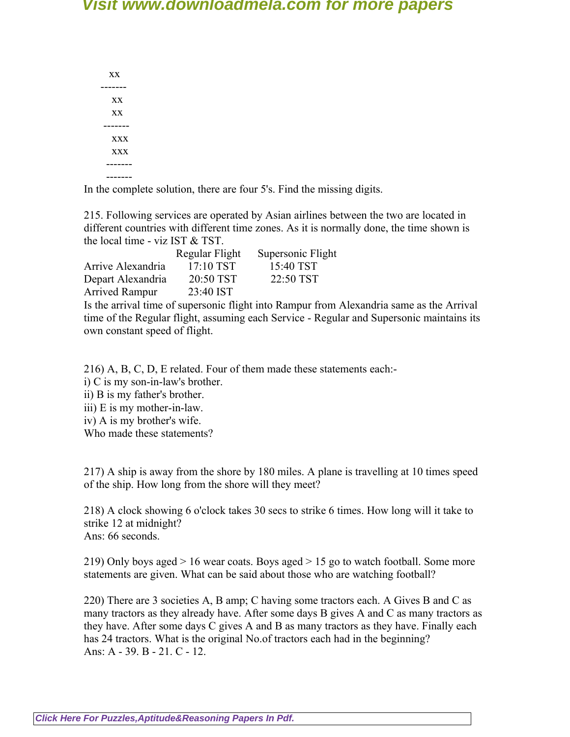xx ------ xx xx ------ xxx xxx ------- -------

In the complete solution, there are four 5's. Find the missing digits.

215. Following services are operated by Asian airlines between the two are located in different countries with different time zones. As it is normally done, the time shown is the local time - viz IST & TST.

|                       | Regular Flight | Supersonic Flight                                          |
|-----------------------|----------------|------------------------------------------------------------|
| Arrive Alexandria     | 17:10 TST      | 15:40 TST                                                  |
| Depart Alexandria     | 20:50 TST      | 22:50 TST                                                  |
| <b>Arrived Rampur</b> | 23:40 IST      |                                                            |
|                       |                | Is the arrival time of supersonic flight into Rampur from. |

Alexandria same as the Arrival time of the Regular flight, assuming each Service - Regular and Supersonic maintains its own constant speed of flight.

216) A, B, C, D, E related. Four of them made these statements each:-

i) C is my son-in-law's brother.

ii) B is my father's brother.

iii) E is my mother-in-law.

iv) A is my brother's wife.

Who made these statements?

217) A ship is away from the shore by 180 miles. A plane is travelling at 10 times speed of the ship. How long from the shore will they meet?

218) A clock showing 6 o'clock takes 30 secs to strike 6 times. How long will it take to strike 12 at midnight? Ans: 66 seconds.

219) Only boys aged > 16 wear coats. Boys aged > 15 go to watch football. Some more statements are given. What can be said about those who are watching football?

220) There are 3 societies A, B amp; C having some tractors each. A Gives B and C as many tractors as they already have. After some days B gives A and C as many tractors as they have. After some days C gives A and B as many tractors as they have. Finally each has 24 tractors. What is the original No.of tractors each had in the beginning? Ans: A - 39. B - 21. C - 12.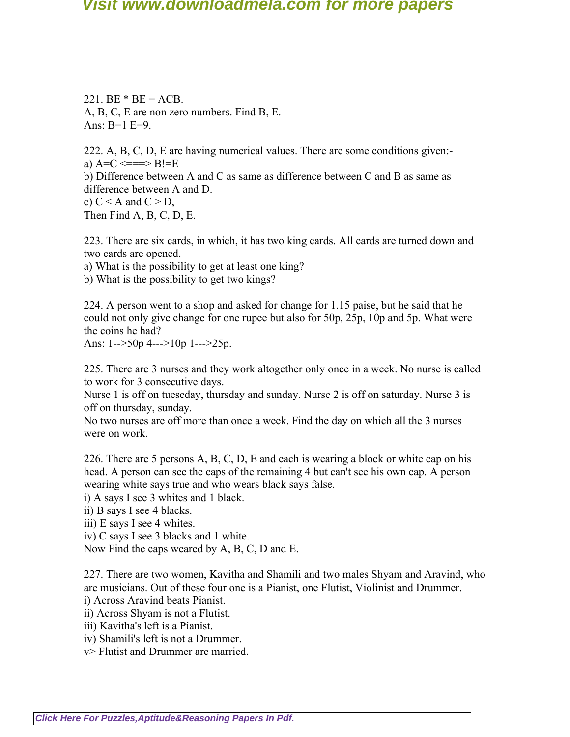221. BE  $*$  BE = ACB. A, B, C, E are non zero numbers. Find B, E. Ans: B=1 E=9.

222. A, B, C, D, E are having numerical values. There are some conditions given: a)  $A=C \leq R \leq B!=E$ b) Difference between A and C as same as difference between C and B as same as difference between A and D. c)  $C < A$  and  $C > D$ , Then Find A, B, C, D, E.

223. There are six cards, in which, it has two king cards. All cards are turned down and two cards are opened.

a) What is the possibility to get at least one king?

b) What is the possibility to get two kings?

224. A person went to a shop and asked for change for 1.15 paise, but he said that he could not only give change for one rupee but also for 50p, 25p, 10p and 5p. What were the coins he had?

Ans: 1-->50p 4--->10p 1--->25p.

225. There are 3 nurses and they work altogether only once in a week. No nurse is called to work for 3 consecutive days.

Nurse 1 is off on tueseday, thursday and sunday. Nurse 2 is off on saturday. Nurse 3 is off on thursday, sunday.

No two nurses are off more than once a week. Find the day on which all the 3 nurses were on work.

226. There are 5 persons A, B, C, D, E and each is wearing a block or white cap on his head. A person can see the caps of the remaining 4 but can't see his own cap. A person wearing white says true and who wears black says false.

i) A says I see 3 whites and 1 black.

ii) B says I see 4 blacks.

iii) E says I see 4 whites.

iv) C says I see 3 blacks and 1 white.

Now Find the caps weared by A, B, C, D and E.

227. There are two women, Kavitha and Shamili and two males Shyam and Aravind, who are musicians. Out of these four one is a Pianist, one Flutist, Violinist and Drummer.

i) Across Aravind beats Pianist.

ii) Across Shyam is not a Flutist.

iii) Kavitha's left is a Pianist.

iv) Shamili's left is not a Drummer.

v> Flutist and Drummer are married.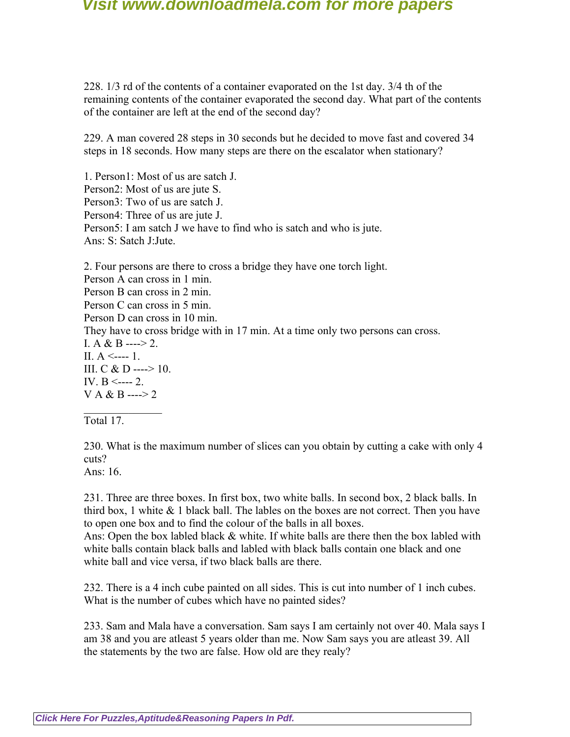228. 1/3 rd of the contents of a container evaporated on the 1st day. 3/4 th of the remaining contents of the container evaporated the second day. What part of the contents of the container are left at the end of the second day?

229. A man covered 28 steps in 30 seconds but he decided to move fast and covered 34 steps in 18 seconds. How many steps are there on the escalator when stationary?

1. Person1: Most of us are satch J. Person2: Most of us are jute S. Person3: Two of us are satch J. Person4: Three of us are jute J. Person5: I am satch J we have to find who is satch and who is jute. Ans: S: Satch J:Jute.

2. Four persons are there to cross a bridge they have one torch light. Person A can cross in 1 min. Person B can cross in 2 min. Person C can cross in 5 min. Person D can cross in 10 min. They have to cross bridge with in 17 min. At a time only two persons can cross. I. A & B ----> 2. II.  $A \le -1$ . III. C & D ----> 10. IV. B <---- 2.  $V A & B$  ----> 2  $\mathcal{L}_\text{max}$ 

Total 17.

230. What is the maximum number of slices can you obtain by cutting a cake with only 4 cuts?

Ans: 16.

231. Three are three boxes. In first box, two white balls. In second box, 2 black balls. In third box, 1 white  $&$  1 black ball. The lables on the boxes are not correct. Then you have to open one box and to find the colour of the balls in all boxes.

Ans: Open the box labled black & white. If white balls are there then the box labled with white balls contain black balls and labled with black balls contain one black and one white ball and vice versa, if two black balls are there.

232. There is a 4 inch cube painted on all sides. This is cut into number of 1 inch cubes. What is the number of cubes which have no painted sides?

233. Sam and Mala have a conversation. Sam says I am certainly not over 40. Mala says I am 38 and you are atleast 5 years older than me. Now Sam says you are atleast 39. All the statements by the two are false. How old are they realy?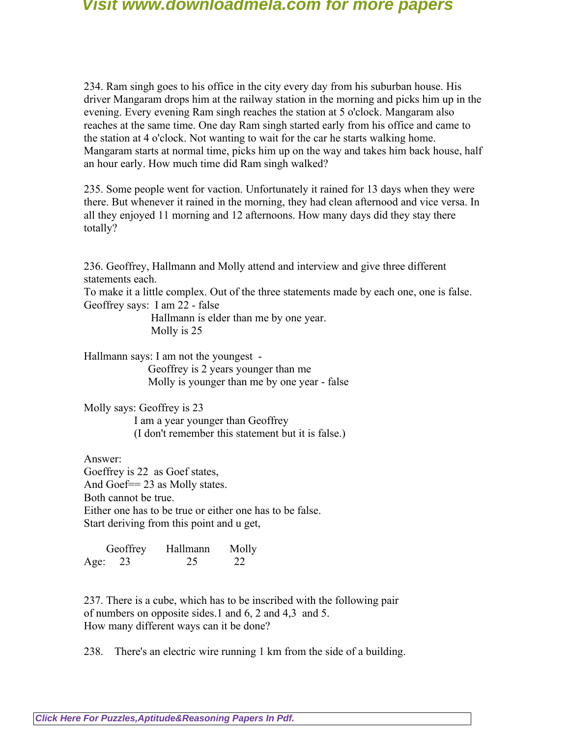234. Ram singh goes to his office in the city every day from his suburban house. His driver Mangaram drops him at the railway station in the morning and picks him up in the evening. Every evening Ram singh reaches the station at 5 o'clock. Mangaram also reaches at the same time. One day Ram singh started early from his office and came to the station at 4 o'clock. Not wanting to wait for the car he starts walking home. Mangaram starts at normal time, picks him up on the way and takes him back house, half an hour early. How much time did Ram singh walked?

235. Some people went for vaction. Unfortunately it rained for 13 days when they were there. But whenever it rained in the morning, they had clean afternood and vice versa. In all they enjoyed 11 morning and 12 afternoons. How many days did they stay there totally?

236. Geoffrey, Hallmann and Molly attend and interview and give three different statements each.

To make it a little complex. Out of the three statements made by each one, one is false. Geoffrey says: I am 22 - false

> Hallmann is elder than me by one year. Molly is 25

Hallmann says: I am not the youngest -

 Geoffrey is 2 years younger than me Molly is younger than me by one year - false

Molly says: Geoffrey is 23

 I am a year younger than Geoffrey (I don't remember this statement but it is false.)

Answer: Goeffrey is 22 as Goef states, And Goef= 23 as Molly states. Both cannot be true. Either one has to be true or either one has to be false. Start deriving from this point and u get,

 Geoffrey Hallmann Molly Age: 23 25 22

237. There is a cube, which has to be inscribed with the following pair of numbers on opposite sides.1 and 6, 2 and 4,3 and 5. How many different ways can it be done?

238. There's an electric wire running 1 km from the side of a building.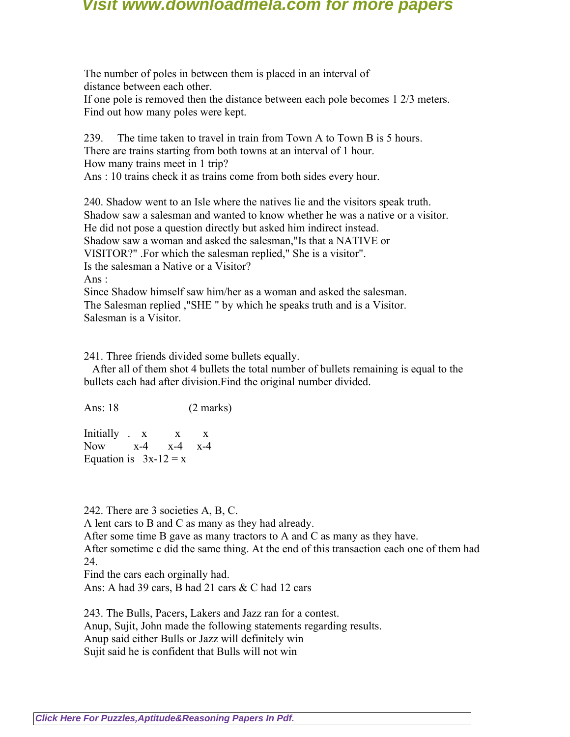The number of poles in between them is placed in an interval of distance between each other. If one pole is removed then the distance between each pole becomes 1 2/3 meters. Find out how many poles were kept.

239. The time taken to travel in train from Town A to Town B is 5 hours. There are trains starting from both towns at an interval of 1 hour. How many trains meet in 1 trip? Ans : 10 trains check it as trains come from both sides every hour.

240. Shadow went to an Isle where the natives lie and the visitors speak truth. Shadow saw a salesman and wanted to know whether he was a native or a visitor. He did not pose a question directly but asked him indirect instead. Shadow saw a woman and asked the salesman,"Is that a NATIVE or VISITOR?" .For which the salesman replied," She is a visitor". Is the salesman a Native or a Visitor? Ans : Since Shadow himself saw him/her as a woman and asked the salesman. The Salesman replied ,"SHE " by which he speaks truth and is a Visitor.

Salesman is a Visitor.

241. Three friends divided some bullets equally.

 After all of them shot 4 bullets the total number of bullets remaining is equal to the bullets each had after division.Find the original number divided.

Ans: 18 (2 marks)

Initially x x x Now x-4 x-4 x-4 Equation is  $3x-12 = x$ 

242. There are 3 societies A, B, C.

A lent cars to B and C as many as they had already.

After some time B gave as many tractors to A and C as many as they have.

After sometime c did the same thing. At the end of this transaction each one of them had 24.

Find the cars each orginally had.

Ans: A had 39 cars, B had 21 cars & C had 12 cars

243. The Bulls, Pacers, Lakers and Jazz ran for a contest. Anup, Sujit, John made the following statements regarding results. Anup said either Bulls or Jazz will definitely win Sujit said he is confident that Bulls will not win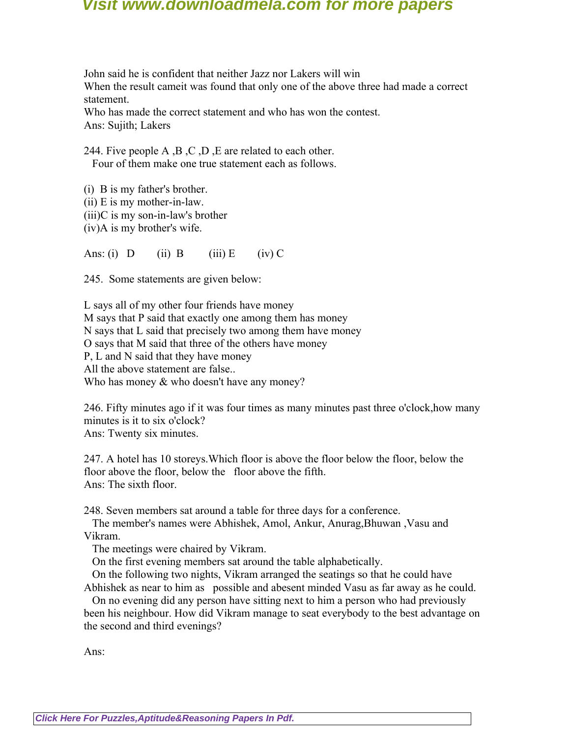John said he is confident that neither Jazz nor Lakers will win When the result cameit was found that only one of the above three had made a correct statement.

Who has made the correct statement and who has won the contest. Ans: Sujith; Lakers

244. Five people A ,B ,C ,D ,E are related to each other. Four of them make one true statement each as follows.

(i) B is my father's brother. (ii) E is my mother-in-law. (iii)C is my son-in-law's brother (iv)A is my brother's wife.

Ans: (i)  $D$  (ii)  $B$  (iii)  $E$  (iv)  $C$ 

245. Some statements are given below:

L says all of my other four friends have money M says that P said that exactly one among them has money N says that L said that precisely two among them have money O says that M said that three of the others have money P, L and N said that they have money All the above statement are false.. Who has money & who doesn't have any money?

246. Fifty minutes ago if it was four times as many minutes past three o'clock,how many minutes is it to six o'clock?

Ans: Twenty six minutes.

247. A hotel has 10 storeys.Which floor is above the floor below the floor, below the floor above the floor, below the floor above the fifth. Ans: The sixth floor.

248. Seven members sat around a table for three days for a conference.

 The member's names were Abhishek, Amol, Ankur, Anurag,Bhuwan ,Vasu and Vikram.

The meetings were chaired by Vikram.

On the first evening members sat around the table alphabetically.

 On the following two nights, Vikram arranged the seatings so that he could have Abhishek as near to him as possible and abesent minded Vasu as far away as he could.

 On no evening did any person have sitting next to him a person who had previously been his neighbour. How did Vikram manage to seat everybody to the best advantage on the second and third evenings?

Ans: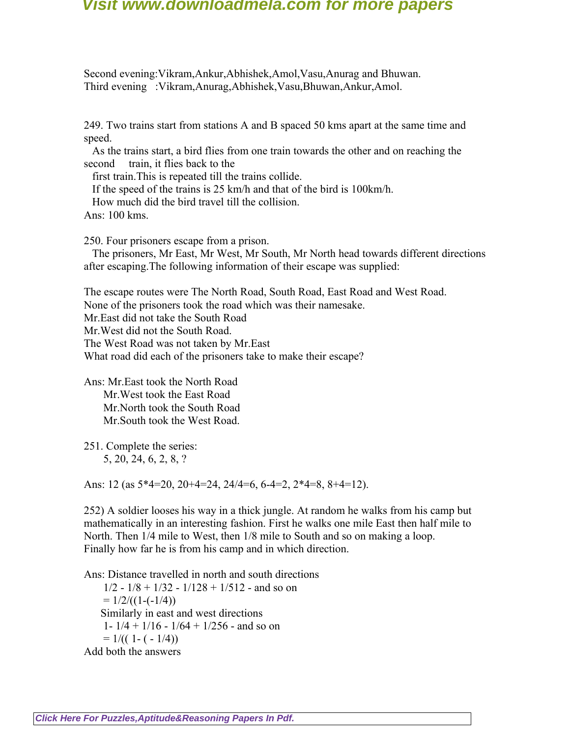Second evening:Vikram,Ankur,Abhishek,Amol,Vasu,Anurag and Bhuwan. Third evening :Vikram,Anurag,Abhishek,Vasu,Bhuwan,Ankur,Amol.

249. Two trains start from stations A and B spaced 50 kms apart at the same time and speed.

 As the trains start, a bird flies from one train towards the other and on reaching the second train, it flies back to the

first train.This is repeated till the trains collide.

If the speed of the trains is 25 km/h and that of the bird is 100km/h.

How much did the bird travel till the collision.

Ans: 100 kms.

250. Four prisoners escape from a prison.

 The prisoners, Mr East, Mr West, Mr South, Mr North head towards different directions after escaping.The following information of their escape was supplied:

The escape routes were The North Road, South Road, East Road and West Road. None of the prisoners took the road which was their namesake. Mr.East did not take the South Road Mr.West did not the South Road. The West Road was not taken by Mr.East What road did each of the prisoners take to make their escape?

Ans: Mr.East took the North Road Mr.West took the East Road Mr.North took the South Road Mr.South took the West Road.

251. Complete the series: 5, 20, 24, 6, 2, 8, ?

Ans: 12 (as 5\*4=20, 20+4=24, 24/4=6, 6-4=2, 2\*4=8, 8+4=12).

252) A soldier looses his way in a thick jungle. At random he walks from his camp but mathematically in an interesting fashion. First he walks one mile East then half mile to North. Then 1/4 mile to West, then 1/8 mile to South and so on making a loop. Finally how far he is from his camp and in which direction.

Ans: Distance travelled in north and south directions  $1/2 - 1/8 + 1/32 - 1/128 + 1/512$  - and so on  $= 1/2/((1-(-1/4)))$  Similarly in east and west directions 1-  $1/4$  +  $1/16$  -  $1/64$  +  $1/256$  - and so on  $= 1/((1 - (-1/4)))$ Add both the answers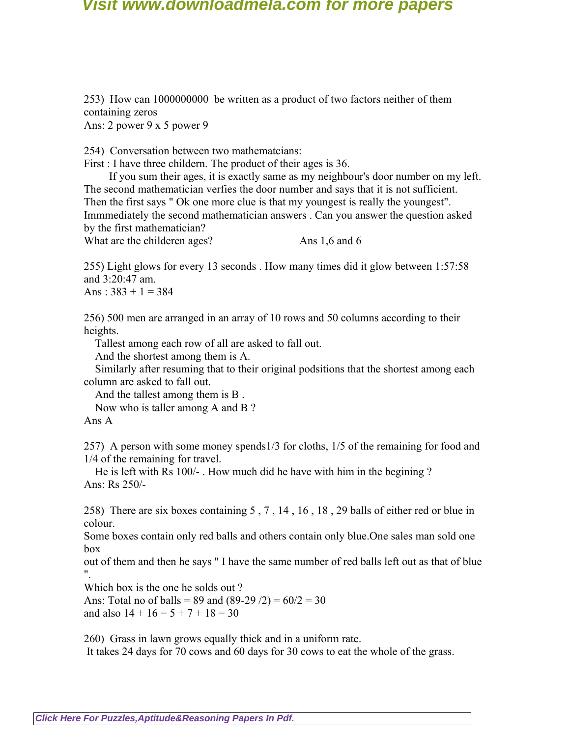253) How can 1000000000 be written as a product of two factors neither of them containing zeros Ans: 2 power 9 x 5 power 9

254) Conversation between two mathematcians:

First : I have three childern. The product of their ages is 36.

 If you sum their ages, it is exactly same as my neighbour's door number on my left. The second mathematician verfies the door number and says that it is not sufficient. Then the first says " Ok one more clue is that my youngest is really the youngest". Immmediately the second mathematician answers . Can you answer the question asked by the first mathematician?

What are the childeren ages? Ans 1,6 and 6

255) Light glows for every 13 seconds . How many times did it glow between 1:57:58 and 3:20:47 am.

Ans :  $383 + 1 = 384$ 

256) 500 men are arranged in an array of 10 rows and 50 columns according to their heights.

Tallest among each row of all are asked to fall out.

And the shortest among them is A.

 Similarly after resuming that to their original podsitions that the shortest among each column are asked to fall out.

And the tallest among them is B .

Now who is taller among A and B ?

Ans A

257) A person with some money spends1/3 for cloths, 1/5 of the remaining for food and 1/4 of the remaining for travel.

 He is left with Rs 100/- . How much did he have with him in the begining ? Ans: Rs 250/-

258) There are six boxes containing 5 , 7 , 14 , 16 , 18 , 29 balls of either red or blue in colour.

Some boxes contain only red balls and others contain only blue.One sales man sold one box

out of them and then he says " I have the same number of red balls left out as that of blue ".

Which box is the one he solds out ?

Ans: Total no of balls = 89 and  $(89-29/2) = 60/2 = 30$ and also  $14 + 16 = 5 + 7 + 18 = 30$ 

260) Grass in lawn grows equally thick and in a uniform rate.

It takes 24 days for 70 cows and 60 days for 30 cows to eat the whole of the grass.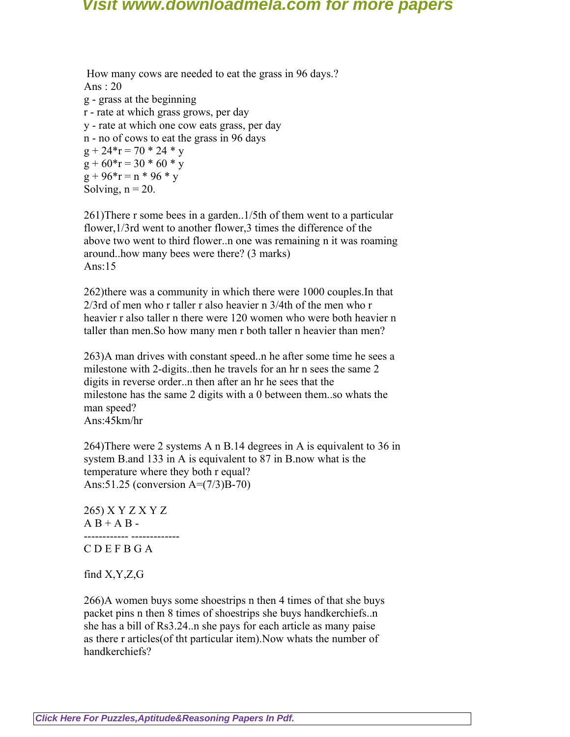How many cows are needed to eat the grass in 96 days.? Ans : 20 g - grass at the beginning r - rate at which grass grows, per day y - rate at which one cow eats grass, per day n - no of cows to eat the grass in 96 days  $g + 24*r = 70 * 24 * y$  $g + 60 \cdot r = 30 \cdot 60 \cdot r$  $g + 96*r = n * 96 * y$ Solving,  $n = 20$ .

261)There r some bees in a garden..1/5th of them went to a particular flower,  $1/3$ rd went to another flower, 3 times the difference of the above two went to third flower..n one was remaining n it was roaming around..how many bees were there? (3 marks) Ans:15

262)there was a community in which there were 1000 couples.In that 2/3rd of men who r taller r also heavier n 3/4th of the men who r heavier r also taller n there were 120 women who were both heavier n taller than men.So how many men r both taller n heavier than men?

263)A man drives with constant speed..n he after some time he sees a milestone with 2-digits..then he travels for an hr n sees the same 2 digits in reverse order..n then after an hr he sees that the milestone has the same 2 digits with a 0 between them..so whats the man speed? Ans:45km/hr

264)There were 2 systems A n B.14 degrees in A is equivalent to 36 in system B.and 133 in A is equivalent to 87 in B.now what is the temperature where they both r equal? Ans:51.25 (conversion A=(7/3)B-70)

265) X Y Z X Y Z  $A B + A B -$ 

------------ ------------- C D E F B G A

find X,Y,Z,G

266)A women buys some shoestrips n then 4 times of that she buys packet pins n then 8 times of shoestrips she buys handkerchiefs..n she has a bill of Rs3.24..n she pays for each article as many paise as there r articles(of tht particular item).Now whats the number of handkerchiefs?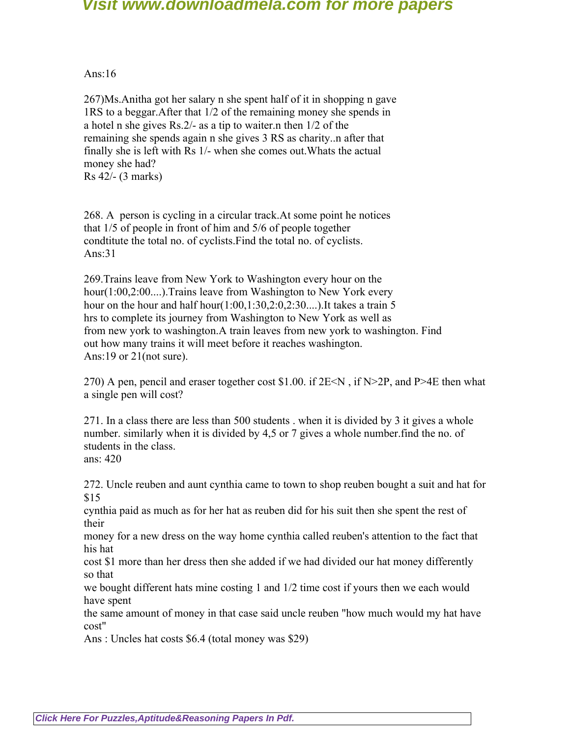Ans: $16$ 

267)Ms.Anitha got her salary n she spent half of it in shopping n gave 1RS to a beggar.After that 1/2 of the remaining money she spends in a hotel n she gives Rs.2/- as a tip to waiter.n then 1/2 of the remaining she spends again n she gives 3 RS as charity..n after that finally she is left with Rs 1/- when she comes out.Whats the actual money she had? Rs 42/- (3 marks)

268. A person is cycling in a circular track.At some point he notices that 1/5 of people in front of him and 5/6 of people together condtitute the total no. of cyclists.Find the total no. of cyclists. Ans:31

269.Trains leave from New York to Washington every hour on the hour(1:00,2:00....).Trains leave from Washington to New York every hour on the hour and half hour $(1:00,1:30,2:0,2:30...)$ . It takes a train 5 hrs to complete its journey from Washington to New York as well as from new york to washington.A train leaves from new york to washington. Find out how many trains it will meet before it reaches washington. Ans:19 or 21(not sure).

270) A pen, pencil and eraser together cost \$1.00. if  $2E \le N$ , if  $N>2P$ , and P $>4E$  then what a single pen will cost?

271. In a class there are less than 500 students . when it is divided by 3 it gives a whole number. similarly when it is divided by 4,5 or 7 gives a whole number.find the no. of students in the class. ans: 420

272. Uncle reuben and aunt cynthia came to town to shop reuben bought a suit and hat for \$15

cynthia paid as much as for her hat as reuben did for his suit then she spent the rest of their

money for a new dress on the way home cynthia called reuben's attention to the fact that his hat

cost \$1 more than her dress then she added if we had divided our hat money differently so that

we bought different hats mine costing 1 and 1/2 time cost if yours then we each would have spent

the same amount of money in that case said uncle reuben "how much would my hat have cost"

Ans : Uncles hat costs \$6.4 (total money was \$29)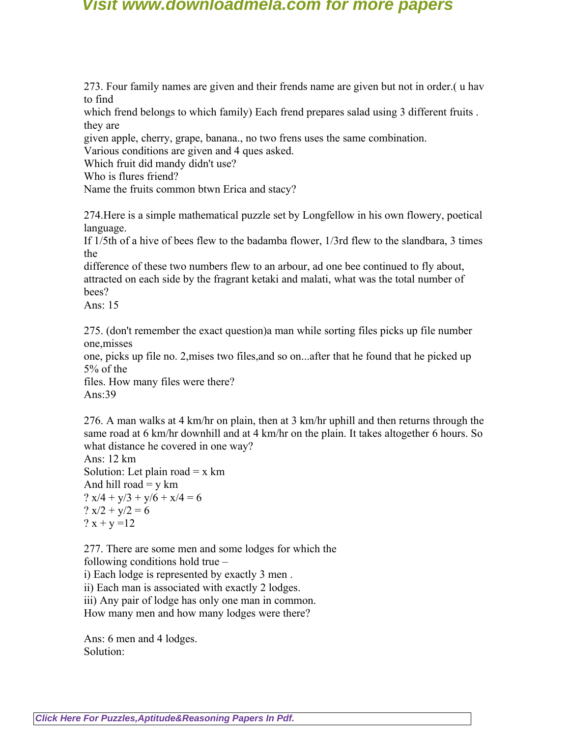273. Four family names are given and their frends name are given but not in order.( u hav to find

which frend belongs to which family) Each frend prepares salad using 3 different fruits . they are

given apple, cherry, grape, banana., no two frens uses the same combination.

Various conditions are given and 4 ques asked.

Which fruit did mandy didn't use?

Who is flures friend?

Name the fruits common btwn Erica and stacy?

274.Here is a simple mathematical puzzle set by Longfellow in his own flowery, poetical language.

If 1/5th of a hive of bees flew to the badamba flower, 1/3rd flew to the slandbara, 3 times the

difference of these two numbers flew to an arbour, ad one bee continued to fly about, attracted on each side by the fragrant ketaki and malati, what was the total number of bees?

Ans:  $15$ 

275. (don't remember the exact question)a man while sorting files picks up file number one,misses

one, picks up file no. 2,mises two files,and so on...after that he found that he picked up 5% of the

files. How many files were there? Ans:39

276. A man walks at 4 km/hr on plain, then at 3 km/hr uphill and then returns through the same road at 6 km/hr downhill and at 4 km/hr on the plain. It takes altogether 6 hours. So what distance he covered in one way?

Ans: 12 km Solution: Let plain road  $= x \text{ km}$ And hill road  $=$  y km ?  $x/4 + y/3 + y/6 + x/4 = 6$ ?  $x/2 + y/2 = 6$ ?  $x + y = 12$ 

277. There are some men and some lodges for which the following conditions hold true –

i) Each lodge is represented by exactly 3 men .

ii) Each man is associated with exactly 2 lodges.

iii) Any pair of lodge has only one man in common.

How many men and how many lodges were there?

Ans: 6 men and 4 lodges. Solution: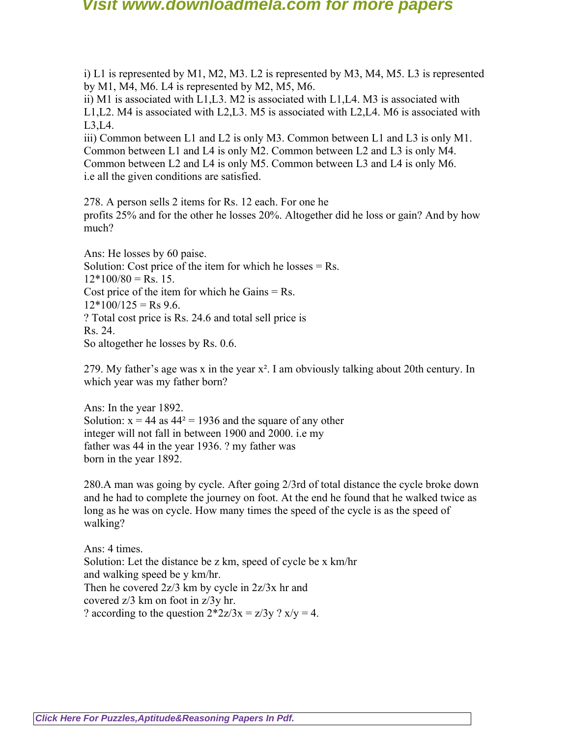i) L1 is represented by M1, M2, M3. L2 is represented by M3, M4, M5. L3 is represented by M1, M4, M6. L4 is represented by M2, M5, M6.

ii) M1 is associated with L1,L3. M2 is associated with L1,L4. M3 is associated with L1,L2. M4 is associated with L2,L3. M5 is associated with L2,L4. M6 is associated with L3,L4.

iii) Common between L1 and L2 is only M3. Common between L1 and L3 is only M1. Common between L1 and L4 is only M2. Common between L2 and L3 is only M4. Common between L2 and L4 is only M5. Common between L3 and L4 is only M6. i.e all the given conditions are satisfied.

278. A person sells 2 items for Rs. 12 each. For one he profits 25% and for the other he losses 20%. Altogether did he loss or gain? And by how much?

Ans: He losses by 60 paise. Solution: Cost price of the item for which he losses  $=$  Rs.  $12*100/80 = Rs. 15$ . Cost price of the item for which he Gains  $=$  Rs.  $12*100/125 =$  Rs 9.6. ? Total cost price is Rs. 24.6 and total sell price is Rs. 24. So altogether he losses by Rs. 0.6.

279. My father's age was x in the year  $x^2$ . I am obviously talking about 20th century. In which year was my father born?

Ans: In the year 1892. Solution:  $x = 44$  as  $44^2 = 1936$  and the square of any other integer will not fall in between 1900 and 2000. i.e my father was 44 in the year 1936. ? my father was born in the year 1892.

280.A man was going by cycle. After going 2/3rd of total distance the cycle broke down and he had to complete the journey on foot. At the end he found that he walked twice as long as he was on cycle. How many times the speed of the cycle is as the speed of walking?

Ans: 4 times. Solution: Let the distance be z km, speed of cycle be x km/hr and walking speed be y km/hr. Then he covered 2z/3 km by cycle in 2z/3x hr and covered z/3 km on foot in z/3y hr. ? according to the question  $2 \times 2z/3x = z/3y$  ?  $x/y = 4$ .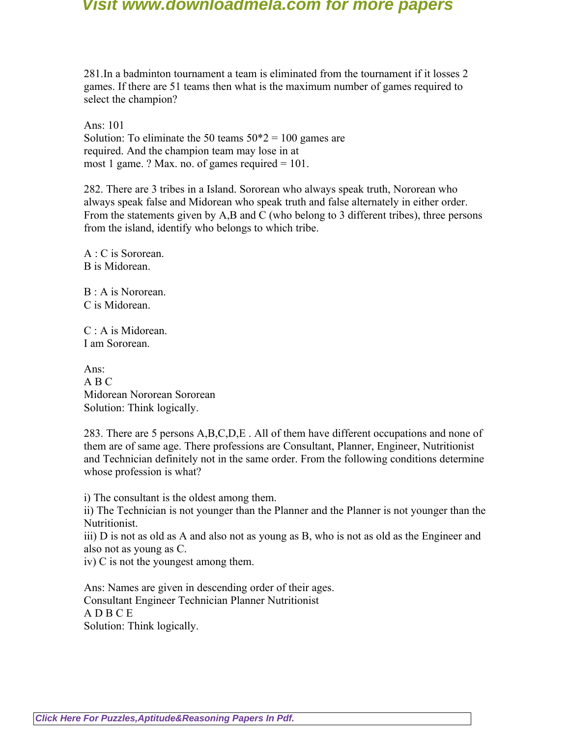281.In a badminton tournament a team is eliminated from the tournament if it losses 2 games. If there are 51 teams then what is the maximum number of games required to select the champion?

Ans: 101 Solution: To eliminate the 50 teams  $50*2 = 100$  games are required. And the champion team may lose in at most 1 game. ? Max. no. of games required  $= 101$ .

282. There are 3 tribes in a Island. Sororean who always speak truth, Nororean who always speak false and Midorean who speak truth and false alternately in either order. From the statements given by A,B and C (who belong to 3 different tribes), three persons from the island, identify who belongs to which tribe.

A : C is Sororean. B is Midorean.

B : A is Nororean. C is Midorean.

C : A is Midorean. I am Sororean.

Ans: A B C Midorean Nororean Sororean Solution: Think logically.

283. There are 5 persons A,B,C,D,E . All of them have different occupations and none of them are of same age. There professions are Consultant, Planner, Engineer, Nutritionist and Technician definitely not in the same order. From the following conditions determine whose profession is what?

i) The consultant is the oldest among them.

ii) The Technician is not younger than the Planner and the Planner is not younger than the Nutritionist.

iii) D is not as old as A and also not as young as B, who is not as old as the Engineer and also not as young as C.

iv) C is not the youngest among them.

Ans: Names are given in descending order of their ages. Consultant Engineer Technician Planner Nutritionist A D B C E Solution: Think logically.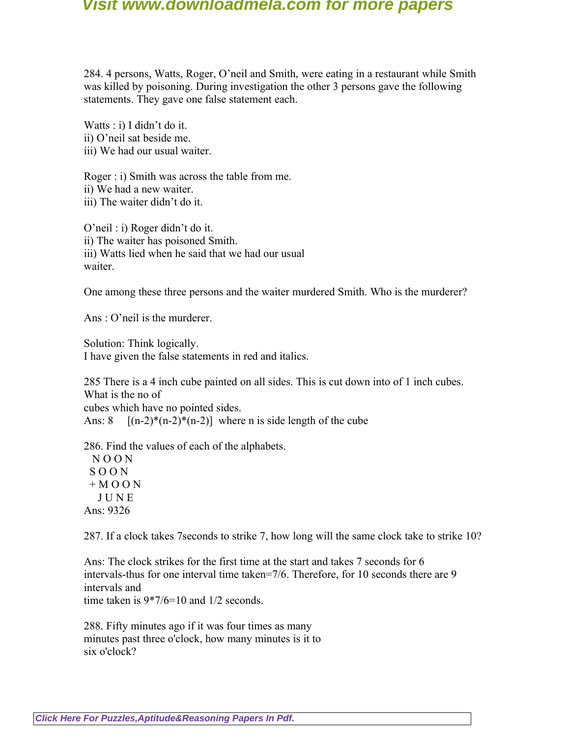284. 4 persons, Watts, Roger, O'neil and Smith, were eating in a restaurant while Smith was killed by poisoning. During investigation the other 3 persons gave the following statements. They gave one false statement each.

Watts : i) I didn't do it. ii) O'neil sat beside me. iii) We had our usual waiter.

Roger : i) Smith was across the table from me. ii) We had a new waiter. iii) The waiter didn't do it.

O'neil : i) Roger didn't do it. ii) The waiter has poisoned Smith. iii) Watts lied when he said that we had our usual waiter.

One among these three persons and the waiter murdered Smith. Who is the murderer?

Ans : O'neil is the murderer.

Solution: Think logically. I have given the false statements in red and italics.

285 There is a 4 inch cube painted on all sides. This is cut down into of 1 inch cubes. What is the no of

cubes which have no pointed sides.

Ans:  $8 \quad [(n-2)*(n-2)*(n-2)]$  where n is side length of the cube

286. Find the values of each of the alphabets.

 N O O N S O O N  $+$  M O O N J U N E Ans: 9326

287. If a clock takes 7seconds to strike 7, how long will the same clock take to strike 10?

Ans: The clock strikes for the first time at the start and takes 7 seconds for 6 intervals-thus for one interval time taken=7/6. Therefore, for 10 seconds there are 9 intervals and time taken is  $9*7/6=10$  and  $1/2$  seconds.

288. Fifty minutes ago if it was four times as many minutes past three o'clock, how many minutes is it to six o'clock?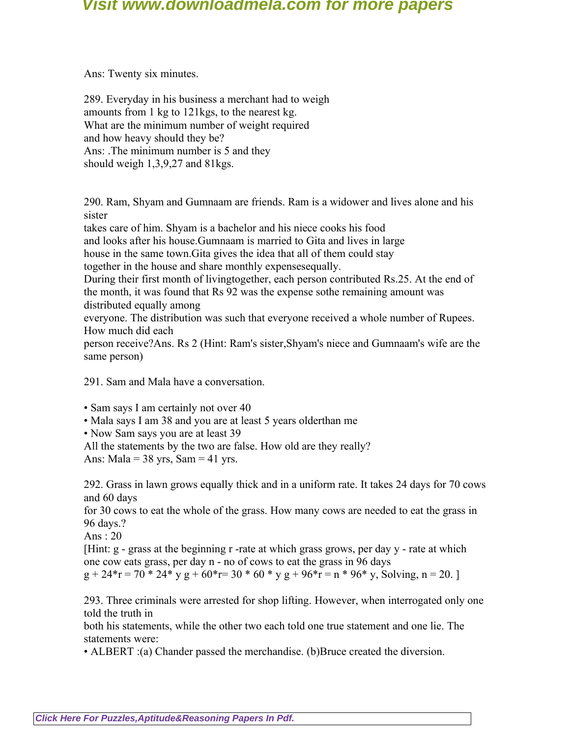Ans: Twenty six minutes.

289. Everyday in his business a merchant had to weigh amounts from 1 kg to 121kgs, to the nearest kg. What are the minimum number of weight required and how heavy should they be? Ans: .The minimum number is 5 and they should weigh 1,3,9,27 and 81kgs.

290. Ram, Shyam and Gumnaam are friends. Ram is a widower and lives alone and his sister

takes care of him. Shyam is a bachelor and his niece cooks his food and looks after his house.Gumnaam is married to Gita and lives in large house in the same town.Gita gives the idea that all of them could stay together in the house and share monthly expensesequally.

During their first month of livingtogether, each person contributed Rs.25. At the end of the month, it was found that Rs 92 was the expense sothe remaining amount was distributed equally among

everyone. The distribution was such that everyone received a whole number of Rupees. How much did each

person receive?Ans. Rs 2 (Hint: Ram's sister,Shyam's niece and Gumnaam's wife are the same person)

291. Sam and Mala have a conversation.

• Sam says I am certainly not over 40

• Mala says I am 38 and you are at least 5 years olderthan me

• Now Sam says you are at least 39

All the statements by the two are false. How old are they really?

Ans: Mala =  $38 \text{ yrs}$ , Sam =  $41 \text{ yrs}$ .

292. Grass in lawn grows equally thick and in a uniform rate. It takes 24 days for 70 cows and 60 days

for 30 cows to eat the whole of the grass. How many cows are needed to eat the grass in 96 days.?

Ans : 20

[Hint: g - grass at the beginning r -rate at which grass grows, per day y - rate at which one cow eats grass, per day n - no of cows to eat the grass in 96 days

 $g + 24*r = 70 * 24* y g + 60*r = 30 * 60 * y g + 96*r = n * 96* y$ , Solving, n = 20.

293. Three criminals were arrested for shop lifting. However, when interrogated only one told the truth in

both his statements, while the other two each told one true statement and one lie. The statements were:

• ALBERT :(a) Chander passed the merchandise. (b)Bruce created the diversion.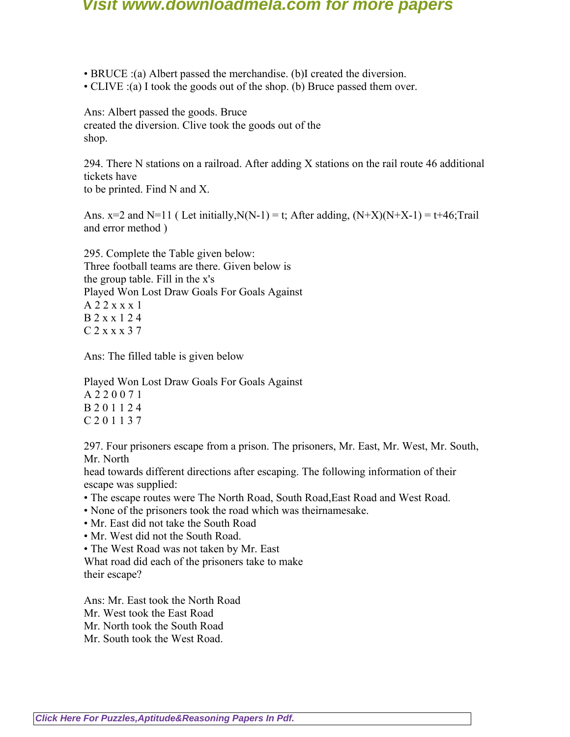- BRUCE :(a) Albert passed the merchandise. (b)I created the diversion.
- CLIVE :(a) I took the goods out of the shop. (b) Bruce passed them over.

Ans: Albert passed the goods. Bruce created the diversion. Clive took the goods out of the shop.

294. There N stations on a railroad. After adding X stations on the rail route 46 additional tickets have

to be printed. Find N and X.

Ans.  $x=2$  and  $N=11$  (Let initially,  $N(N-1) = t$ ; After adding,  $(N+X)(N+X-1) = t+46$ ; Trail and error method )

295. Complete the Table given below: Three football teams are there. Given below is the group table. Fill in the x's Played Won Lost Draw Goals For Goals Against A 2 2 x x x 1 B 2 x x 1 2 4 C 2 x x x 3 7

Ans: The filled table is given below

Played Won Lost Draw Goals For Goals Against A 2 2 0 0 7 1 B 2 0 1 1 2 4 C 2 0 1 1 3 7

297. Four prisoners escape from a prison. The prisoners, Mr. East, Mr. West, Mr. South, Mr. North

head towards different directions after escaping. The following information of their escape was supplied:

- The escape routes were The North Road, South Road,East Road and West Road.
- None of the prisoners took the road which was theirnamesake.
- Mr. East did not take the South Road
- Mr. West did not the South Road.
- The West Road was not taken by Mr. East

What road did each of the prisoners take to make their escape?

Ans: Mr. East took the North Road Mr. West took the East Road Mr. North took the South Road Mr. South took the West Road.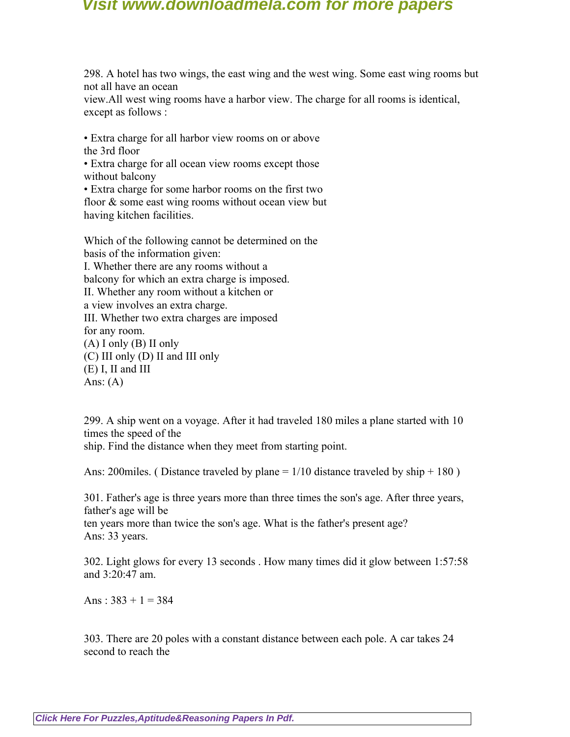298. A hotel has two wings, the east wing and the west wing. Some east wing rooms but not all have an ocean

view.All west wing rooms have a harbor view. The charge for all rooms is identical, except as follows :

• Extra charge for all harbor view rooms on or above the 3rd floor

• Extra charge for all ocean view rooms except those without balcony

• Extra charge for some harbor rooms on the first two floor & some east wing rooms without ocean view but having kitchen facilities.

Which of the following cannot be determined on the basis of the information given: I. Whether there are any rooms without a balcony for which an extra charge is imposed. II. Whether any room without a kitchen or a view involves an extra charge. III. Whether two extra charges are imposed for any room.  $(A)$  I only  $(B)$  II only (C) III only (D) II and III only (E) I, II and III Ans:  $(A)$ 

299. A ship went on a voyage. After it had traveled 180 miles a plane started with 10 times the speed of the

ship. Find the distance when they meet from starting point.

Ans: 200 miles. (Distance traveled by plane  $= 1/10$  distance traveled by ship  $+ 180$ )

301. Father's age is three years more than three times the son's age. After three years, father's age will be

ten years more than twice the son's age. What is the father's present age? Ans: 33 years.

302. Light glows for every 13 seconds . How many times did it glow between 1:57:58 and 3:20:47 am.

Ans :  $383 + 1 = 384$ 

303. There are 20 poles with a constant distance between each pole. A car takes 24 second to reach the

**[Click Here For Puzzles,Aptitude&Reasoning Papers In Pdf.](http://downloadmela.com/pages/aptitude/aptitude-puzzles-logicalreasoning.html)**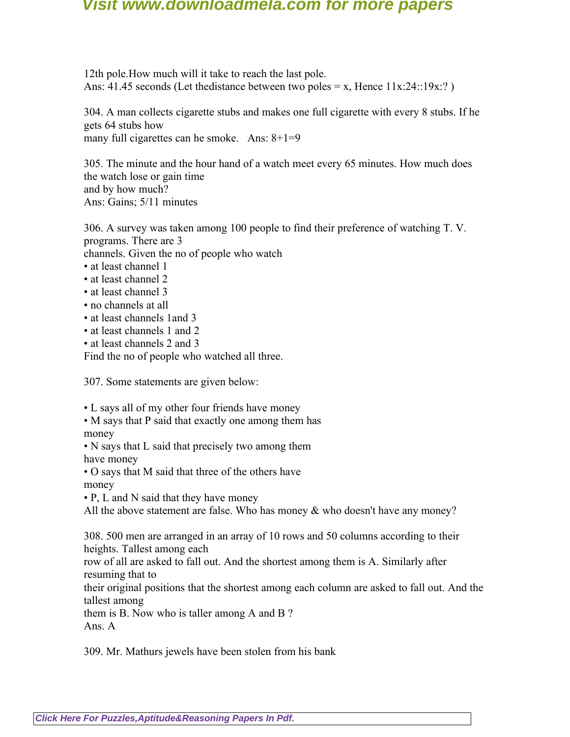12th pole.How much will it take to reach the last pole. Ans: 41.45 seconds (Let the distance between two poles = x, Hence  $11x:24::19x:?$ )

304. A man collects cigarette stubs and makes one full cigarette with every 8 stubs. If he gets 64 stubs how many full cigarettes can he smoke. Ans:  $8+1=9$ 

305. The minute and the hour hand of a watch meet every 65 minutes. How much does the watch lose or gain time and by how much? Ans: Gains; 5/11 minutes

306. A survey was taken among 100 people to find their preference of watching T. V. programs. There are 3 channels. Given the no of people who watch

- at least channel 1
- at least channel 2
- at least channel 3
- no channels at all
- at least channels 1and 3
- at least channels 1 and 2
- at least channels 2 and 3

Find the no of people who watched all three.

307. Some statements are given below:

• L says all of my other four friends have money

- M says that P said that exactly one among them has money
- N says that L said that precisely two among them have money
- O says that M said that three of the others have

money

• P, L and N said that they have money

All the above statement are false. Who has money  $\&$  who doesn't have any money?

308. 500 men are arranged in an array of 10 rows and 50 columns according to their heights. Tallest among each

row of all are asked to fall out. And the shortest among them is A. Similarly after resuming that to

their original positions that the shortest among each column are asked to fall out. And the tallest among

them is B. Now who is taller among A and B ? Ans. A

309. Mr. Mathurs jewels have been stolen from his bank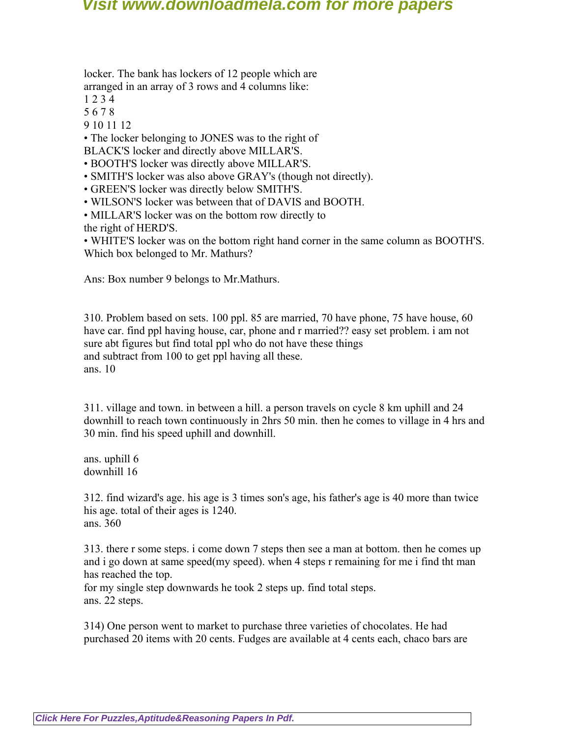locker. The bank has lockers of 12 people which are arranged in an array of 3 rows and 4 columns like:

- 1 2 3 4
- 5 6 7 8
- 9 10 11 12

• The locker belonging to JONES was to the right of

BLACK'S locker and directly above MILLAR'S.

• BOOTH'S locker was directly above MILLAR'S.

• SMITH'S locker was also above GRAY's (though not directly).

• GREEN'S locker was directly below SMITH'S.

- WILSON'S locker was between that of DAVIS and BOOTH.
- MILLAR'S locker was on the bottom row directly to the right of HERD'S.

• WHITE'S locker was on the bottom right hand corner in the same column as BOOTH'S. Which box belonged to Mr. Mathurs?

Ans: Box number 9 belongs to Mr.Mathurs.

310. Problem based on sets. 100 ppl. 85 are married, 70 have phone, 75 have house, 60 have car. find ppl having house, car, phone and r married?? easy set problem. i am not sure abt figures but find total ppl who do not have these things and subtract from 100 to get ppl having all these. ans. 10

311. village and town. in between a hill. a person travels on cycle 8 km uphill and 24 downhill to reach town continuously in 2hrs 50 min. then he comes to village in 4 hrs and 30 min. find his speed uphill and downhill.

ans. uphill 6 downhill 16

312. find wizard's age. his age is 3 times son's age, his father's age is 40 more than twice his age. total of their ages is 1240. ans. 360

313. there r some steps. i come down 7 steps then see a man at bottom. then he comes up and i go down at same speed(my speed). when 4 steps r remaining for me i find tht man has reached the top.

for my single step downwards he took 2 steps up. find total steps. ans. 22 steps.

314) One person went to market to purchase three varieties of chocolates. He had purchased 20 items with 20 cents. Fudges are available at 4 cents each, chaco bars are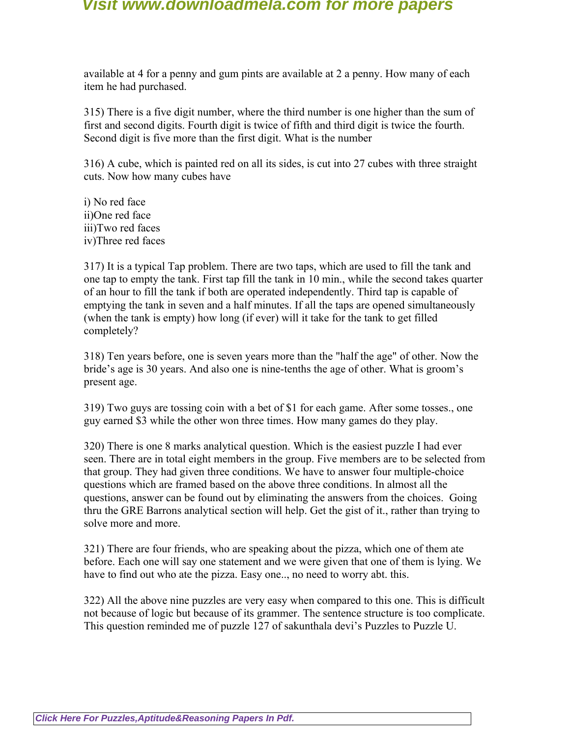available at 4 for a penny and gum pints are available at 2 a penny. How many of each item he had purchased.

315) There is a five digit number, where the third number is one higher than the sum of first and second digits. Fourth digit is twice of fifth and third digit is twice the fourth. Second digit is five more than the first digit. What is the number

316) A cube, which is painted red on all its sides, is cut into 27 cubes with three straight cuts. Now how many cubes have

i) No red face ii)One red face iii)Two red faces iv)Three red faces

317) It is a typical Tap problem. There are two taps, which are used to fill the tank and one tap to empty the tank. First tap fill the tank in 10 min., while the second takes quarter of an hour to fill the tank if both are operated independently. Third tap is capable of emptying the tank in seven and a half minutes. If all the taps are opened simultaneously (when the tank is empty) how long (if ever) will it take for the tank to get filled completely?

318) Ten years before, one is seven years more than the "half the age" of other. Now the bride's age is 30 years. And also one is nine-tenths the age of other. What is groom's present age.

319) Two guys are tossing coin with a bet of \$1 for each game. After some tosses., one guy earned \$3 while the other won three times. How many games do they play.

320) There is one 8 marks analytical question. Which is the easiest puzzle I had ever seen. There are in total eight members in the group. Five members are to be selected from that group. They had given three conditions. We have to answer four multiple-choice questions which are framed based on the above three conditions. In almost all the questions, answer can be found out by eliminating the answers from the choices. Going thru the GRE Barrons analytical section will help. Get the gist of it., rather than trying to solve more and more.

321) There are four friends, who are speaking about the pizza, which one of them ate before. Each one will say one statement and we were given that one of them is lying. We have to find out who ate the pizza. Easy one.., no need to worry abt. this.

322) All the above nine puzzles are very easy when compared to this one. This is difficult not because of logic but because of its grammer. The sentence structure is too complicate. This question reminded me of puzzle 127 of sakunthala devi's Puzzles to Puzzle U.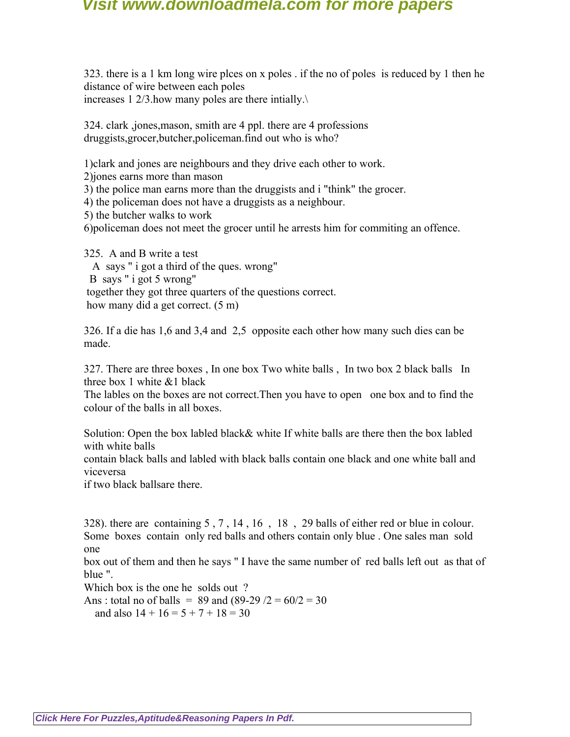323. there is a 1 km long wire plces on x poles . if the no of poles is reduced by 1 then he distance of wire between each poles increases 1 2/3.how many poles are there intially.\

324. clark ,jones,mason, smith are 4 ppl. there are 4 professions druggists,grocer,butcher,policeman.find out who is who?

1)clark and jones are neighbours and they drive each other to work.

2)jones earns more than mason

3) the police man earns more than the druggists and i "think" the grocer.

4) the policeman does not have a druggists as a neighbour.

5) the butcher walks to work

6)policeman does not meet the grocer until he arrests him for commiting an offence.

325. A and B write a test A says " i got a third of the ques. wrong" B says " i got 5 wrong" together they got three quarters of the questions correct. how many did a get correct. (5 m)

326. If a die has 1,6 and 3,4 and 2,5 opposite each other how many such dies can be made.

327. There are three boxes , In one box Two white balls , In two box 2 black balls In three box 1 white &1 black

The lables on the boxes are not correct.Then you have to open one box and to find the colour of the balls in all boxes.

Solution: Open the box labled black& white If white balls are there then the box labled with white balls

contain black balls and labled with black balls contain one black and one white ball and viceversa

if two black ballsare there.

328). there are containing 5 , 7 , 14 , 16 , 18 , 29 balls of either red or blue in colour. Some boxes contain only red balls and others contain only blue . One sales man sold one

box out of them and then he says " I have the same number of red balls left out as that of blue ".

Which box is the one he solds out ?

Ans : total no of balls =  $89$  and  $(89-29)$  /2 =  $60/2 = 30$ and also  $14 + 16 = 5 + 7 + 18 = 30$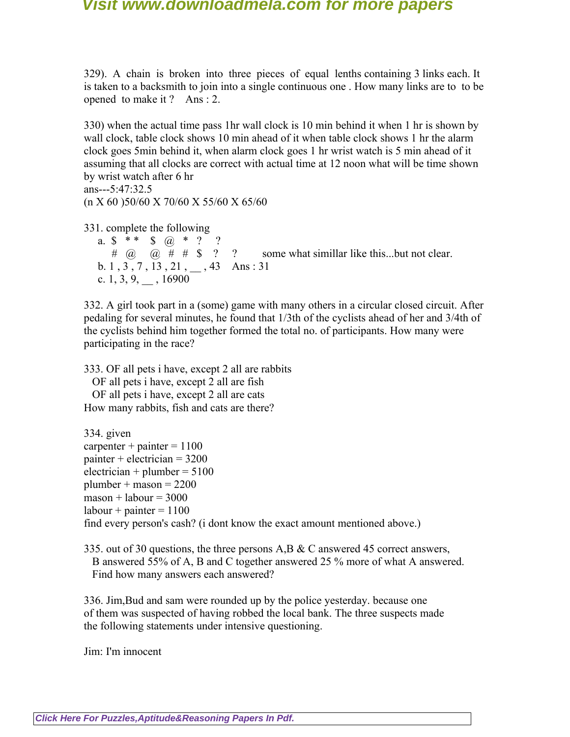329). A chain is broken into three pieces of equal lenths containing 3 links each. It is taken to a backsmith to join into a single continuous one . How many links are to to be opened to make it ? Ans : 2.

330) when the actual time pass 1hr wall clock is 10 min behind it when 1 hr is shown by wall clock, table clock shows 10 min ahead of it when table clock shows 1 hr the alarm clock goes 5min behind it, when alarm clock goes 1 hr wrist watch is 5 min ahead of it assuming that all clocks are correct with actual time at 12 noon what will be time shown by wrist watch after 6 hr

ans---5:47:32.5 (n X 60 )50/60 X 70/60 X 55/60 X 65/60

331. complete the following

a.  $\frac{1}{2}$  \* \*  $\frac{1}{2}$   $\frac{1}{2}$   $\frac{1}{2}$   $\frac{1}{2}$ #  $\omega$   $\omega$  # # \$ ? ? some what simillar like this...but not clear. b. 1,  $3, 7, 13, 21, ..., 43$  Ans: 31 c. 1, 3, 9,  $, 16900$ 

332. A girl took part in a (some) game with many others in a circular closed circuit. After pedaling for several minutes, he found that 1/3th of the cyclists ahead of her and 3/4th of the cyclists behind him together formed the total no. of participants. How many were participating in the race?

333. OF all pets i have, except 2 all are rabbits OF all pets i have, except 2 all are fish OF all pets i have, except 2 all are cats How many rabbits, fish and cats are there?

334. given carpenter + painter =  $1100$ painter + electrician =  $3200$  $electrician + plumber = 5100$  $plumber + masson = 2200$  $masson + labour = 3000$  $labor + painter = 1100$ find every person's cash? (i dont know the exact amount mentioned above.)

335. out of 30 questions, the three persons A,B & C answered 45 correct answers, B answered 55% of A, B and C together answered 25 % more of what A answered. Find how many answers each answered?

336. Jim,Bud and sam were rounded up by the police yesterday. because one of them was suspected of having robbed the local bank. The three suspects made the following statements under intensive questioning.

Jim: I'm innocent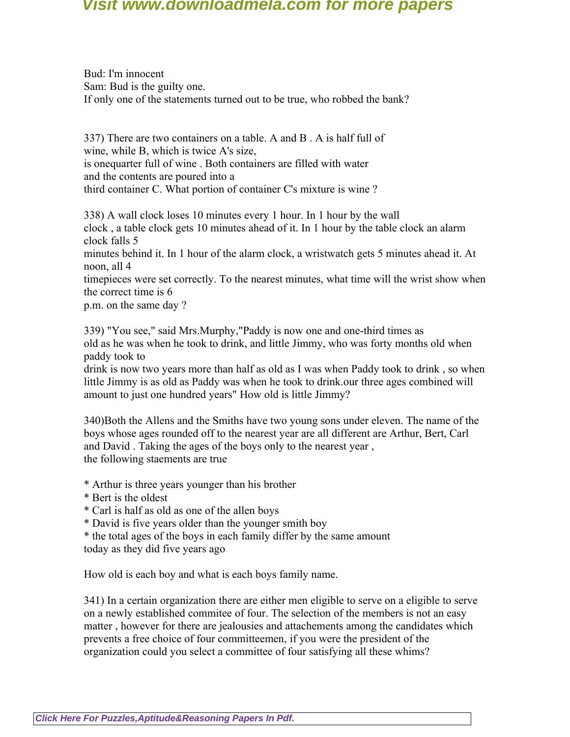Bud: I'm innocent Sam: Bud is the guilty one. If only one of the statements turned out to be true, who robbed the bank?

337) There are two containers on a table. A and B . A is half full of wine, while B, which is twice A's size, is onequarter full of wine . Both containers are filled with water and the contents are poured into a third container C. What portion of container C's mixture is wine ?

338) A wall clock loses 10 minutes every 1 hour. In 1 hour by the wall clock , a table clock gets 10 minutes ahead of it. In 1 hour by the table clock an alarm clock falls 5

minutes behind it. In 1 hour of the alarm clock, a wristwatch gets 5 minutes ahead it. At noon, all 4

timepieces were set correctly. To the nearest minutes, what time will the wrist show when the correct time is 6

p.m. on the same day ?

339) "You see," said Mrs.Murphy,"Paddy is now one and one-third times as old as he was when he took to drink, and little Jimmy, who was forty months old when paddy took to

drink is now two years more than half as old as I was when Paddy took to drink , so when little Jimmy is as old as Paddy was when he took to drink.our three ages combined will amount to just one hundred years" How old is little Jimmy?

340)Both the Allens and the Smiths have two young sons under eleven. The name of the boys whose ages rounded off to the nearest year are all different are Arthur, Bert, Carl and David . Taking the ages of the boys only to the nearest year , the following staements are true

- \* Arthur is three years younger than his brother
- \* Bert is the oldest
- \* Carl is half as old as one of the allen boys
- \* David is five years older than the younger smith boy

\* the total ages of the boys in each family differ by the same amount today as they did five years ago

How old is each boy and what is each boys family name.

341) In a certain organization there are either men eligible to serve on a eligible to serve on a newly established commitee of four. The selection of the members is not an easy matter , however for there are jealousies and attachements among the candidates which prevents a free choice of four committeemen, if you were the president of the organization could you select a committee of four satisfying all these whims?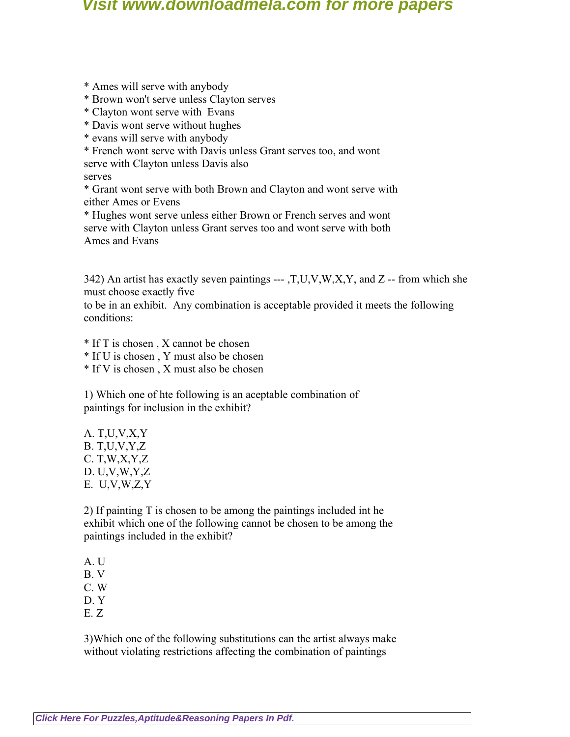- \* Ames will serve with anybody
- \* Brown won't serve unless Clayton serves
- \* Clayton wont serve with Evans
- \* Davis wont serve without hughes
- \* evans will serve with anybody
- \* French wont serve with Davis unless Grant serves too, and wont

serve with Clayton unless Davis also

serves

\* Grant wont serve with both Brown and Clayton and wont serve with either Ames or Evens

\* Hughes wont serve unless either Brown or French serves and wont serve with Clayton unless Grant serves too and wont serve with both Ames and Evans

342) An artist has exactly seven paintings --- ,  $T, U, V, W, X, Y$ , and  $Z$  -- from which she must choose exactly five

to be in an exhibit. Any combination is acceptable provided it meets the following conditions:

- \* If T is chosen , X cannot be chosen
- \* If U is chosen , Y must also be chosen
- \* If V is chosen , X must also be chosen

1) Which one of hte following is an aceptable combination of paintings for inclusion in the exhibit?

A. T,U,V,X,Y B. T,U,V,Y,Z C. T,W,X,Y,Z D. U,V,W,Y,Z E. U,V,W,Z,Y

2) If painting T is chosen to be among the paintings included int he exhibit which one of the following cannot be chosen to be among the paintings included in the exhibit?

A. U B. V C. W D. Y E. Z

3)Which one of the following substitutions can the artist always make without violating restrictions affecting the combination of paintings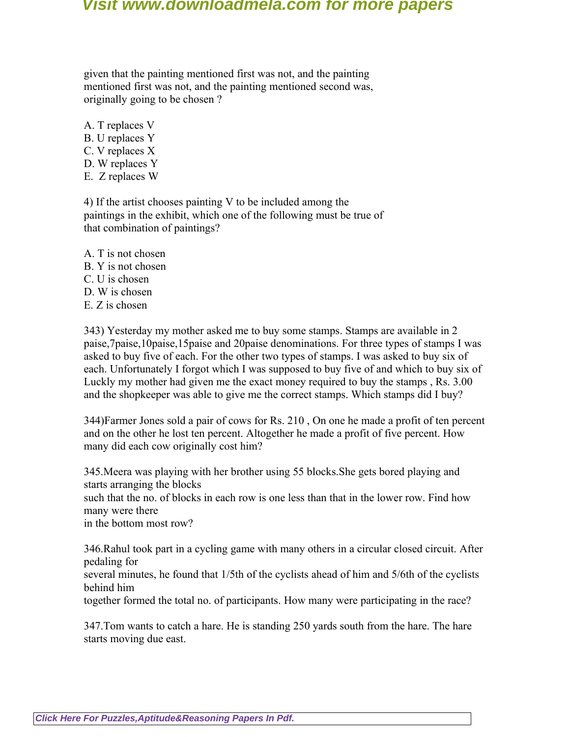given that the painting mentioned first was not, and the painting mentioned first was not, and the painting mentioned second was, originally going to be chosen ?

- A. T replaces V B. U replaces Y C. V replaces X
- D. W replaces Y
- E. Z replaces W

4) If the artist chooses painting V to be included among the paintings in the exhibit, which one of the following must be true of that combination of paintings?

A. T is not chosen B. Y is not chosen C. U is chosen D. W is chosen  $E$ . Z is chosen

343) Yesterday my mother asked me to buy some stamps. Stamps are available in 2 paise,7paise,10paise,15paise and 20paise denominations. For three types of stamps I was asked to buy five of each. For the other two types of stamps. I was asked to buy six of each. Unfortunately I forgot which I was supposed to buy five of and which to buy six of Luckly my mother had given me the exact money required to buy the stamps , Rs. 3.00 and the shopkeeper was able to give me the correct stamps. Which stamps did I buy?

344)Farmer Jones sold a pair of cows for Rs. 210 , On one he made a profit of ten percent and on the other he lost ten percent. Altogether he made a profit of five percent. How many did each cow originally cost him?

345.Meera was playing with her brother using 55 blocks.She gets bored playing and starts arranging the blocks such that the no. of blocks in each row is one less than that in the lower row. Find how many were there in the bottom most row?

346.Rahul took part in a cycling game with many others in a circular closed circuit. After pedaling for

several minutes, he found that 1/5th of the cyclists ahead of him and 5/6th of the cyclists behind him

together formed the total no. of participants. How many were participating in the race?

347.Tom wants to catch a hare. He is standing 250 yards south from the hare. The hare starts moving due east.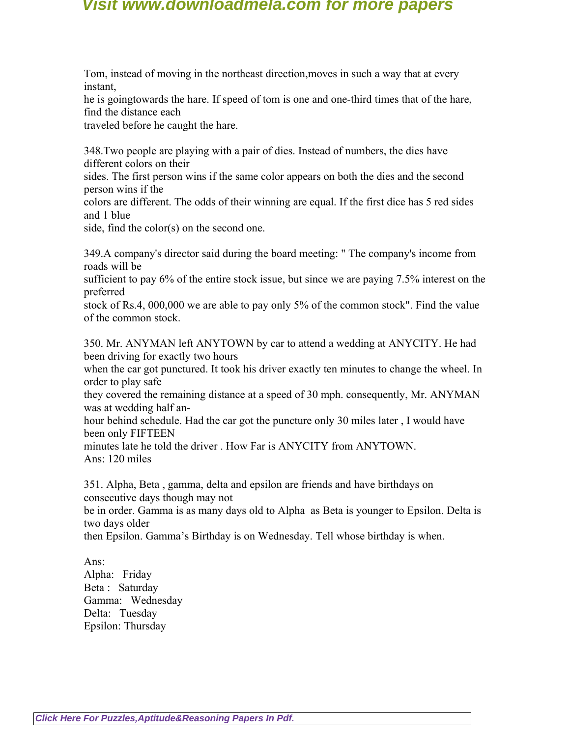Tom, instead of moving in the northeast direction,moves in such a way that at every instant,

he is goingtowards the hare. If speed of tom is one and one-third times that of the hare, find the distance each

traveled before he caught the hare.

348.Two people are playing with a pair of dies. Instead of numbers, the dies have different colors on their

sides. The first person wins if the same color appears on both the dies and the second person wins if the

colors are different. The odds of their winning are equal. If the first dice has 5 red sides and 1 blue

side, find the color(s) on the second one.

349.A company's director said during the board meeting: " The company's income from roads will be

sufficient to pay 6% of the entire stock issue, but since we are paying 7.5% interest on the preferred

stock of Rs.4, 000,000 we are able to pay only 5% of the common stock". Find the value of the common stock.

350. Mr. ANYMAN left ANYTOWN by car to attend a wedding at ANYCITY. He had been driving for exactly two hours

when the car got punctured. It took his driver exactly ten minutes to change the wheel. In order to play safe

they covered the remaining distance at a speed of 30 mph. consequently, Mr. ANYMAN was at wedding half an-

hour behind schedule. Had the car got the puncture only 30 miles later , I would have been only FIFTEEN

minutes late he told the driver . How Far is ANYCITY from ANYTOWN. Ans: 120 miles

351. Alpha, Beta , gamma, delta and epsilon are friends and have birthdays on consecutive days though may not

be in order. Gamma is as many days old to Alpha as Beta is younger to Epsilon. Delta is two days older

then Epsilon. Gamma's Birthday is on Wednesday. Tell whose birthday is when.

Ans: Alpha: Friday Beta : Saturday Gamma: Wednesday Delta: Tuesday

Epsilon: Thursday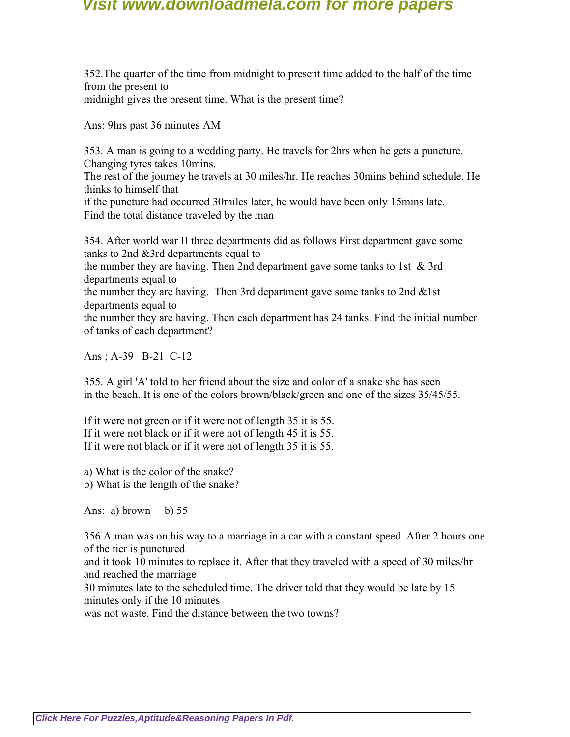352.The quarter of the time from midnight to present time added to the half of the time from the present to midnight gives the present time. What is the present time?

Ans: 9hrs past 36 minutes AM

353. A man is going to a wedding party. He travels for 2hrs when he gets a puncture. Changing tyres takes 10mins.

The rest of the journey he travels at 30 miles/hr. He reaches 30mins behind schedule. He thinks to himself that

if the puncture had occurred 30miles later, he would have been only 15mins late. Find the total distance traveled by the man

354. After world war II three departments did as follows First department gave some tanks to 2nd &3rd departments equal to

the number they are having. Then 2nd department gave some tanks to 1st & 3rd departments equal to

the number they are having. Then 3rd department gave some tanks to 2nd  $&$ 1st departments equal to

the number they are having. Then each department has 24 tanks. Find the initial number of tanks of each department?

Ans ; A-39 B-21 C-12

355. A girl 'A' told to her friend about the size and color of a snake she has seen in the beach. It is one of the colors brown/black/green and one of the sizes 35/45/55.

If it were not green or if it were not of length 35 it is 55. If it were not black or if it were not of length 45 it is 55. If it were not black or if it were not of length 35 it is 55.

a) What is the color of the snake?

b) What is the length of the snake?

Ans: a) brown b)  $55$ 

356.A man was on his way to a marriage in a car with a constant speed. After 2 hours one of the tier is punctured

and it took 10 minutes to replace it. After that they traveled with a speed of 30 miles/hr and reached the marriage

30 minutes late to the scheduled time. The driver told that they would be late by 15 minutes only if the 10 minutes

was not waste. Find the distance between the two towns?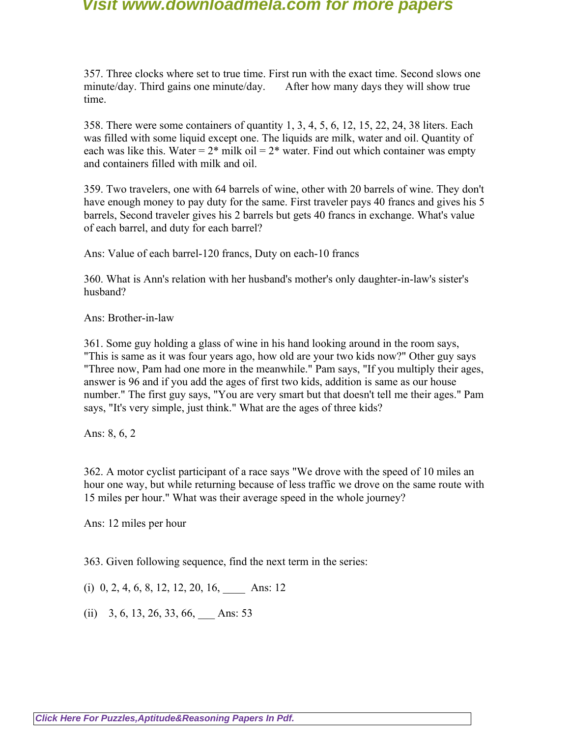357. Three clocks where set to true time. First run with the exact time. Second slows one minute/day. Third gains one minute/day. After how many days they will show true time.

358. There were some containers of quantity 1, 3, 4, 5, 6, 12, 15, 22, 24, 38 liters. Each was filled with some liquid except one. The liquids are milk, water and oil. Quantity of each was like this. Water =  $2^*$  milk oil =  $2^*$  water. Find out which container was empty and containers filled with milk and oil.

359. Two travelers, one with 64 barrels of wine, other with 20 barrels of wine. They don't have enough money to pay duty for the same. First traveler pays 40 francs and gives his 5 barrels, Second traveler gives his 2 barrels but gets 40 francs in exchange. What's value of each barrel, and duty for each barrel?

Ans: Value of each barrel-120 francs, Duty on each-10 francs

360. What is Ann's relation with her husband's mother's only daughter-in-law's sister's husband?

Ans: Brother-in-law

361. Some guy holding a glass of wine in his hand looking around in the room says, "This is same as it was four years ago, how old are your two kids now?" Other guy says "Three now, Pam had one more in the meanwhile." Pam says, "If you multiply their ages, answer is 96 and if you add the ages of first two kids, addition is same as our house number." The first guy says, "You are very smart but that doesn't tell me their ages." Pam says, "It's very simple, just think." What are the ages of three kids?

Ans: 8, 6, 2

362. A motor cyclist participant of a race says "We drove with the speed of 10 miles an hour one way, but while returning because of less traffic we drove on the same route with 15 miles per hour." What was their average speed in the whole journey?

Ans: 12 miles per hour

363. Given following sequence, find the next term in the series:

(i)  $0, 2, 4, 6, 8, 12, 12, 20, 16,$  Ans: 12

 $(ii)$  3, 6, 13, 26, 33, 66, Ans: 53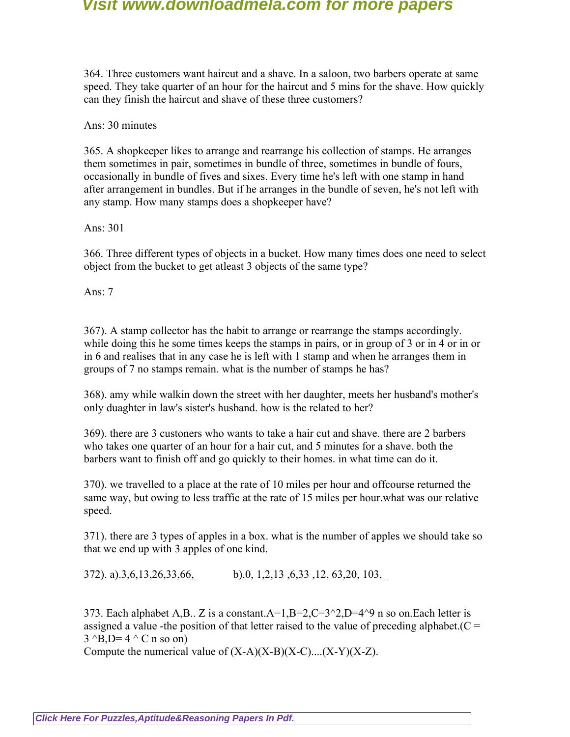364. Three customers want haircut and a shave. In a saloon, two barbers operate at same speed. They take quarter of an hour for the haircut and 5 mins for the shave. How quickly can they finish the haircut and shave of these three customers?

Ans: 30 minutes

365. A shopkeeper likes to arrange and rearrange his collection of stamps. He arranges them sometimes in pair, sometimes in bundle of three, sometimes in bundle of fours, occasionally in bundle of fives and sixes. Every time he's left with one stamp in hand after arrangement in bundles. But if he arranges in the bundle of seven, he's not left with any stamp. How many stamps does a shopkeeper have?

Ans: 301

366. Three different types of objects in a bucket. How many times does one need to select object from the bucket to get atleast 3 objects of the same type?

Ans: 7

367). A stamp collector has the habit to arrange or rearrange the stamps accordingly. while doing this he some times keeps the stamps in pairs, or in group of 3 or in 4 or in or in 6 and realises that in any case he is left with 1 stamp and when he arranges them in groups of 7 no stamps remain. what is the number of stamps he has?

368). amy while walkin down the street with her daughter, meets her husband's mother's only duaghter in law's sister's husband. how is the related to her?

369). there are 3 custoners who wants to take a hair cut and shave. there are 2 barbers who takes one quarter of an hour for a hair cut, and 5 minutes for a shave. both the barbers want to finish off and go quickly to their homes. in what time can do it.

370). we travelled to a place at the rate of 10 miles per hour and offcourse returned the same way, but owing to less traffic at the rate of 15 miles per hour.what was our relative speed.

371). there are 3 types of apples in a box. what is the number of apples we should take so that we end up with 3 apples of one kind.

372). a).3,6,13,26,33,66,\_ b).0, 1,2,13 ,6,33 ,12, 63,20, 103,\_

373. Each alphabet A,B.. Z is a constant.  $A=1, B=2, C=3^2, D=4^9, n$  so on. Each letter is assigned a value -the position of that letter raised to the value of preceding alphabet.  $(C =$  $3^{\circ}B, D= 4^{\circ}C \text{ n so on}$ 

Compute the numerical value of  $(X-A)(X-B)(X-C)...(X-Y)(X-Z)$ .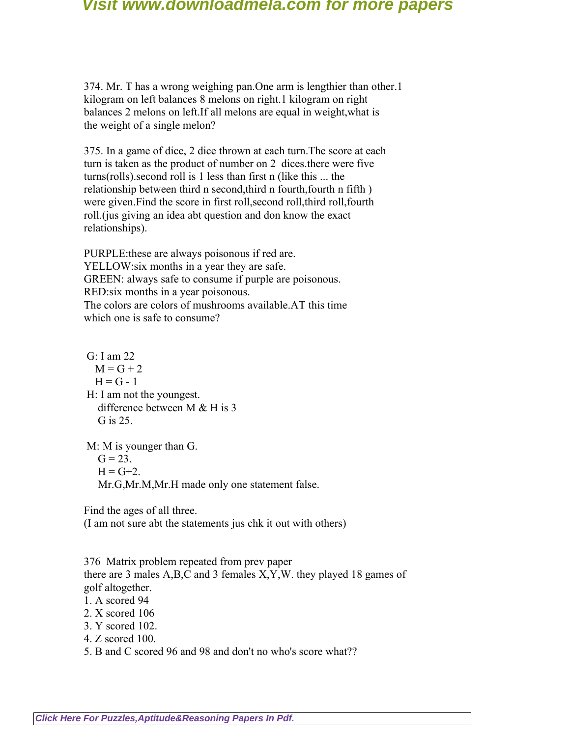374. Mr. T has a wrong weighing pan.One arm is lengthier than other.1 kilogram on left balances 8 melons on right.1 kilogram on right balances 2 melons on left.If all melons are equal in weight,what is the weight of a single melon?

375. In a game of dice, 2 dice thrown at each turn.The score at each turn is taken as the product of number on 2 dices.there were five turns(rolls).second roll is 1 less than first n (like this ... the relationship between third n second,third n fourth,fourth n fifth ) were given.Find the score in first roll,second roll,third roll,fourth roll.(jus giving an idea abt question and don know the exact relationships).

PURPLE:these are always poisonous if red are. YELLOW:six months in a year they are safe. GREEN: always safe to consume if purple are poisonous. RED:six months in a year poisonous. The colors are colors of mushrooms available.AT this time which one is safe to consume?

 G: I am 22  $M = G + 2$  $H = G - 1$  H: I am not the youngest. difference between M & H is 3 G is 25.

M: M is younger than G.  $G = 23.$  $H = G + 2.$ Mr.G,Mr.M,Mr.H made only one statement false.

Find the ages of all three.

(I am not sure abt the statements jus chk it out with others)

376 Matrix problem repeated from prev paper there are 3 males A,B,C and 3 females X,Y,W. they played 18 games of golf altogether.

1. A scored 94

2. X scored 106

3. Y scored 102.

4. Z scored 100.

5. B and C scored 96 and 98 and don't no who's score what??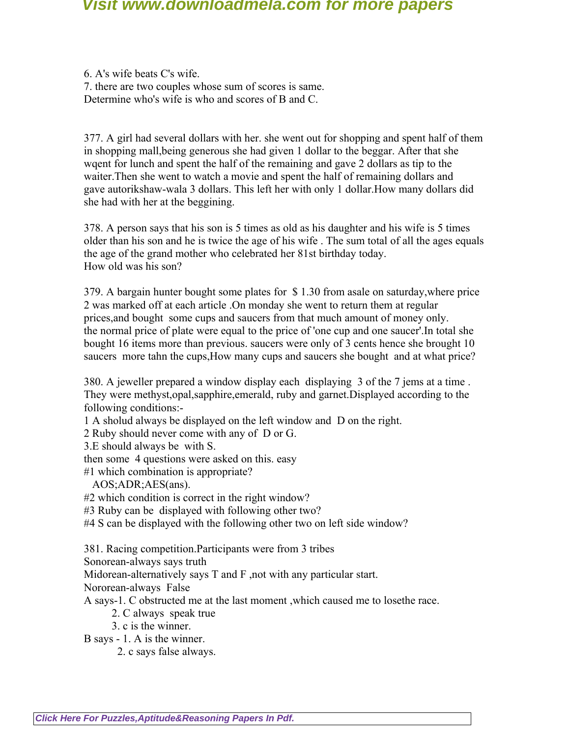6. A's wife beats C's wife. 7. there are two couples whose sum of scores is same. Determine who's wife is who and scores of B and C.

377. A girl had several dollars with her. she went out for shopping and spent half of them in shopping mall,being generous she had given 1 dollar to the beggar. After that she wqent for lunch and spent the half of the remaining and gave 2 dollars as tip to the waiter.Then she went to watch a movie and spent the half of remaining dollars and gave autorikshaw-wala 3 dollars. This left her with only 1 dollar.How many dollars did she had with her at the beggining.

378. A person says that his son is 5 times as old as his daughter and his wife is 5 times older than his son and he is twice the age of his wife . The sum total of all the ages equals the age of the grand mother who celebrated her 81st birthday today. How old was his son?

379. A bargain hunter bought some plates for \$ 1.30 from asale on saturday,where price 2 was marked off at each article .On monday she went to return them at regular prices,and bought some cups and saucers from that much amount of money only. the normal price of plate were equal to the price of 'one cup and one saucer'.In total she bought 16 items more than previous. saucers were only of 3 cents hence she brought 10 saucers more tahn the cups, How many cups and saucers she bought and at what price?

380. A jeweller prepared a window display each displaying 3 of the 7 jems at a time . They were methyst,opal,sapphire,emerald, ruby and garnet.Displayed according to the following conditions:-

1 A sholud always be displayed on the left window and D on the right.

2 Ruby should never come with any of D or G.

3.E should always be with S.

then some 4 questions were asked on this. easy

#1 which combination is appropriate?

AOS;ADR;AES(ans).

#2 which condition is correct in the right window?

#3 Ruby can be displayed with following other two?

#4 S can be displayed with the following other two on left side window?

381. Racing competition.Participants were from 3 tribes

Sonorean-always says truth

Midorean-alternatively says T and F ,not with any particular start.

Nororean-always False

A says-1. C obstructed me at the last moment ,which caused me to losethe race.

- 2. C always speak true
- 3. c is the winner.

B says - 1. A is the winner.

2. c says false always.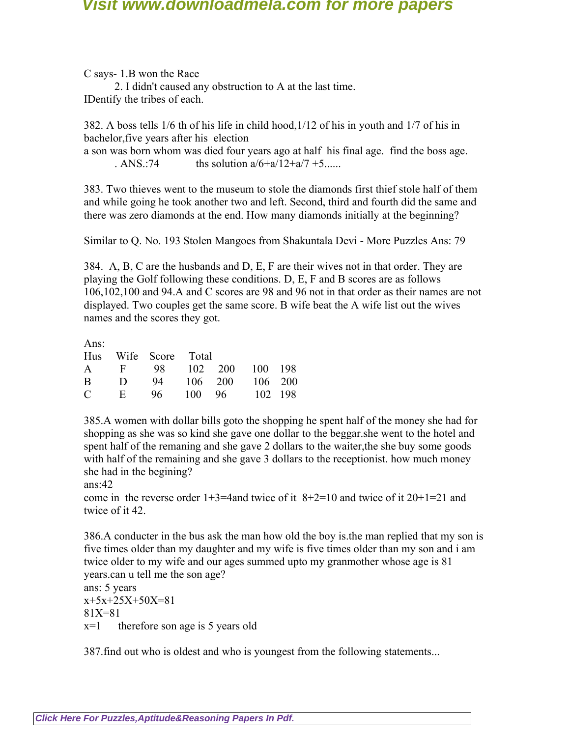C says- 1.B won the Race

 2. I didn't caused any obstruction to A at the last time. IDentify the tribes of each.

382. A boss tells 1/6 th of his life in child hood,1/12 of his in youth and 1/7 of his in bachelor,five years after his election

a son was born whom was died four years ago at half his final age. find the boss age. . ANS.:74 ths solution  $a/6+a/12+a/7+5...$ 

383. Two thieves went to the museum to stole the diamonds first thief stole half of them and while going he took another two and left. Second, third and fourth did the same and there was zero diamonds at the end. How many diamonds initially at the beginning?

Similar to Q. No. 193 Stolen Mangoes from Shakuntala Devi - More Puzzles Ans: 79

384. A, B, C are the husbands and D, E, F are their wives not in that order. They are playing the Golf following these conditions. D, E, F and B scores are as follows 106,102,100 and 94.A and C scores are 98 and 96 not in that order as their names are not displayed. Two couples get the same score. B wife beat the A wife list out the wives names and the scores they got.

Ans:

|  | Hus Wife Score Total    |  |  |  |  |
|--|-------------------------|--|--|--|--|
|  | A F 98 102 200 100 198  |  |  |  |  |
|  | B D 94 106 200 106 200  |  |  |  |  |
|  | $C$ E 96 100 96 102 198 |  |  |  |  |

385.A women with dollar bills goto the shopping he spent half of the money she had for shopping as she was so kind she gave one dollar to the beggar.she went to the hotel and spent half of the remaning and she gave 2 dollars to the waiter,the she buy some goods with half of the remaining and she gave 3 dollars to the receptionist, how much money she had in the begining?

ans:42

come in the reverse order  $1+3=4$  and twice of it  $8+2=10$  and twice of it  $20+1=21$  and twice of it 42.

386.A conducter in the bus ask the man how old the boy is.the man replied that my son is five times older than my daughter and my wife is five times older than my son and i am twice older to my wife and our ages summed upto my granmother whose age is 81 years.can u tell me the son age?

ans: 5 years  $x+5x+25X+50X=81$ 81X=81  $x=1$  therefore son age is 5 years old

387.find out who is oldest and who is youngest from the following statements...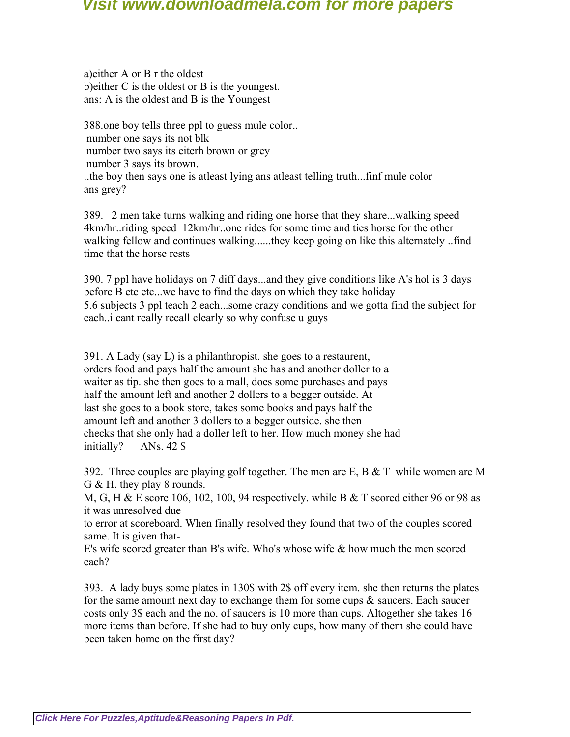a)either A or B r the oldest b)either C is the oldest or B is the youngest. ans: A is the oldest and B is the Youngest

388.one boy tells three ppl to guess mule color.. number one says its not blk number two says its eiterh brown or grey number 3 says its brown. ..the boy then says one is atleast lying ans atleast telling truth...finf mule color ans grey?

389. 2 men take turns walking and riding one horse that they share...walking speed 4km/hr..riding speed 12km/hr..one rides for some time and ties horse for the other walking fellow and continues walking......they keep going on like this alternately ..find time that the horse rests

390. 7 ppl have holidays on 7 diff days...and they give conditions like A's hol is 3 days before B etc etc...we have to find the days on which they take holiday 5.6 subjects 3 ppl teach 2 each...some crazy conditions and we gotta find the subject for each..i cant really recall clearly so why confuse u guys

391. A Lady (say L) is a philanthropist. she goes to a restaurent, orders food and pays half the amount she has and another doller to a waiter as tip. she then goes to a mall, does some purchases and pays half the amount left and another 2 dollers to a begger outside. At last she goes to a book store, takes some books and pays half the amount left and another 3 dollers to a begger outside. she then checks that she only had a doller left to her. How much money she had initially? ANs. 42 \$

392. Three couples are playing golf together. The men are E, B  $&$  T while women are M G & H. they play 8 rounds.

M, G, H & E score 106, 102, 100, 94 respectively. while B & T scored either 96 or 98 as it was unresolved due

to error at scoreboard. When finally resolved they found that two of the couples scored same. It is given that-

E's wife scored greater than B's wife. Who's whose wife & how much the men scored each?

393. A lady buys some plates in 130\$ with 2\$ off every item. she then returns the plates for the same amount next day to exchange them for some cups  $\&$  saucers. Each saucer costs only 3\$ each and the no. of saucers is 10 more than cups. Altogether she takes 16 more items than before. If she had to buy only cups, how many of them she could have been taken home on the first day?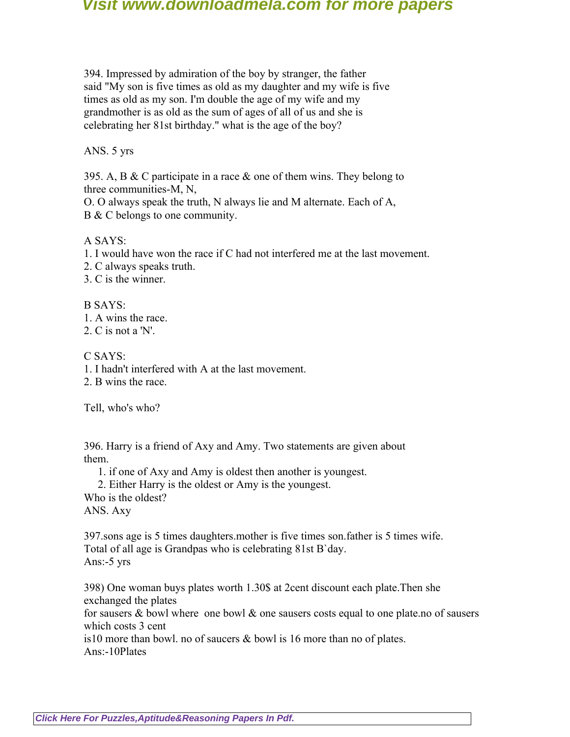394. Impressed by admiration of the boy by stranger, the father said "My son is five times as old as my daughter and my wife is five times as old as my son. I'm double the age of my wife and my grandmother is as old as the sum of ages of all of us and she is celebrating her 81st birthday." what is the age of the boy?

#### ANS. 5 yrs

395. A, B & C participate in a race & one of them wins. They belong to three communities-M, N,

O. O always speak the truth, N always lie and M alternate. Each of A, B & C belongs to one community.

#### A SAYS:

1. I would have won the race if C had not interfered me at the last movement.

2. C always speaks truth.

3. C is the winner.

B SAYS:

1. A wins the race.

2. C is not a 'N'.

C SAYS:

1. I hadn't interfered with A at the last movement.

2. B wins the race.

Tell, who's who?

396. Harry is a friend of Axy and Amy. Two statements are given about them.

1. if one of Axy and Amy is oldest then another is youngest.

2. Either Harry is the oldest or Amy is the youngest.

Who is the oldest? ANS. Axy

397.sons age is 5 times daughters.mother is five times son.father is 5 times wife. Total of all age is Grandpas who is celebrating 81st B`day. Ans:-5 yrs

398) One woman buys plates worth 1.30\$ at 2cent discount each plate.Then she exchanged the plates

for sausers  $\&$  bowl where one bowl  $\&$  one sausers costs equal to one plate.no of sausers which costs 3 cent

is10 more than bowl. no of saucers & bowl is 16 more than no of plates. Ans:-10Plates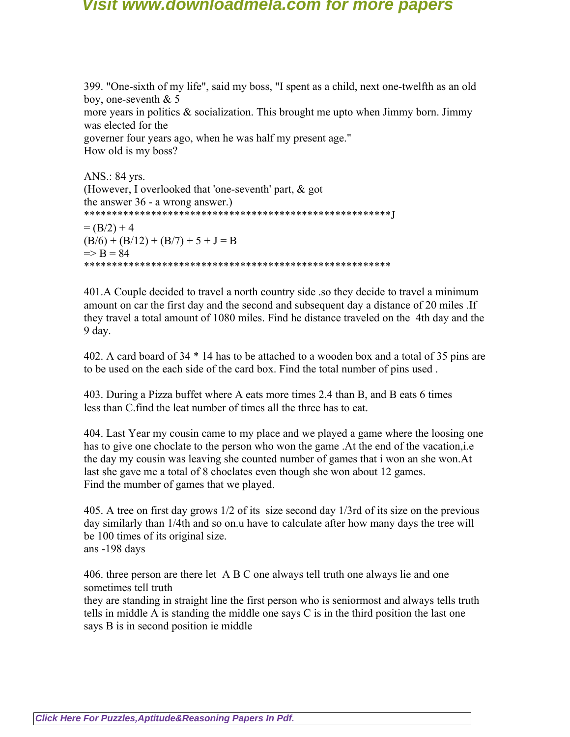399. "One-sixth of my life", said my boss, "I spent as a child, next one-twelfth as an old boy, one-seventh & 5 more years in politics  $\&$  socialization. This brought me upto when Jimmy born. Jimmy was elected for the governer four years ago, when he was half my present age." How old is my boss?

```
ANS.: 84 yrs.
(However, I overlooked that 'one-seventh' part, & got
the answer 36 - a wrong answer.)
*******************************************************J
= (B/2) + 4(B/6) + (B/12) + (B/7) + 5 + J = B=> B = 84*******************************************************
```
401.A Couple decided to travel a north country side .so they decide to travel a minimum amount on car the first day and the second and subsequent day a distance of 20 miles .If they travel a total amount of 1080 miles. Find he distance traveled on the 4th day and the 9 day.

402. A card board of 34 \* 14 has to be attached to a wooden box and a total of 35 pins are to be used on the each side of the card box. Find the total number of pins used .

403. During a Pizza buffet where A eats more times 2.4 than B, and B eats 6 times less than C.find the leat number of times all the three has to eat.

404. Last Year my cousin came to my place and we played a game where the loosing one has to give one choclate to the person who won the game. At the end of the vacation, i.e. the day my cousin was leaving she counted number of games that i won an she won.At last she gave me a total of 8 choclates even though she won about 12 games. Find the mumber of games that we played.

405. A tree on first day grows 1/2 of its size second day 1/3rd of its size on the previous day similarly than 1/4th and so on.u have to calculate after how many days the tree will be 100 times of its original size. ans -198 days

406. three person are there let A B C one always tell truth one always lie and one sometimes tell truth

they are standing in straight line the first person who is seniormost and always tells truth tells in middle A is standing the middle one says C is in the third position the last one says B is in second position ie middle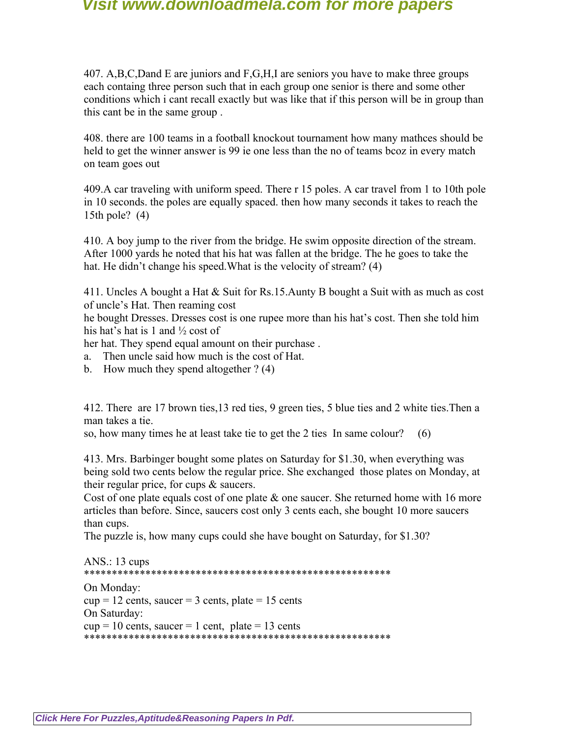407. A,B,C,Dand E are juniors and F,G,H,I are seniors you have to make three groups each containg three person such that in each group one senior is there and some other conditions which i cant recall exactly but was like that if this person will be in group than this cant be in the same group .

408. there are 100 teams in a football knockout tournament how many mathces should be held to get the winner answer is 99 ie one less than the no of teams bcoz in every match on team goes out

409.A car traveling with uniform speed. There r 15 poles. A car travel from 1 to 10th pole in 10 seconds. the poles are equally spaced. then how many seconds it takes to reach the 15th pole? (4)

410. A boy jump to the river from the bridge. He swim opposite direction of the stream. After 1000 yards he noted that his hat was fallen at the bridge. The he goes to take the hat. He didn't change his speed. What is the velocity of stream? (4)

411. Uncles A bought a Hat  $\&$  Suit for Rs.15. Aunty B bought a Suit with as much as cost of uncle's Hat. Then reaming cost

he bought Dresses. Dresses cost is one rupee more than his hat's cost. Then she told him his hat's hat is 1 and ½ cost of

her hat. They spend equal amount on their purchase .

- a. Then uncle said how much is the cost of Hat.
- b. How much they spend altogether ? (4)

412. There are 17 brown ties,13 red ties, 9 green ties, 5 blue ties and 2 white ties.Then a man takes a tie.

so, how many times he at least take tie to get the 2 ties In same colour? (6)

413. Mrs. Barbinger bought some plates on Saturday for \$1.30, when everything was being sold two cents below the regular price. She exchanged those plates on Monday, at their regular price, for cups & saucers.

Cost of one plate equals cost of one plate  $\&$  one saucer. She returned home with 16 more articles than before. Since, saucers cost only 3 cents each, she bought 10 more saucers than cups.

The puzzle is, how many cups could she have bought on Saturday, for \$1.30?

```
ANS.: 13 cups
*******************************************************
On Monday:
cup = 12 cents, saucer = 3 cents, plate = 15 cents
On Saturday:
cup = 10 cents, saucer = 1 cent, plate = 13 cents
*******************************************************
```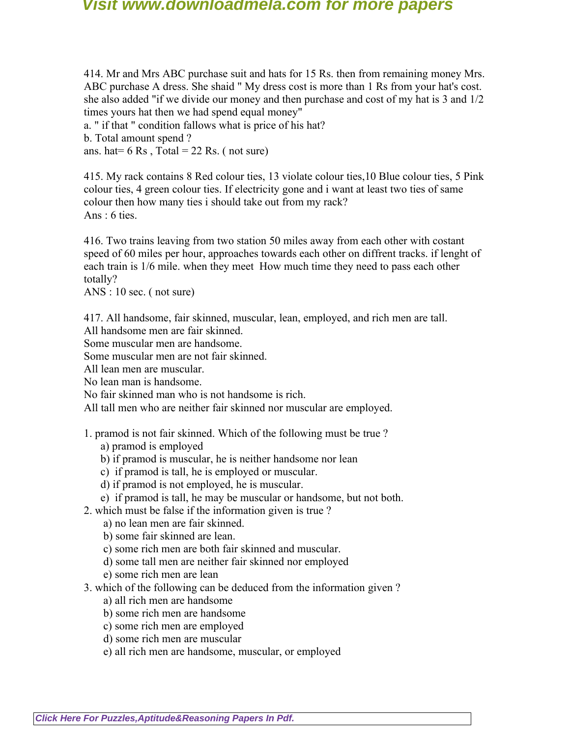414. Mr and Mrs ABC purchase suit and hats for 15 Rs. then from remaining money Mrs. ABC purchase A dress. She shaid " My dress cost is more than 1 Rs from your hat's cost. she also added "if we divide our money and then purchase and cost of my hat is 3 and 1/2 times yours hat then we had spend equal money"

a. " if that " condition fallows what is price of his hat? b. Total amount spend ?

ans. hat=  $6 \text{ Rs }$ , Total =  $22 \text{ Rs }$ . (not sure)

415. My rack contains 8 Red colour ties, 13 violate colour ties,10 Blue colour ties, 5 Pink colour ties, 4 green colour ties. If electricity gone and i want at least two ties of same colour then how many ties i should take out from my rack? Ans : 6 ties.

416. Two trains leaving from two station 50 miles away from each other with costant speed of 60 miles per hour, approaches towards each other on diffrent tracks. if lenght of each train is 1/6 mile. when they meet How much time they need to pass each other totally?

ANS : 10 sec. ( not sure)

417. All handsome, fair skinned, muscular, lean, employed, and rich men are tall.

All handsome men are fair skinned.

Some muscular men are handsome.

Some muscular men are not fair skinned.

All lean men are muscular.

No lean man is handsome.

No fair skinned man who is not handsome is rich.

All tall men who are neither fair skinned nor muscular are employed.

1. pramod is not fair skinned. Which of the following must be true ?

a) pramod is employed

- b) if pramod is muscular, he is neither handsome nor lean
- c) if pramod is tall, he is employed or muscular.
- d) if pramod is not employed, he is muscular.
- e) if pramod is tall, he may be muscular or handsome, but not both.
- 2. which must be false if the information given is true ?
	- a) no lean men are fair skinned.
	- b) some fair skinned are lean.
	- c) some rich men are both fair skinned and muscular.
	- d) some tall men are neither fair skinned nor employed
	- e) some rich men are lean
- 3. which of the following can be deduced from the information given ?
	- a) all rich men are handsome
	- b) some rich men are handsome
	- c) some rich men are employed
	- d) some rich men are muscular
	- e) all rich men are handsome, muscular, or employed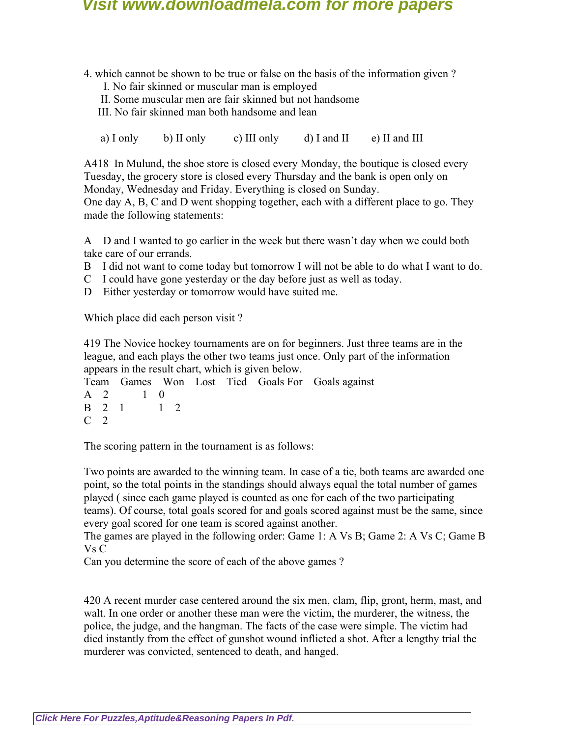4. which cannot be shown to be true or false on the basis of the information given ?

- I. No fair skinned or muscular man is employed
- II. Some muscular men are fair skinned but not handsome
- III. No fair skinned man both handsome and lean

a) I only b) II only c) III only d) I and II e) II and III

A418 In Mulund, the shoe store is closed every Monday, the boutique is closed every Tuesday, the grocery store is closed every Thursday and the bank is open only on Monday, Wednesday and Friday. Everything is closed on Sunday.

One day A, B, C and D went shopping together, each with a different place to go. They made the following statements:

A D and I wanted to go earlier in the week but there wasn't day when we could both take care of our errands.

- B I did not want to come today but tomorrow I will not be able to do what I want to do.
- C I could have gone yesterday or the day before just as well as today.
- D Either yesterday or tomorrow would have suited me.

Which place did each person visit ?

419 The Novice hockey tournaments are on for beginners. Just three teams are in the league, and each plays the other two teams just once. Only part of the information appears in the result chart, which is given below.

Team Games Won Lost Tied Goals For Goals against A 2 1 0 B 2 1 1 2  $C<sub>2</sub>$ 

The scoring pattern in the tournament is as follows:

Two points are awarded to the winning team. In case of a tie, both teams are awarded one point, so the total points in the standings should always equal the total number of games played ( since each game played is counted as one for each of the two participating teams). Of course, total goals scored for and goals scored against must be the same, since every goal scored for one team is scored against another.

The games are played in the following order: Game 1: A Vs B; Game 2: A Vs C; Game B Vs C

Can you determine the score of each of the above games ?

420 A recent murder case centered around the six men, clam, flip, gront, herm, mast, and walt. In one order or another these man were the victim, the murderer, the witness, the police, the judge, and the hangman. The facts of the case were simple. The victim had died instantly from the effect of gunshot wound inflicted a shot. After a lengthy trial the murderer was convicted, sentenced to death, and hanged.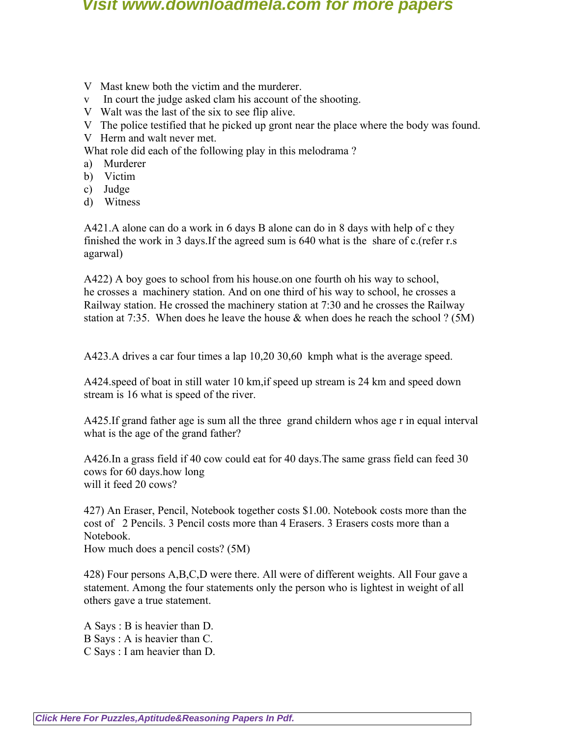- V Mast knew both the victim and the murderer.
- v In court the judge asked clam his account of the shooting.
- V Walt was the last of the six to see flip alive.
- V The police testified that he picked up gront near the place where the body was found.
- V Herm and walt never met.
- What role did each of the following play in this melodrama ?
- a) Murderer
- b) Victim
- c) Judge
- d) Witness

A421.A alone can do a work in 6 days B alone can do in 8 days with help of c they finished the work in 3 days.If the agreed sum is 640 what is the share of c.(refer r.s agarwal)

A422) A boy goes to school from his house.on one fourth oh his way to school, he crosses a machinery station. And on one third of his way to school, he crosses a Railway station. He crossed the machinery station at 7:30 and he crosses the Railway station at 7:35. When does he leave the house  $\&$  when does he reach the school ? (5M)

A423.A drives a car four times a lap 10,20 30,60 kmph what is the average speed.

A424.speed of boat in still water 10 km,if speed up stream is 24 km and speed down stream is 16 what is speed of the river.

A425.If grand father age is sum all the three grand childern whos age r in equal interval what is the age of the grand father?

A426.In a grass field if 40 cow could eat for 40 days.The same grass field can feed 30 cows for 60 days.how long will it feed 20 cows?

427) An Eraser, Pencil, Notebook together costs \$1.00. Notebook costs more than the cost of 2 Pencils. 3 Pencil costs more than 4 Erasers. 3 Erasers costs more than a Notebook.

How much does a pencil costs? (5M)

428) Four persons A,B,C,D were there. All were of different weights. All Four gave a statement. Among the four statements only the person who is lightest in weight of all others gave a true statement.

A Says : B is heavier than D. B Says : A is heavier than C. C Says : I am heavier than D.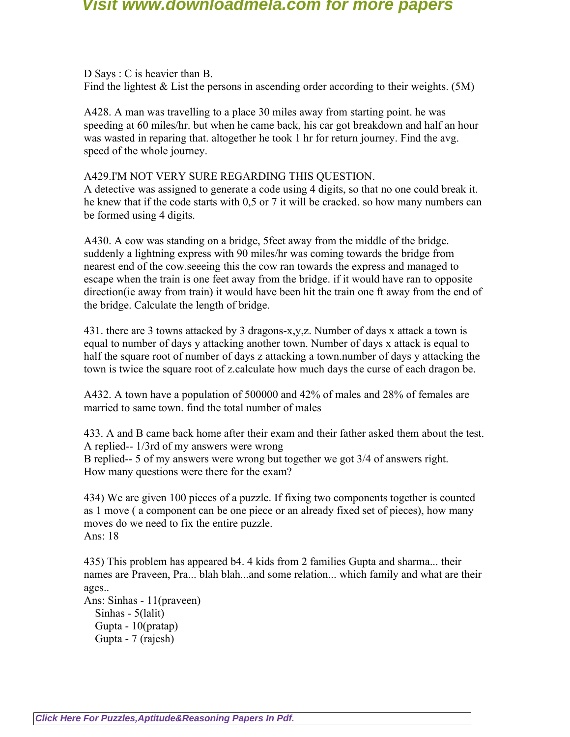D Says : C is heavier than B. Find the lightest  $& List$  the persons in ascending order according to their weights. (5M)

A428. A man was travelling to a place 30 miles away from starting point. he was speeding at 60 miles/hr. but when he came back, his car got breakdown and half an hour was wasted in reparing that. altogether he took 1 hr for return journey. Find the avg. speed of the whole journey.

#### A429.I'M NOT VERY SURE REGARDING THIS QUESTION.

A detective was assigned to generate a code using 4 digits, so that no one could break it. he knew that if the code starts with 0,5 or 7 it will be cracked. so how many numbers can be formed using 4 digits.

A430. A cow was standing on a bridge, 5feet away from the middle of the bridge. suddenly a lightning express with 90 miles/hr was coming towards the bridge from nearest end of the cow.seeeing this the cow ran towards the express and managed to escape when the train is one feet away from the bridge. if it would have ran to opposite direction(ie away from train) it would have been hit the train one ft away from the end of the bridge. Calculate the length of bridge.

431. there are 3 towns attacked by 3 dragons-x,y,z. Number of days x attack a town is equal to number of days y attacking another town. Number of days x attack is equal to half the square root of number of days z attacking a town.number of days y attacking the town is twice the square root of z.calculate how much days the curse of each dragon be.

A432. A town have a population of 500000 and 42% of males and 28% of females are married to same town. find the total number of males

433. A and B came back home after their exam and their father asked them about the test. A replied-- 1/3rd of my answers were wrong B replied-- 5 of my answers were wrong but together we got 3/4 of answers right. How many questions were there for the exam?

434) We are given 100 pieces of a puzzle. If fixing two components together is counted as 1 move ( a component can be one piece or an already fixed set of pieces), how many moves do we need to fix the entire puzzle. Ans: 18

435) This problem has appeared b4. 4 kids from 2 families Gupta and sharma... their names are Praveen, Pra... blah blah...and some relation... which family and what are their ages..

Ans: Sinhas - 11(praveen) Sinhas - 5(lalit) Gupta - 10(pratap) Gupta - 7 (rajesh)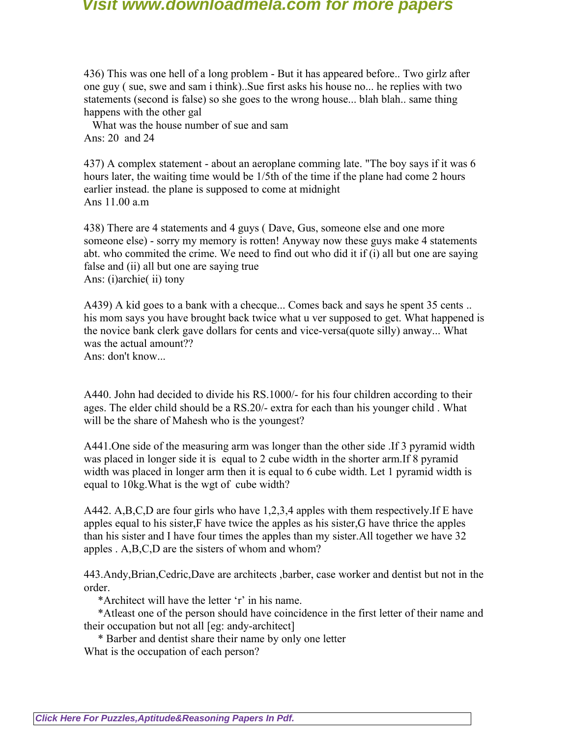436) This was one hell of a long problem - But it has appeared before.. Two girlz after one guy ( sue, swe and sam i think)..Sue first asks his house no... he replies with two statements (second is false) so she goes to the wrong house... blah blah.. same thing happens with the other gal

 What was the house number of sue and sam Ans: 20 and 24

437) A complex statement - about an aeroplane comming late. "The boy says if it was 6 hours later, the waiting time would be 1/5th of the time if the plane had come 2 hours earlier instead. the plane is supposed to come at midnight Ans  $11.00 a m$ .

438) There are 4 statements and 4 guys ( Dave, Gus, someone else and one more someone else) - sorry my memory is rotten! Anyway now these guys make 4 statements abt. who commited the crime. We need to find out who did it if (i) all but one are saying false and (ii) all but one are saying true Ans: (i)archie( ii) tony

A439) A kid goes to a bank with a checque... Comes back and says he spent 35 cents .. his mom says you have brought back twice what u ver supposed to get. What happened is the novice bank clerk gave dollars for cents and vice-versa(quote silly) anway... What was the actual amount??

Ans: don't know...

A440. John had decided to divide his RS.1000/- for his four children according to their ages. The elder child should be a RS.20/- extra for each than his younger child . What will be the share of Mahesh who is the youngest?

A441.One side of the measuring arm was longer than the other side .If 3 pyramid width was placed in longer side it is equal to 2 cube width in the shorter arm.If 8 pyramid width was placed in longer arm then it is equal to 6 cube width. Let 1 pyramid width is equal to 10kg.What is the wgt of cube width?

A442. A,B,C,D are four girls who have 1,2,3,4 apples with them respectively.If E have apples equal to his sister,F have twice the apples as his sister,G have thrice the apples than his sister and I have four times the apples than my sister.All together we have 32 apples . A,B,C,D are the sisters of whom and whom?

443.Andy,Brian,Cedric,Dave are architects ,barber, case worker and dentist but not in the order.

\*Architect will have the letter 'r' in his name.

 \*Atleast one of the person should have coincidence in the first letter of their name and their occupation but not all [eg: andy-architect]

 \* Barber and dentist share their name by only one letter What is the occupation of each person?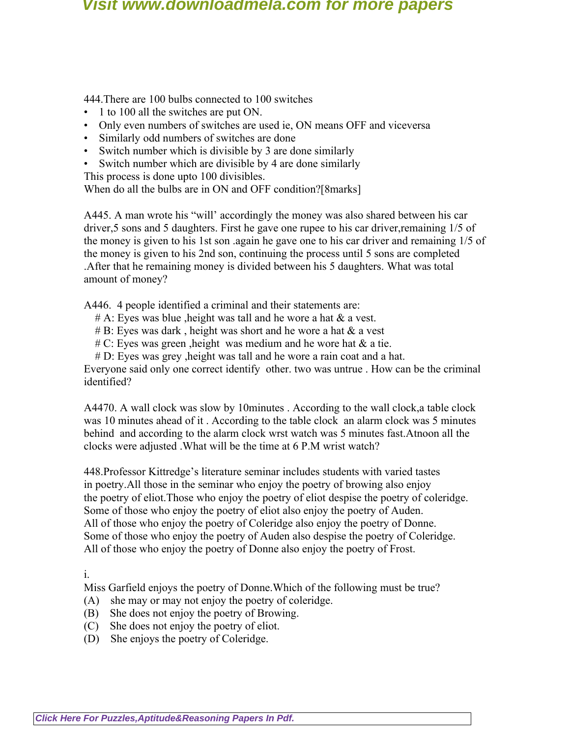444.There are 100 bulbs connected to 100 switches

- 1 to 100 all the switches are put ON.
- Only even numbers of switches are used ie, ON means OFF and viceversa
- Similarly odd numbers of switches are done
- Switch number which is divisible by 3 are done similarly
- Switch number which are divisible by 4 are done similarly

This process is done upto 100 divisibles.

When do all the bulbs are in ON and OFF condition?[8marks]

A445. A man wrote his "will' accordingly the money was also shared between his car driver,5 sons and 5 daughters. First he gave one rupee to his car driver,remaining 1/5 of the money is given to his 1st son .again he gave one to his car driver and remaining 1/5 of the money is given to his 2nd son, continuing the process until 5 sons are completed .After that he remaining money is divided between his 5 daughters. What was total amount of money?

A446. 4 people identified a criminal and their statements are:

- $# A$ : Eyes was blue , height was tall and he wore a hat  $\&$  a vest.
- $# B$ : Eyes was dark, height was short and he wore a hat  $\&$  a vest
- $\# C$ : Eyes was green , height was medium and he wore hat  $\&$  a tie.
- # D: Eyes was grey ,height was tall and he wore a rain coat and a hat.

Everyone said only one correct identify other. two was untrue . How can be the criminal identified?

A4470. A wall clock was slow by 10minutes . According to the wall clock,a table clock was 10 minutes ahead of it . According to the table clock an alarm clock was 5 minutes behind and according to the alarm clock wrst watch was 5 minutes fast.Atnoon all the clocks were adjusted .What will be the time at 6 P.M wrist watch?

448.Professor Kittredge's literature seminar includes students with varied tastes in poetry.All those in the seminar who enjoy the poetry of browing also enjoy the poetry of eliot.Those who enjoy the poetry of eliot despise the poetry of coleridge. Some of those who enjoy the poetry of eliot also enjoy the poetry of Auden. All of those who enjoy the poetry of Coleridge also enjoy the poetry of Donne. Some of those who enjoy the poetry of Auden also despise the poetry of Coleridge. All of those who enjoy the poetry of Donne also enjoy the poetry of Frost.

i.

Miss Garfield enjoys the poetry of Donne.Which of the following must be true?

- (A) she may or may not enjoy the poetry of coleridge.
- (B) She does not enjoy the poetry of Browing.
- (C) She does not enjoy the poetry of eliot.
- (D) She enjoys the poetry of Coleridge.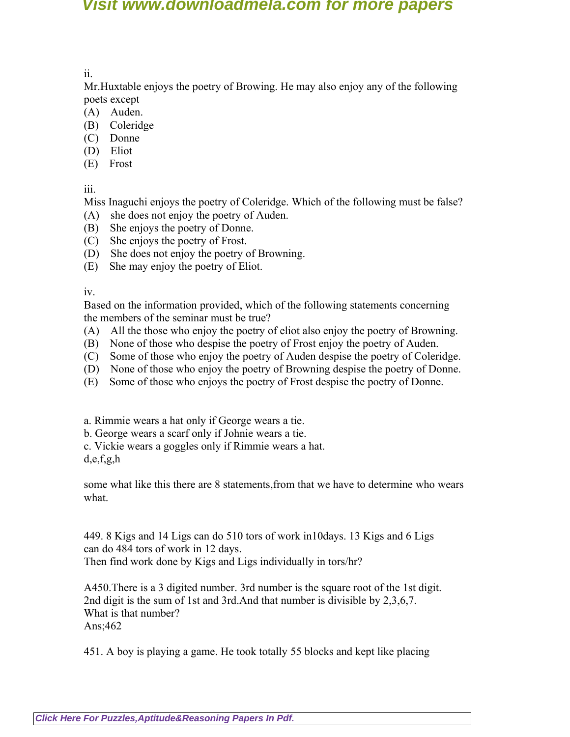ii.

Mr.Huxtable enjoys the poetry of Browing. He may also enjoy any of the following poets except

- (A) Auden.
- (B) Coleridge
- (C) Donne
- (D) Eliot
- (E) Frost

iii.

Miss Inaguchi enjoys the poetry of Coleridge. Which of the following must be false?

- (A) she does not enjoy the poetry of Auden.
- (B) She enjoys the poetry of Donne.
- (C) She enjoys the poetry of Frost.
- (D) She does not enjoy the poetry of Browning.
- (E) She may enjoy the poetry of Eliot.

iv.

Based on the information provided, which of the following statements concerning the members of the seminar must be true?

- (A) All the those who enjoy the poetry of eliot also enjoy the poetry of Browning.
- (B) None of those who despise the poetry of Frost enjoy the poetry of Auden.
- (C) Some of those who enjoy the poetry of Auden despise the poetry of Coleridge.
- (D) None of those who enjoy the poetry of Browning despise the poetry of Donne.
- (E) Some of those who enjoys the poetry of Frost despise the poetry of Donne.
- a. Rimmie wears a hat only if George wears a tie.
- b. George wears a scarf only if Johnie wears a tie.
- c. Vickie wears a goggles only if Rimmie wears a hat.

d,e,f,g,h

some what like this there are 8 statements,from that we have to determine who wears what.

449. 8 Kigs and 14 Ligs can do 510 tors of work in10days. 13 Kigs and 6 Ligs can do 484 tors of work in 12 days. Then find work done by Kigs and Ligs individually in tors/hr?

A450.There is a 3 digited number. 3rd number is the square root of the 1st digit. 2nd digit is the sum of 1st and 3rd.And that number is divisible by 2,3,6,7. What is that number? Ans;462

451. A boy is playing a game. He took totally 55 blocks and kept like placing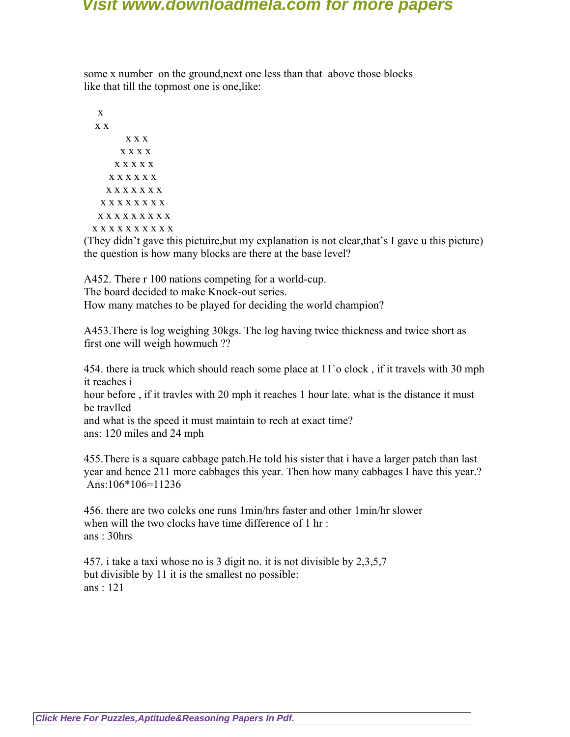some x number on the ground,next one less than that above those blocks like that till the topmost one is one,like:

 x x x x x x x x x x x x x x x x x x x x x x x x x x x x x x x x x x x x x x x x x x x x x x x x x x x x x x x

(They didn't gave this pictuire,but my explanation is not clear,that's I gave u this picture) the question is how many blocks are there at the base level?

A452. There r 100 nations competing for a world-cup. The board decided to make Knock-out series. How many matches to be played for deciding the world champion?

A453.There is log weighing 30kgs. The log having twice thickness and twice short as first one will weigh howmuch ??

454. there ia truck which should reach some place at 11`o clock , if it travels with 30 mph it reaches i

hour before , if it travles with 20 mph it reaches 1 hour late. what is the distance it must be travlled

and what is the speed it must maintain to rech at exact time? ans: 120 miles and 24 mph

455.There is a square cabbage patch.He told his sister that i have a larger patch than last year and hence 211 more cabbages this year. Then how many cabbages I have this year.? Ans:106\*106=11236

456. there are two colcks one runs 1min/hrs faster and other 1min/hr slower when will the two clocks have time difference of 1 hr: ans : 30hrs

457. i take a taxi whose no is 3 digit no. it is not divisible by 2,3,5,7 but divisible by 11 it is the smallest no possible: ans : 121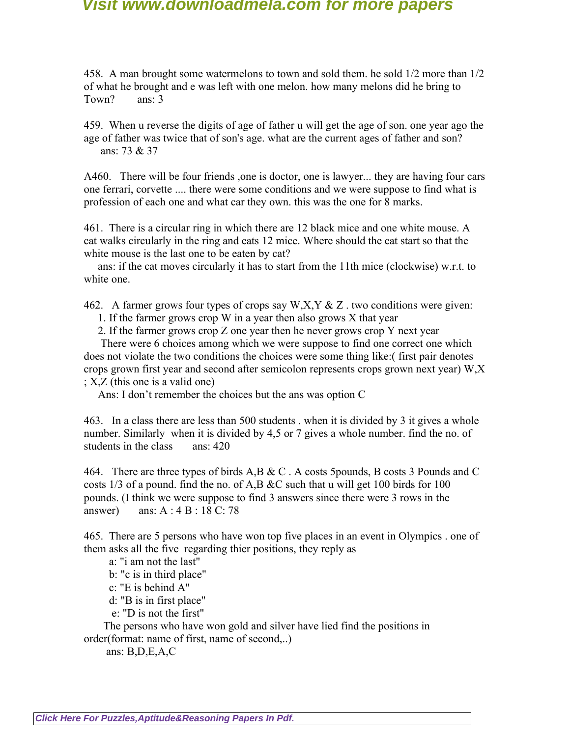458. A man brought some watermelons to town and sold them. he sold 1/2 more than 1/2 of what he brought and e was left with one melon. how many melons did he bring to Town? ans: 3

459. When u reverse the digits of age of father u will get the age of son. one year ago the age of father was twice that of son's age. what are the current ages of father and son? ans: 73 & 37

A460. There will be four friends ,one is doctor, one is lawyer... they are having four cars one ferrari, corvette .... there were some conditions and we were suppose to find what is profession of each one and what car they own. this was the one for 8 marks.

461. There is a circular ring in which there are 12 black mice and one white mouse. A cat walks circularly in the ring and eats 12 mice. Where should the cat start so that the white mouse is the last one to be eaten by cat?

 ans: if the cat moves circularly it has to start from the 11th mice (clockwise) w.r.t. to white one.

462. A farmer grows four types of crops say  $W, X, Y \& Z$ . two conditions were given:

1. If the farmer grows crop W in a year then also grows X that year

2. If the farmer grows crop Z one year then he never grows crop Y next year

 There were 6 choices among which we were suppose to find one correct one which does not violate the two conditions the choices were some thing like:( first pair denotes crops grown first year and second after semicolon represents crops grown next year) W,X ; X,Z (this one is a valid one)

Ans: I don't remember the choices but the ans was option C

463. In a class there are less than 500 students . when it is divided by 3 it gives a whole number. Similarly when it is divided by 4,5 or 7 gives a whole number. find the no. of students in the class ans: 420

464. There are three types of birds A,B & C . A costs 5pounds, B costs 3 Pounds and C costs  $1/3$  of a pound. find the no. of A,B &C such that u will get 100 birds for 100 pounds. (I think we were suppose to find 3 answers since there were 3 rows in the answer) ans: A : 4 B : 18 C: 78

465. There are 5 persons who have won top five places in an event in Olympics . one of them asks all the five regarding thier positions, they reply as

a: "i am not the last"

b: "c is in third place"

c: "E is behind A"

d: "B is in first place"

e: "D is not the first"

 The persons who have won gold and silver have lied find the positions in order(format: name of first, name of second,..)

ans: B,D,E,A,C